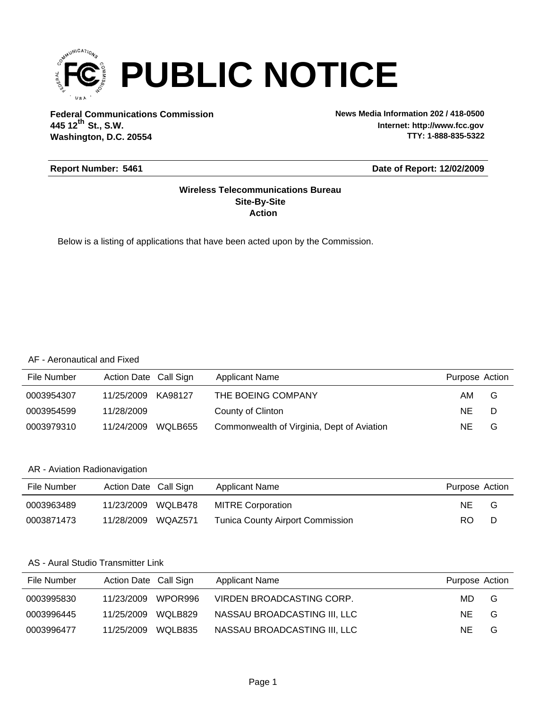

**Federal Communications Commission News Media Information 202 / 418-0500 Washington, D.C. 20554 th 445 12 St., S.W.**

**Internet: http://www.fcc.gov TTY: 1-888-835-5322**

#### **Report Number: 5461**

#### **Date of Report: 12/02/2009**

#### **Action Site-By-Site Wireless Telecommunications Bureau**

Below is a listing of applications that have been acted upon by the Commission.

#### AF - Aeronautical and Fixed

| File Number | Action Date Call Sign |         | <b>Applicant Name</b>                      | Purpose Action |   |
|-------------|-----------------------|---------|--------------------------------------------|----------------|---|
| 0003954307  | 11/25/2009            | KA98127 | THE BOEING COMPANY                         | AM.            | G |
| 0003954599  | 11/28/2009            |         | County of Clinton                          | NE.            | D |
| 0003979310  | 11/24/2009            | WQLB655 | Commonwealth of Virginia, Dept of Aviation | NE.            | G |

#### AR - Aviation Radionavigation

| File Number | Action Date Call Sign | Applicant Name                          | Purpose Action |   |
|-------------|-----------------------|-----------------------------------------|----------------|---|
| 0003963489  | 11/23/2009 WQLB478    | <b>MITRE Corporation</b>                | NE.            | G |
| 0003871473  | 11/28/2009 WQAZ571    | <b>Tunica County Airport Commission</b> | RO.            | D |

#### AS - Aural Studio Transmitter Link

| File Number | Action Date Call Sign |         | Applicant Name               | Purpose Action |   |
|-------------|-----------------------|---------|------------------------------|----------------|---|
| 0003995830  | 11/23/2009            | WPOR996 | VIRDEN BROADCASTING CORP.    | MD.            | G |
| 0003996445  | 11/25/2009            | WOLB829 | NASSAU BROADCASTING III, LLC | NE.            | G |
| 0003996477  | 11/25/2009            | WQLB835 | NASSAU BROADCASTING III, LLC | NE             | G |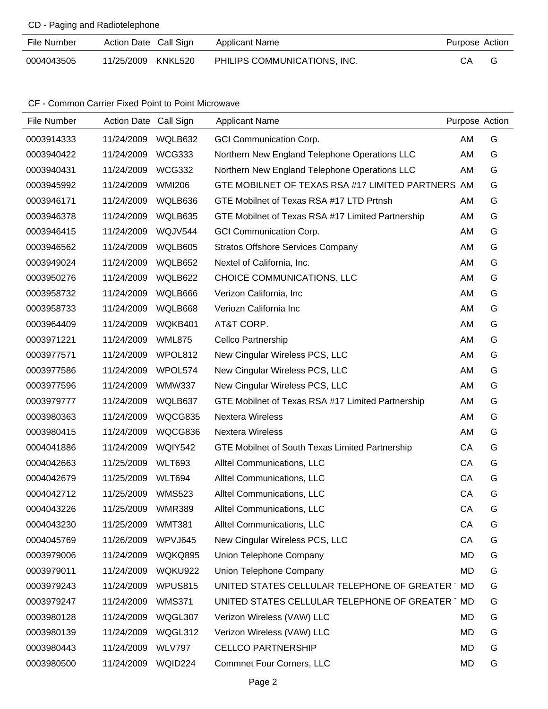#### CD - Paging and Radiotelephone

| File Number | Action Date Call Sign | Applicant Name               | Purpose Action |
|-------------|-----------------------|------------------------------|----------------|
| 0004043505  | 11/25/2009 KNKL520    | PHILIPS COMMUNICATIONS, INC. | CA.            |

#### CF - Common Carrier Fixed Point to Point Microwave

| File Number | Action Date Call Sign |               | <b>Applicant Name</b>                             | Purpose Action |   |
|-------------|-----------------------|---------------|---------------------------------------------------|----------------|---|
| 0003914333  | 11/24/2009            | WQLB632       | <b>GCI Communication Corp.</b>                    | AM             | G |
| 0003940422  | 11/24/2009            | <b>WCG333</b> | Northern New England Telephone Operations LLC     | AM             | G |
| 0003940431  | 11/24/2009            | <b>WCG332</b> | Northern New England Telephone Operations LLC     | AM             | G |
| 0003945992  | 11/24/2009            | <b>WMI206</b> | GTE MOBILNET OF TEXAS RSA #17 LIMITED PARTNERS AM |                | G |
| 0003946171  | 11/24/2009            | WQLB636       | GTE Mobilnet of Texas RSA #17 LTD Prtnsh          | AM             | G |
| 0003946378  | 11/24/2009            | WQLB635       | GTE Mobilnet of Texas RSA #17 Limited Partnership | AM             | G |
| 0003946415  | 11/24/2009            | WQJV544       | <b>GCI Communication Corp.</b>                    | AM             | G |
| 0003946562  | 11/24/2009            | WQLB605       | <b>Stratos Offshore Services Company</b>          | AM             | G |
| 0003949024  | 11/24/2009            | WQLB652       | Nextel of California, Inc.                        | AM             | G |
| 0003950276  | 11/24/2009            | WQLB622       | CHOICE COMMUNICATIONS, LLC                        | AM             | G |
| 0003958732  | 11/24/2009            | WQLB666       | Verizon California, Inc                           | AM             | G |
| 0003958733  | 11/24/2009            | WQLB668       | Veriozn California Inc                            | AM             | G |
| 0003964409  | 11/24/2009            | WQKB401       | AT&T CORP.                                        | AM             | G |
| 0003971221  | 11/24/2009            | <b>WML875</b> | Cellco Partnership                                | AM             | G |
| 0003977571  | 11/24/2009            | WPOL812       | New Cingular Wireless PCS, LLC                    | AM             | G |
| 0003977586  | 11/24/2009            | WPOL574       | New Cingular Wireless PCS, LLC                    | AM             | G |
| 0003977596  | 11/24/2009            | <b>WMW337</b> | New Cingular Wireless PCS, LLC                    | AM             | G |
| 0003979777  | 11/24/2009            | WQLB637       | GTE Mobilnet of Texas RSA #17 Limited Partnership | AM             | G |
| 0003980363  | 11/24/2009            | WQCG835       | <b>Nextera Wireless</b>                           | AM             | G |
| 0003980415  | 11/24/2009            | WQCG836       | <b>Nextera Wireless</b>                           | AM             | G |
| 0004041886  | 11/24/2009            | WQIY542       | GTE Mobilnet of South Texas Limited Partnership   | СA             | G |
| 0004042663  | 11/25/2009            | <b>WLT693</b> | Alltel Communications, LLC                        | CA             | G |
| 0004042679  | 11/25/2009            | <b>WLT694</b> | Alltel Communications, LLC                        | CA             | G |
| 0004042712  | 11/25/2009            | <b>WMS523</b> | Alltel Communications, LLC                        | CA             | G |
| 0004043226  | 11/25/2009            | <b>WMR389</b> | <b>Alltel Communications, LLC</b>                 | CA             | G |
| 0004043230  | 11/25/2009            | <b>WMT381</b> | Alltel Communications, LLC                        | CA             | G |
| 0004045769  | 11/26/2009            | WPVJ645       | New Cingular Wireless PCS, LLC                    | CA             | G |
| 0003979006  | 11/24/2009            | WQKQ895       | Union Telephone Company                           | <b>MD</b>      | G |
| 0003979011  | 11/24/2009            | WQKU922       | Union Telephone Company                           | MD             | G |
| 0003979243  | 11/24/2009            | WPUS815       | UNITED STATES CELLULAR TELEPHONE OF GREATER TMD   |                | G |
| 0003979247  | 11/24/2009            | <b>WMS371</b> | UNITED STATES CELLULAR TELEPHONE OF GREATER 1 MD  |                | G |
| 0003980128  | 11/24/2009            | WQGL307       | Verizon Wireless (VAW) LLC                        | MD             | G |
| 0003980139  | 11/24/2009            | WQGL312       | Verizon Wireless (VAW) LLC                        | <b>MD</b>      | G |
| 0003980443  | 11/24/2009            | <b>WLV797</b> | <b>CELLCO PARTNERSHIP</b>                         | MD             | G |
| 0003980500  | 11/24/2009            | WQID224       | <b>Commnet Four Corners, LLC</b>                  | MD             | G |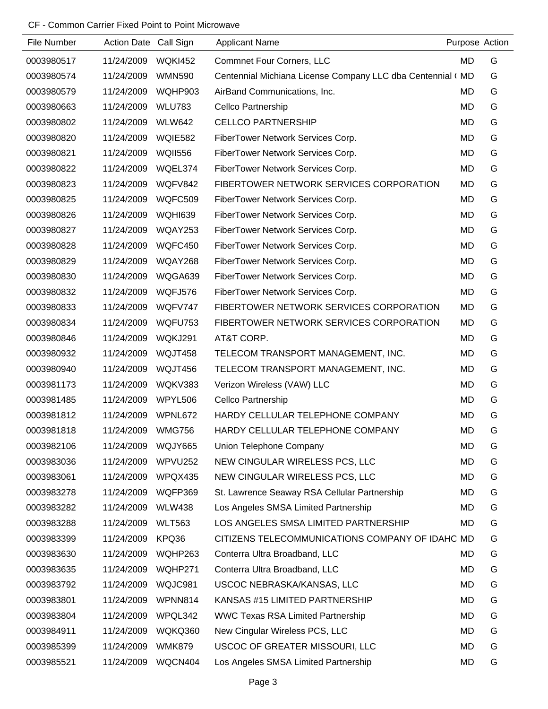#### CF - Common Carrier Fixed Point to Point Microwave

| File Number | Action Date Call Sign |                | <b>Applicant Name</b>                                      | Purpose Action |   |
|-------------|-----------------------|----------------|------------------------------------------------------------|----------------|---|
| 0003980517  | 11/24/2009            | <b>WQKI452</b> | <b>Commnet Four Corners, LLC</b>                           | MD             | G |
| 0003980574  | 11/24/2009            | <b>WMN590</b>  | Centennial Michiana License Company LLC dba Centennial (MD |                | G |
| 0003980579  | 11/24/2009            | WQHP903        | AirBand Communications, Inc.                               | MD             | G |
| 0003980663  | 11/24/2009            | <b>WLU783</b>  | Cellco Partnership                                         | <b>MD</b>      | G |
| 0003980802  | 11/24/2009            | <b>WLW642</b>  | <b>CELLCO PARTNERSHIP</b>                                  | MD             | G |
| 0003980820  | 11/24/2009            | <b>WQIE582</b> | FiberTower Network Services Corp.                          | MD             | G |
| 0003980821  | 11/24/2009            | <b>WQII556</b> | FiberTower Network Services Corp.                          | MD             | G |
| 0003980822  | 11/24/2009            | WQEL374        | FiberTower Network Services Corp.                          | MD             | G |
| 0003980823  | 11/24/2009            | WQFV842        | FIBERTOWER NETWORK SERVICES CORPORATION                    | <b>MD</b>      | G |
| 0003980825  | 11/24/2009            | WQFC509        | FiberTower Network Services Corp.                          | MD             | G |
| 0003980826  | 11/24/2009            | WQHI639        | FiberTower Network Services Corp.                          | MD             | G |
| 0003980827  | 11/24/2009            | WQAY253        | FiberTower Network Services Corp.                          | MD             | G |
| 0003980828  | 11/24/2009            | WQFC450        | FiberTower Network Services Corp.                          | MD             | G |
| 0003980829  | 11/24/2009            | WQAY268        | FiberTower Network Services Corp.                          | MD             | G |
| 0003980830  | 11/24/2009            | WQGA639        | FiberTower Network Services Corp.                          | MD             | G |
| 0003980832  | 11/24/2009            | WQFJ576        | FiberTower Network Services Corp.                          | <b>MD</b>      | G |
| 0003980833  | 11/24/2009            | WQFV747        | FIBERTOWER NETWORK SERVICES CORPORATION                    | MD             | G |
| 0003980834  | 11/24/2009            | WQFU753        | FIBERTOWER NETWORK SERVICES CORPORATION                    | <b>MD</b>      | G |
| 0003980846  | 11/24/2009            | WQKJ291        | AT&T CORP.                                                 | MD             | G |
| 0003980932  | 11/24/2009            | WQJT458        | TELECOM TRANSPORT MANAGEMENT, INC.                         | MD             | G |
| 0003980940  | 11/24/2009            | WQJT456        | TELECOM TRANSPORT MANAGEMENT, INC.                         | MD             | G |
| 0003981173  | 11/24/2009            | WQKV383        | Verizon Wireless (VAW) LLC                                 | MD             | G |
| 0003981485  | 11/24/2009            | WPYL506        | Cellco Partnership                                         | MD             | G |
| 0003981812  | 11/24/2009            | WPNL672        | HARDY CELLULAR TELEPHONE COMPANY                           | MD             | G |
| 0003981818  | 11/24/2009            | <b>WMG756</b>  | HARDY CELLULAR TELEPHONE COMPANY                           | <b>MD</b>      | G |
| 0003982106  | 11/24/2009            | WQJY665        | Union Telephone Company                                    | MD             | G |
| 0003983036  | 11/24/2009            | WPVU252        | NEW CINGULAR WIRELESS PCS, LLC                             | MD             | G |
| 0003983061  | 11/24/2009            | WPQX435        | NEW CINGULAR WIRELESS PCS, LLC                             | MD             | G |
| 0003983278  | 11/24/2009            | WQFP369        | St. Lawrence Seaway RSA Cellular Partnership               | MD             | G |
| 0003983282  | 11/24/2009            | <b>WLW438</b>  | Los Angeles SMSA Limited Partnership                       | MD             | G |
| 0003983288  | 11/24/2009            | <b>WLT563</b>  | LOS ANGELES SMSA LIMITED PARTNERSHIP                       | MD             | G |
| 0003983399  | 11/24/2009            | KPQ36          | CITIZENS TELECOMMUNICATIONS COMPANY OF IDAHC MD            |                | G |
| 0003983630  | 11/24/2009            | WQHP263        | Conterra Ultra Broadband, LLC                              | MD             | G |
| 0003983635  | 11/24/2009            | WQHP271        | Conterra Ultra Broadband, LLC                              | MD             | G |
| 0003983792  | 11/24/2009            | WQJC981        | USCOC NEBRASKA/KANSAS, LLC                                 | MD             | G |
| 0003983801  | 11/24/2009            | WPNN814        | KANSAS #15 LIMITED PARTNERSHIP                             | MD             | G |
| 0003983804  | 11/24/2009            | WPQL342        | <b>WWC Texas RSA Limited Partnership</b>                   | MD             | G |
| 0003984911  | 11/24/2009            | WQKQ360        | New Cingular Wireless PCS, LLC                             | MD             | G |
| 0003985399  | 11/24/2009            | <b>WMK879</b>  | USCOC OF GREATER MISSOURI, LLC                             | MD             | G |
| 0003985521  | 11/24/2009            | WQCN404        | Los Angeles SMSA Limited Partnership                       | MD             | G |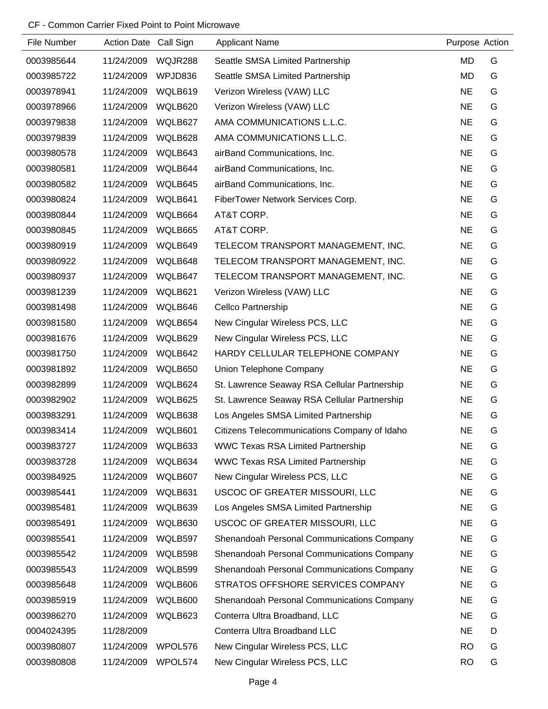## CF - Common Carrier Fixed Point to Point Microwave

| File Number | Action Date Call Sign |         | <b>Applicant Name</b>                        | Purpose Action |   |
|-------------|-----------------------|---------|----------------------------------------------|----------------|---|
| 0003985644  | 11/24/2009            | WQJR288 | Seattle SMSA Limited Partnership             | <b>MD</b>      | G |
| 0003985722  | 11/24/2009            | WPJD836 | Seattle SMSA Limited Partnership             | <b>MD</b>      | G |
| 0003978941  | 11/24/2009            | WQLB619 | Verizon Wireless (VAW) LLC                   | <b>NE</b>      | G |
| 0003978966  | 11/24/2009            | WQLB620 | Verizon Wireless (VAW) LLC                   | <b>NE</b>      | G |
| 0003979838  | 11/24/2009            | WQLB627 | AMA COMMUNICATIONS L.L.C.                    | <b>NE</b>      | G |
| 0003979839  | 11/24/2009            | WQLB628 | AMA COMMUNICATIONS L.L.C.                    | <b>NE</b>      | G |
| 0003980578  | 11/24/2009            | WQLB643 | airBand Communications, Inc.                 | <b>NE</b>      | G |
| 0003980581  | 11/24/2009            | WQLB644 | airBand Communications, Inc.                 | <b>NE</b>      | G |
| 0003980582  | 11/24/2009            | WQLB645 | airBand Communications, Inc.                 | <b>NE</b>      | G |
| 0003980824  | 11/24/2009            | WQLB641 | FiberTower Network Services Corp.            | <b>NE</b>      | G |
| 0003980844  | 11/24/2009            | WQLB664 | AT&T CORP.                                   | <b>NE</b>      | G |
| 0003980845  | 11/24/2009            | WQLB665 | AT&T CORP.                                   | <b>NE</b>      | G |
| 0003980919  | 11/24/2009            | WQLB649 | TELECOM TRANSPORT MANAGEMENT, INC.           | <b>NE</b>      | G |
| 0003980922  | 11/24/2009            | WQLB648 | TELECOM TRANSPORT MANAGEMENT, INC.           | <b>NE</b>      | G |
| 0003980937  | 11/24/2009            | WQLB647 | TELECOM TRANSPORT MANAGEMENT, INC.           | <b>NE</b>      | G |
| 0003981239  | 11/24/2009            | WQLB621 | Verizon Wireless (VAW) LLC                   | <b>NE</b>      | G |
| 0003981498  | 11/24/2009            | WQLB646 | Cellco Partnership                           | <b>NE</b>      | G |
| 0003981580  | 11/24/2009            | WQLB654 | New Cingular Wireless PCS, LLC               | <b>NE</b>      | G |
| 0003981676  | 11/24/2009            | WQLB629 | New Cingular Wireless PCS, LLC               | <b>NE</b>      | G |
| 0003981750  | 11/24/2009            | WQLB642 | HARDY CELLULAR TELEPHONE COMPANY             | <b>NE</b>      | G |
| 0003981892  | 11/24/2009            | WQLB650 | Union Telephone Company                      | <b>NE</b>      | G |
| 0003982899  | 11/24/2009            | WQLB624 | St. Lawrence Seaway RSA Cellular Partnership | <b>NE</b>      | G |
| 0003982902  | 11/24/2009            | WQLB625 | St. Lawrence Seaway RSA Cellular Partnership | <b>NE</b>      | G |
| 0003983291  | 11/24/2009            | WQLB638 | Los Angeles SMSA Limited Partnership         | <b>NE</b>      | G |
| 0003983414  | 11/24/2009            | WQLB601 | Citizens Telecommunications Company of Idaho | <b>NE</b>      | G |
| 0003983727  | 11/24/2009            | WQLB633 | <b>WWC Texas RSA Limited Partnership</b>     | <b>NE</b>      | G |
| 0003983728  | 11/24/2009            | WQLB634 | <b>WWC Texas RSA Limited Partnership</b>     | <b>NE</b>      | G |
| 0003984925  | 11/24/2009            | WQLB607 | New Cingular Wireless PCS, LLC               | <b>NE</b>      | G |
| 0003985441  | 11/24/2009            | WQLB631 | USCOC OF GREATER MISSOURI, LLC               | <b>NE</b>      | G |
| 0003985481  | 11/24/2009            | WQLB639 | Los Angeles SMSA Limited Partnership         | <b>NE</b>      | G |
| 0003985491  | 11/24/2009            | WQLB630 | USCOC OF GREATER MISSOURI, LLC               | <b>NE</b>      | G |
| 0003985541  | 11/24/2009            | WQLB597 | Shenandoah Personal Communications Company   | <b>NE</b>      | G |
| 0003985542  | 11/24/2009            | WQLB598 | Shenandoah Personal Communications Company   | <b>NE</b>      | G |
| 0003985543  | 11/24/2009            | WQLB599 | Shenandoah Personal Communications Company   | <b>NE</b>      | G |
| 0003985648  | 11/24/2009            | WQLB606 | STRATOS OFFSHORE SERVICES COMPANY            | <b>NE</b>      | G |
| 0003985919  | 11/24/2009            | WQLB600 | Shenandoah Personal Communications Company   | <b>NE</b>      | G |
| 0003986270  | 11/24/2009            | WQLB623 | Conterra Ultra Broadband, LLC                | <b>NE</b>      | G |
| 0004024395  | 11/28/2009            |         | Conterra Ultra Broadband LLC                 | <b>NE</b>      | D |
| 0003980807  | 11/24/2009            | WPOL576 | New Cingular Wireless PCS, LLC               | <b>RO</b>      | G |
| 0003980808  | 11/24/2009            | WPOL574 | New Cingular Wireless PCS, LLC               | <b>RO</b>      | G |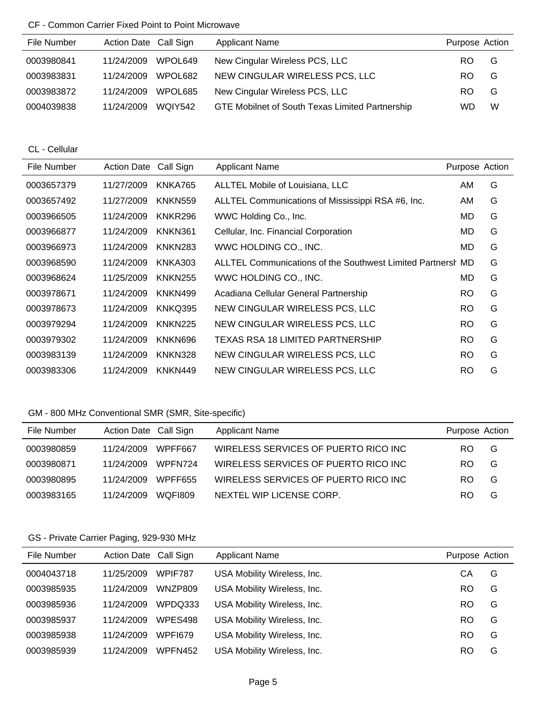#### CF - Common Carrier Fixed Point to Point Microwave

| File Number | Action Date Call Sign |         | <b>Applicant Name</b>                           | Purpose Action |   |
|-------------|-----------------------|---------|-------------------------------------------------|----------------|---|
| 0003980841  | 11/24/2009            | WPOL649 | New Cingular Wireless PCS, LLC                  | RO.            | G |
| 0003983831  | 11/24/2009            | WPOL682 | NEW CINGULAR WIRELESS PCS, LLC                  | RO.            | G |
| 0003983872  | 11/24/2009            | WPOL685 | New Cingular Wireless PCS, LLC                  | RO.            | G |
| 0004039838  | 11/24/2009            | WOIY542 | GTE Mobilnet of South Texas Limited Partnership | <b>WD</b>      | W |

CL - Cellular

| File Number | <b>Action Date</b> | Call Sign      | <b>Applicant Name</b>                                       | Purpose Action |   |
|-------------|--------------------|----------------|-------------------------------------------------------------|----------------|---|
| 0003657379  | 11/27/2009         | KNKA765        | ALLTEL Mobile of Louisiana, LLC                             | AM             | G |
| 0003657492  | 11/27/2009         | <b>KNKN559</b> | ALLTEL Communications of Mississippi RSA #6, Inc.           | AM             | G |
| 0003966505  | 11/24/2009         | KNKR296        | WWC Holding Co., Inc.                                       | MD.            | G |
| 0003966877  | 11/24/2009         | KNKN361        | Cellular, Inc. Financial Corporation                        | MD.            | G |
| 0003966973  | 11/24/2009         | KNKN283        | WWC HOLDING CO., INC.                                       | MD.            | G |
| 0003968590  | 11/24/2009         | KNKA303        | ALLTEL Communications of the Southwest Limited Partnersh MD |                | G |
| 0003968624  | 11/25/2009         | <b>KNKN255</b> | WWC HOLDING CO., INC.                                       | MD             | G |
| 0003978671  | 11/24/2009         | KNKN499        | Acadiana Cellular General Partnership                       | <b>RO</b>      | G |
| 0003978673  | 11/24/2009         | KNKQ395        | NEW CINGULAR WIRELESS PCS, LLC                              | <b>RO</b>      | G |
| 0003979294  | 11/24/2009         | KNKN225        | NEW CINGULAR WIRELESS PCS, LLC                              | <b>RO</b>      | G |
| 0003979302  | 11/24/2009         | KNKN696        | <b>TEXAS RSA 18 LIMITED PARTNERSHIP</b>                     | <b>RO</b>      | G |
| 0003983139  | 11/24/2009         | KNKN328        | NEW CINGULAR WIRELESS PCS, LLC                              | <b>RO</b>      | G |
| 0003983306  | 11/24/2009         | KNKN449        | NEW CINGULAR WIRELESS PCS, LLC                              | <b>RO</b>      | G |

## GM - 800 MHz Conventional SMR (SMR, Site-specific)

| File Number | Action Date Call Sign |         | Applicant Name                       | Purpose Action |   |
|-------------|-----------------------|---------|--------------------------------------|----------------|---|
| 0003980859  | 11/24/2009            | WPFF667 | WIRELESS SERVICES OF PUERTO RICO INC | RO.            | G |
| 0003980871  | 11/24/2009            | WPFN724 | WIRELESS SERVICES OF PUERTO RICO INC | RO.            | G |
| 0003980895  | 11/24/2009            | WPFF655 | WIRELESS SERVICES OF PUERTO RICO INC | RO.            | G |
| 0003983165  | 11/24/2009            | WOFI809 | NEXTEL WIP LICENSE CORP.             | RO             | G |

# GS - Private Carrier Paging, 929-930 MHz

| File Number | Action Date Call Sign |         | <b>Applicant Name</b>       | Purpose Action |   |
|-------------|-----------------------|---------|-----------------------------|----------------|---|
| 0004043718  | 11/25/2009            | WPIF787 | USA Mobility Wireless, Inc. | СA             | G |
| 0003985935  | 11/24/2009            | WNZP809 | USA Mobility Wireless, Inc. | RO             | G |
| 0003985936  | 11/24/2009            | WPDQ333 | USA Mobility Wireless, Inc. | RO             | G |
| 0003985937  | 11/24/2009            | WPES498 | USA Mobility Wireless, Inc. | RO             | G |
| 0003985938  | 11/24/2009            | WPFI679 | USA Mobility Wireless, Inc. | RO             | G |
| 0003985939  | 11/24/2009            | WPFN452 | USA Mobility Wireless, Inc. | RO             | G |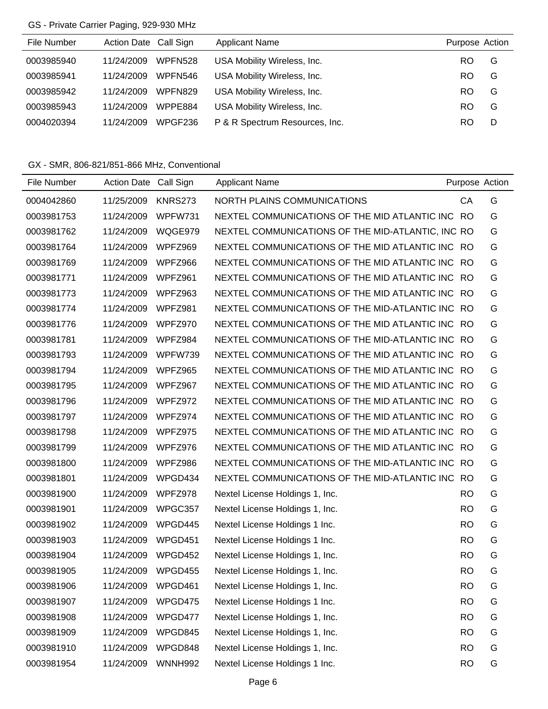## GS - Private Carrier Paging, 929-930 MHz

| File Number | Action Date Call Sign |         | <b>Applicant Name</b>          | Purpose Action |   |
|-------------|-----------------------|---------|--------------------------------|----------------|---|
| 0003985940  | 11/24/2009            | WPFN528 | USA Mobility Wireless, Inc.    | RO.            | G |
| 0003985941  | 11/24/2009            | WPFN546 | USA Mobility Wireless, Inc.    | RO.            | G |
| 0003985942  | 11/24/2009            | WPFN829 | USA Mobility Wireless, Inc.    | RO.            | G |
| 0003985943  | 11/24/2009            | WPPE884 | USA Mobility Wireless, Inc.    | RO.            | G |
| 0004020394  | 11/24/2009            | WPGF236 | P & R Spectrum Resources, Inc. | RO.            | D |

GX - SMR, 806-821/851-866 MHz, Conventional

| File Number | Action Date Call Sign |                | <b>Applicant Name</b>                             |           | Purpose Action |
|-------------|-----------------------|----------------|---------------------------------------------------|-----------|----------------|
| 0004042860  | 11/25/2009            | <b>KNRS273</b> | NORTH PLAINS COMMUNICATIONS                       | CA        | G              |
| 0003981753  | 11/24/2009            | WPFW731        | NEXTEL COMMUNICATIONS OF THE MID ATLANTIC INC RO  |           | G              |
| 0003981762  | 11/24/2009            | WQGE979        | NEXTEL COMMUNICATIONS OF THE MID-ATLANTIC, INC RO |           | G              |
| 0003981764  | 11/24/2009            | WPFZ969        | NEXTEL COMMUNICATIONS OF THE MID ATLANTIC INC RO  |           | G              |
| 0003981769  | 11/24/2009            | WPFZ966        | NEXTEL COMMUNICATIONS OF THE MID ATLANTIC INC RO  |           | G              |
| 0003981771  | 11/24/2009            | WPFZ961        | NEXTEL COMMUNICATIONS OF THE MID ATLANTIC INC RO  |           | G              |
| 0003981773  | 11/24/2009            | WPFZ963        | NEXTEL COMMUNICATIONS OF THE MID ATLANTIC INC RO  |           | G              |
| 0003981774  | 11/24/2009            | WPFZ981        | NEXTEL COMMUNICATIONS OF THE MID-ATLANTIC INC RO  |           | G              |
| 0003981776  | 11/24/2009            | WPFZ970        | NEXTEL COMMUNICATIONS OF THE MID ATLANTIC INC RO  |           | G              |
| 0003981781  | 11/24/2009            | WPFZ984        | NEXTEL COMMUNICATIONS OF THE MID-ATLANTIC INC RO  |           | G              |
| 0003981793  | 11/24/2009            | WPFW739        | NEXTEL COMMUNICATIONS OF THE MID ATLANTIC INC RO  |           | G              |
| 0003981794  | 11/24/2009            | WPFZ965        | NEXTEL COMMUNICATIONS OF THE MID ATLANTIC INC RO  |           | G              |
| 0003981795  | 11/24/2009            | WPFZ967        | NEXTEL COMMUNICATIONS OF THE MID ATLANTIC INC RO  |           | G              |
| 0003981796  | 11/24/2009            | WPFZ972        | NEXTEL COMMUNICATIONS OF THE MID ATLANTIC INC RO  |           | G              |
| 0003981797  | 11/24/2009            | WPFZ974        | NEXTEL COMMUNICATIONS OF THE MID ATLANTIC INC RO  |           | G              |
| 0003981798  | 11/24/2009            | WPFZ975        | NEXTEL COMMUNICATIONS OF THE MID ATLANTIC INC RO  |           | G              |
| 0003981799  | 11/24/2009            | WPFZ976        | NEXTEL COMMUNICATIONS OF THE MID ATLANTIC INC     | <b>RO</b> | G              |
| 0003981800  | 11/24/2009            | WPFZ986        | NEXTEL COMMUNICATIONS OF THE MID-ATLANTIC INC RO  |           | G              |
| 0003981801  | 11/24/2009            | WPGD434        | NEXTEL COMMUNICATIONS OF THE MID-ATLANTIC INC     | -RO       | G              |
| 0003981900  | 11/24/2009            | WPFZ978        | Nextel License Holdings 1, Inc.                   | <b>RO</b> | G              |
| 0003981901  | 11/24/2009            | WPGC357        | Nextel License Holdings 1, Inc.                   | <b>RO</b> | G              |
| 0003981902  | 11/24/2009            | WPGD445        | Nextel License Holdings 1 Inc.                    | <b>RO</b> | G              |
| 0003981903  | 11/24/2009            | WPGD451        | Nextel License Holdings 1 Inc.                    | <b>RO</b> | G              |
| 0003981904  | 11/24/2009            | WPGD452        | Nextel License Holdings 1, Inc.                   | <b>RO</b> | G              |
| 0003981905  | 11/24/2009            | WPGD455        | Nextel License Holdings 1, Inc.                   | <b>RO</b> | G              |
| 0003981906  | 11/24/2009            | WPGD461        | Nextel License Holdings 1, Inc.                   | <b>RO</b> | G              |
| 0003981907  | 11/24/2009            | WPGD475        | Nextel License Holdings 1 Inc.                    | <b>RO</b> | G              |
| 0003981908  | 11/24/2009            | WPGD477        | Nextel License Holdings 1, Inc.                   | <b>RO</b> | G              |
| 0003981909  | 11/24/2009            | WPGD845        | Nextel License Holdings 1, Inc.                   | <b>RO</b> | G              |
| 0003981910  | 11/24/2009            | WPGD848        | Nextel License Holdings 1, Inc.                   | <b>RO</b> | G              |
| 0003981954  | 11/24/2009            | <b>WNNH992</b> | Nextel License Holdings 1 Inc.                    | <b>RO</b> | G              |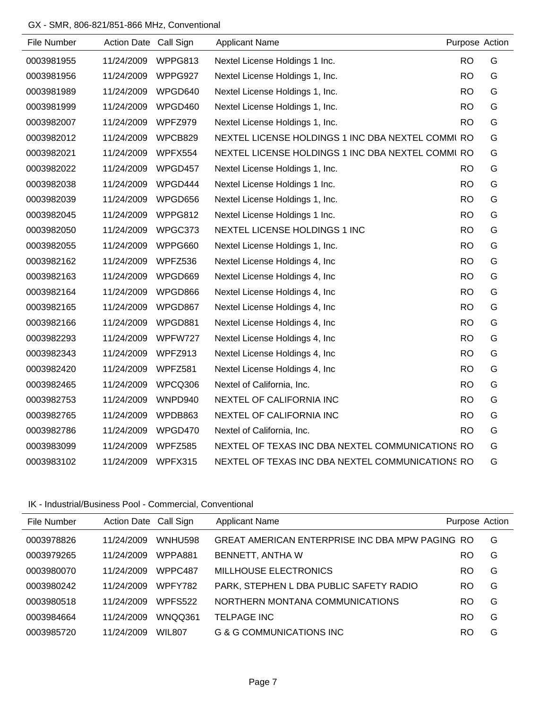## GX - SMR, 806-821/851-866 MHz, Conventional

| File Number | Action Date Call Sign |         | <b>Applicant Name</b>                             |           | Purpose Action |
|-------------|-----------------------|---------|---------------------------------------------------|-----------|----------------|
| 0003981955  | 11/24/2009            | WPPG813 | Nextel License Holdings 1 Inc.                    | <b>RO</b> | G              |
| 0003981956  | 11/24/2009            | WPPG927 | Nextel License Holdings 1, Inc.                   | <b>RO</b> | G              |
| 0003981989  | 11/24/2009            | WPGD640 | Nextel License Holdings 1, Inc.                   | <b>RO</b> | G              |
| 0003981999  | 11/24/2009            | WPGD460 | Nextel License Holdings 1, Inc.                   | <b>RO</b> | G              |
| 0003982007  | 11/24/2009            | WPFZ979 | Nextel License Holdings 1, Inc.                   | <b>RO</b> | G              |
| 0003982012  | 11/24/2009            | WPCB829 | NEXTEL LICENSE HOLDINGS 1 INC DBA NEXTEL COMMI RO |           | G              |
| 0003982021  | 11/24/2009            | WPFX554 | NEXTEL LICENSE HOLDINGS 1 INC DBA NEXTEL COMMI RO |           | G              |
| 0003982022  | 11/24/2009            | WPGD457 | Nextel License Holdings 1, Inc.                   | <b>RO</b> | G              |
| 0003982038  | 11/24/2009            | WPGD444 | Nextel License Holdings 1 Inc.                    | <b>RO</b> | G              |
| 0003982039  | 11/24/2009            | WPGD656 | Nextel License Holdings 1, Inc.                   | <b>RO</b> | G              |
| 0003982045  | 11/24/2009            | WPPG812 | Nextel License Holdings 1 Inc.                    | <b>RO</b> | G              |
| 0003982050  | 11/24/2009            | WPGC373 | NEXTEL LICENSE HOLDINGS 1 INC                     | <b>RO</b> | G              |
| 0003982055  | 11/24/2009            | WPPG660 | Nextel License Holdings 1, Inc.                   | <b>RO</b> | G              |
| 0003982162  | 11/24/2009            | WPFZ536 | Nextel License Holdings 4, Inc.                   | <b>RO</b> | G              |
| 0003982163  | 11/24/2009            | WPGD669 | Nextel License Holdings 4, Inc.                   | <b>RO</b> | G              |
| 0003982164  | 11/24/2009            | WPGD866 | Nextel License Holdings 4, Inc.                   | <b>RO</b> | G              |
| 0003982165  | 11/24/2009            | WPGD867 | Nextel License Holdings 4, Inc.                   | <b>RO</b> | G              |
| 0003982166  | 11/24/2009            | WPGD881 | Nextel License Holdings 4, Inc.                   | <b>RO</b> | G              |
| 0003982293  | 11/24/2009            | WPFW727 | Nextel License Holdings 4, Inc.                   | <b>RO</b> | G              |
| 0003982343  | 11/24/2009            | WPFZ913 | Nextel License Holdings 4, Inc                    | <b>RO</b> | G              |
| 0003982420  | 11/24/2009            | WPFZ581 | Nextel License Holdings 4, Inc.                   | <b>RO</b> | G              |
| 0003982465  | 11/24/2009            | WPCQ306 | Nextel of California, Inc.                        | <b>RO</b> | G              |
| 0003982753  | 11/24/2009            | WNPD940 | NEXTEL OF CALIFORNIA INC                          | <b>RO</b> | G              |
| 0003982765  | 11/24/2009            | WPDB863 | NEXTEL OF CALIFORNIA INC                          | <b>RO</b> | G              |
| 0003982786  | 11/24/2009            | WPGD470 | Nextel of California, Inc.                        | <b>RO</b> | G              |
| 0003983099  | 11/24/2009            | WPFZ585 | NEXTEL OF TEXAS INC DBA NEXTEL COMMUNICATIONS RO  |           | G              |
| 0003983102  | 11/24/2009            | WPFX315 | NEXTEL OF TEXAS INC DBA NEXTEL COMMUNICATIONS RO  |           | G              |

## IK - Industrial/Business Pool - Commercial, Conventional

| File Number | Action Date Call Sign |                | <b>Applicant Name</b>                           | Purpose Action |   |
|-------------|-----------------------|----------------|-------------------------------------------------|----------------|---|
| 0003978826  | 11/24/2009            | WNHU598        | GREAT AMERICAN ENTERPRISE INC DBA MPW PAGING RO |                | G |
| 0003979265  | 11/24/2009            | WPPA881        | BENNETT, ANTHA W                                | RO             | G |
| 0003980070  | 11/24/2009            | WPPC487        | MILLHOUSE ELECTRONICS                           | RO             | G |
| 0003980242  | 11/24/2009            | WPFY782        | PARK, STEPHEN L DBA PUBLIC SAFETY RADIO         | RO             | G |
| 0003980518  | 11/24/2009            | <b>WPFS522</b> | NORTHERN MONTANA COMMUNICATIONS                 | RO             | G |
| 0003984664  | 11/24/2009            | WNQQ361        | <b>TELPAGE INC</b>                              | <b>RO</b>      | G |
| 0003985720  | 11/24/2009            | WIL807         | G & G COMMUNICATIONS INC                        | RO             | G |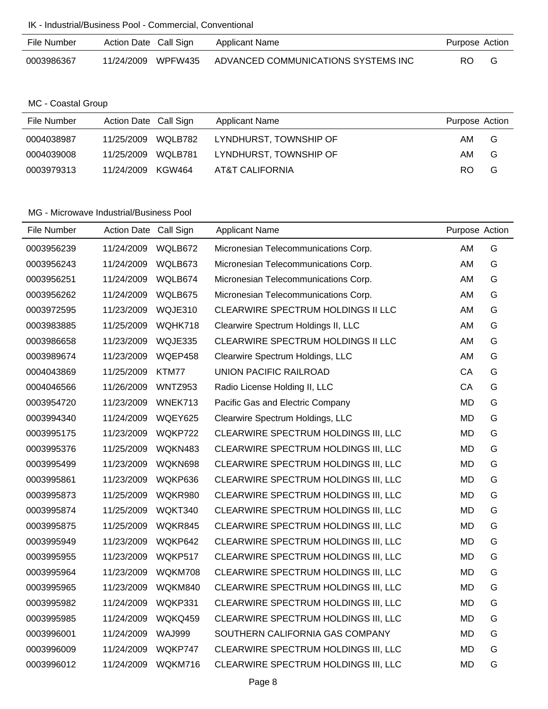| File Number | Action Date Call Sign |                | <b>Applicant Name</b>               | Purpose Action |   |
|-------------|-----------------------|----------------|-------------------------------------|----------------|---|
| 0003986367  | 11/24/2009            | <b>WPFW435</b> | ADVANCED COMMUNICATIONS SYSTEMS INC | RO             | G |

MC - Coastal Group

| File Number | Action Date Call Sign | Applicant Name         | Purpose Action |
|-------------|-----------------------|------------------------|----------------|
| 0004038987  | WQLB782<br>11/25/2009 | LYNDHURST, TOWNSHIP OF | G<br>AM.       |
| 0004039008  | WOLB781<br>11/25/2009 | LYNDHURST, TOWNSHIP OF | G<br>AM        |
| 0003979313  | 11/24/2009 KGW464     | AT&T CALIFORNIA        | G<br>RO.       |

| File Number | Action Date Call Sign |               | <b>Applicant Name</b>                | Purpose Action |   |
|-------------|-----------------------|---------------|--------------------------------------|----------------|---|
| 0003956239  | 11/24/2009            | WQLB672       | Micronesian Telecommunications Corp. | AM             | G |
| 0003956243  | 11/24/2009            | WQLB673       | Micronesian Telecommunications Corp. | AM             | G |
| 0003956251  | 11/24/2009            | WQLB674       | Micronesian Telecommunications Corp. | AM             | G |
| 0003956262  | 11/24/2009            | WQLB675       | Micronesian Telecommunications Corp. | AM.            | G |
| 0003972595  | 11/23/2009            | WQJE310       | CLEARWIRE SPECTRUM HOLDINGS II LLC   | AM             | G |
| 0003983885  | 11/25/2009            | WQHK718       | Clearwire Spectrum Holdings II, LLC  | AM.            | G |
| 0003986658  | 11/23/2009            | WQJE335       | CLEARWIRE SPECTRUM HOLDINGS II LLC   | AM             | G |
| 0003989674  | 11/23/2009            | WQEP458       | Clearwire Spectrum Holdings, LLC     | AM             | G |
| 0004043869  | 11/25/2009            | KTM77         | <b>UNION PACIFIC RAILROAD</b>        | CA             | G |
| 0004046566  | 11/26/2009            | WNTZ953       | Radio License Holding II, LLC        | CA             | G |
| 0003954720  | 11/23/2009            | WNEK713       | Pacific Gas and Electric Company     | <b>MD</b>      | G |
| 0003994340  | 11/24/2009            | WQEY625       | Clearwire Spectrum Holdings, LLC     | <b>MD</b>      | G |
| 0003995175  | 11/23/2009            | WQKP722       | CLEARWIRE SPECTRUM HOLDINGS III, LLC | MD             | G |
| 0003995376  | 11/25/2009            | WQKN483       | CLEARWIRE SPECTRUM HOLDINGS III, LLC | <b>MD</b>      | G |
| 0003995499  | 11/23/2009            | WQKN698       | CLEARWIRE SPECTRUM HOLDINGS III, LLC | <b>MD</b>      | G |
| 0003995861  | 11/23/2009            | WQKP636       | CLEARWIRE SPECTRUM HOLDINGS III, LLC | MD             | G |
| 0003995873  | 11/25/2009            | WQKR980       | CLEARWIRE SPECTRUM HOLDINGS III, LLC | <b>MD</b>      | G |
| 0003995874  | 11/25/2009            | WQKT340       | CLEARWIRE SPECTRUM HOLDINGS III, LLC | <b>MD</b>      | G |
| 0003995875  | 11/25/2009            | WQKR845       | CLEARWIRE SPECTRUM HOLDINGS III, LLC | MD             | G |
| 0003995949  | 11/23/2009            | WQKP642       | CLEARWIRE SPECTRUM HOLDINGS III, LLC | MD             | G |
| 0003995955  | 11/23/2009            | WQKP517       | CLEARWIRE SPECTRUM HOLDINGS III, LLC | MD             | G |
| 0003995964  | 11/23/2009            | WQKM708       | CLEARWIRE SPECTRUM HOLDINGS III, LLC | MD             | G |
| 0003995965  | 11/23/2009            | WQKM840       | CLEARWIRE SPECTRUM HOLDINGS III, LLC | <b>MD</b>      | G |
| 0003995982  | 11/24/2009            | WQKP331       | CLEARWIRE SPECTRUM HOLDINGS III, LLC | MD             | G |
| 0003995985  | 11/24/2009            | WQKQ459       | CLEARWIRE SPECTRUM HOLDINGS III, LLC | <b>MD</b>      | G |
| 0003996001  | 11/24/2009            | <b>WAJ999</b> | SOUTHERN CALIFORNIA GAS COMPANY      | MD             | G |
| 0003996009  | 11/24/2009            | WQKP747       | CLEARWIRE SPECTRUM HOLDINGS III, LLC | MD             | G |
| 0003996012  | 11/24/2009            | WQKM716       | CLEARWIRE SPECTRUM HOLDINGS III, LLC | <b>MD</b>      | G |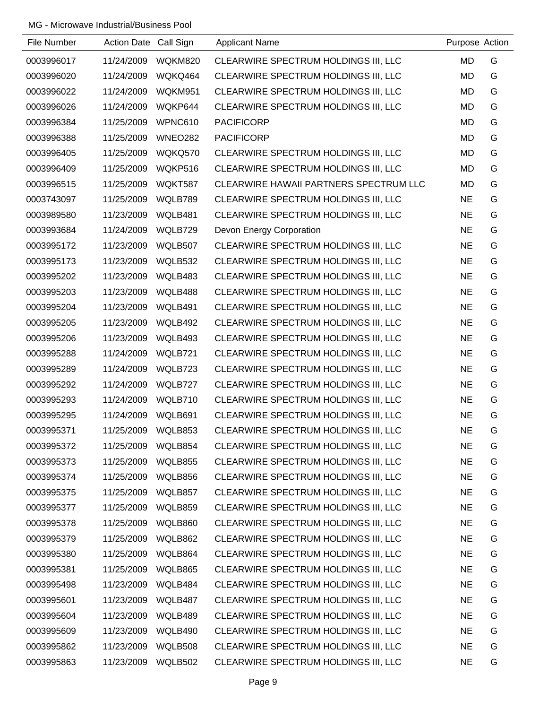| File Number | Action Date Call Sign |                | <b>Applicant Name</b>                  | Purpose Action |   |
|-------------|-----------------------|----------------|----------------------------------------|----------------|---|
| 0003996017  | 11/24/2009            | WQKM820        | CLEARWIRE SPECTRUM HOLDINGS III, LLC   | <b>MD</b>      | G |
| 0003996020  | 11/24/2009            | WQKQ464        | CLEARWIRE SPECTRUM HOLDINGS III, LLC   | <b>MD</b>      | G |
| 0003996022  | 11/24/2009            | WQKM951        | CLEARWIRE SPECTRUM HOLDINGS III, LLC   | MD             | G |
| 0003996026  | 11/24/2009            | WQKP644        | CLEARWIRE SPECTRUM HOLDINGS III, LLC   | MD             | G |
| 0003996384  | 11/25/2009            | WPNC610        | <b>PACIFICORP</b>                      | <b>MD</b>      | G |
| 0003996388  | 11/25/2009            | <b>WNEO282</b> | <b>PACIFICORP</b>                      | <b>MD</b>      | G |
| 0003996405  | 11/25/2009            | WQKQ570        | CLEARWIRE SPECTRUM HOLDINGS III, LLC   | MD             | G |
| 0003996409  | 11/25/2009            | WQKP516        | CLEARWIRE SPECTRUM HOLDINGS III, LLC   | MD             | G |
| 0003996515  | 11/25/2009            | WQKT587        | CLEARWIRE HAWAII PARTNERS SPECTRUM LLC | <b>MD</b>      | G |
| 0003743097  | 11/25/2009            | WQLB789        | CLEARWIRE SPECTRUM HOLDINGS III, LLC   | <b>NE</b>      | G |
| 0003989580  | 11/23/2009            | WQLB481        | CLEARWIRE SPECTRUM HOLDINGS III, LLC   | <b>NE</b>      | G |
| 0003993684  | 11/24/2009            | WQLB729        | Devon Energy Corporation               | <b>NE</b>      | G |
| 0003995172  | 11/23/2009            | WQLB507        | CLEARWIRE SPECTRUM HOLDINGS III, LLC   | <b>NE</b>      | G |
| 0003995173  | 11/23/2009            | WQLB532        | CLEARWIRE SPECTRUM HOLDINGS III, LLC   | <b>NE</b>      | G |
| 0003995202  | 11/23/2009            | WQLB483        | CLEARWIRE SPECTRUM HOLDINGS III, LLC   | <b>NE</b>      | G |
| 0003995203  | 11/23/2009            | WQLB488        | CLEARWIRE SPECTRUM HOLDINGS III, LLC   | <b>NE</b>      | G |
| 0003995204  | 11/23/2009            | WQLB491        | CLEARWIRE SPECTRUM HOLDINGS III, LLC   | <b>NE</b>      | G |
| 0003995205  | 11/23/2009            | WQLB492        | CLEARWIRE SPECTRUM HOLDINGS III, LLC   | <b>NE</b>      | G |
| 0003995206  | 11/23/2009            | WQLB493        | CLEARWIRE SPECTRUM HOLDINGS III, LLC   | <b>NE</b>      | G |
| 0003995288  | 11/24/2009            | WQLB721        | CLEARWIRE SPECTRUM HOLDINGS III, LLC   | <b>NE</b>      | G |
| 0003995289  | 11/24/2009            | WQLB723        | CLEARWIRE SPECTRUM HOLDINGS III, LLC   | <b>NE</b>      | G |
| 0003995292  | 11/24/2009            | WQLB727        | CLEARWIRE SPECTRUM HOLDINGS III, LLC   | <b>NE</b>      | G |
| 0003995293  | 11/24/2009            | WQLB710        | CLEARWIRE SPECTRUM HOLDINGS III, LLC   | <b>NE</b>      | G |
| 0003995295  | 11/24/2009            | WQLB691        | CLEARWIRE SPECTRUM HOLDINGS III, LLC   | <b>NE</b>      | G |
| 0003995371  | 11/25/2009            | WQLB853        | CLEARWIRE SPECTRUM HOLDINGS III, LLC   | <b>NE</b>      | G |
| 0003995372  | 11/25/2009            | WQLB854        | CLEARWIRE SPECTRUM HOLDINGS III, LLC   | <b>NE</b>      | G |
| 0003995373  | 11/25/2009            | WQLB855        | CLEARWIRE SPECTRUM HOLDINGS III, LLC   | <b>NE</b>      | G |
| 0003995374  | 11/25/2009            | WQLB856        | CLEARWIRE SPECTRUM HOLDINGS III, LLC   | <b>NE</b>      | G |
| 0003995375  | 11/25/2009            | WQLB857        | CLEARWIRE SPECTRUM HOLDINGS III, LLC   | <b>NE</b>      | G |
| 0003995377  | 11/25/2009            | WQLB859        | CLEARWIRE SPECTRUM HOLDINGS III, LLC   | <b>NE</b>      | G |
| 0003995378  | 11/25/2009            | WQLB860        | CLEARWIRE SPECTRUM HOLDINGS III, LLC   | <b>NE</b>      | G |
| 0003995379  | 11/25/2009            | WQLB862        | CLEARWIRE SPECTRUM HOLDINGS III, LLC   | <b>NE</b>      | G |
| 0003995380  | 11/25/2009            | WQLB864        | CLEARWIRE SPECTRUM HOLDINGS III, LLC   | <b>NE</b>      | G |
| 0003995381  | 11/25/2009            | WQLB865        | CLEARWIRE SPECTRUM HOLDINGS III, LLC   | <b>NE</b>      | G |
| 0003995498  | 11/23/2009            | WQLB484        | CLEARWIRE SPECTRUM HOLDINGS III, LLC   | <b>NE</b>      | G |
| 0003995601  | 11/23/2009            | WQLB487        | CLEARWIRE SPECTRUM HOLDINGS III, LLC   | <b>NE</b>      | G |
| 0003995604  | 11/23/2009            | WQLB489        | CLEARWIRE SPECTRUM HOLDINGS III, LLC   | <b>NE</b>      | G |
| 0003995609  | 11/23/2009            | WQLB490        | CLEARWIRE SPECTRUM HOLDINGS III, LLC   | <b>NE</b>      | G |
| 0003995862  | 11/23/2009            | WQLB508        | CLEARWIRE SPECTRUM HOLDINGS III, LLC   | <b>NE</b>      | G |
| 0003995863  | 11/23/2009            | WQLB502        | CLEARWIRE SPECTRUM HOLDINGS III, LLC   | <b>NE</b>      | G |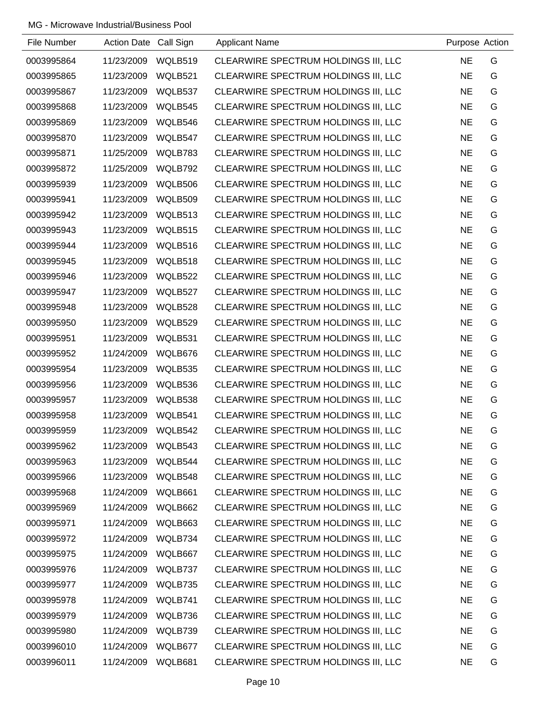| File Number | Action Date Call Sign |         | <b>Applicant Name</b>                | Purpose Action |   |
|-------------|-----------------------|---------|--------------------------------------|----------------|---|
| 0003995864  | 11/23/2009            | WQLB519 | CLEARWIRE SPECTRUM HOLDINGS III, LLC | <b>NE</b>      | G |
| 0003995865  | 11/23/2009            | WQLB521 | CLEARWIRE SPECTRUM HOLDINGS III, LLC | <b>NE</b>      | G |
| 0003995867  | 11/23/2009            | WQLB537 | CLEARWIRE SPECTRUM HOLDINGS III, LLC | <b>NE</b>      | G |
| 0003995868  | 11/23/2009            | WQLB545 | CLEARWIRE SPECTRUM HOLDINGS III, LLC | <b>NE</b>      | G |
| 0003995869  | 11/23/2009            | WQLB546 | CLEARWIRE SPECTRUM HOLDINGS III, LLC | <b>NE</b>      | G |
| 0003995870  | 11/23/2009            | WQLB547 | CLEARWIRE SPECTRUM HOLDINGS III, LLC | <b>NE</b>      | G |
| 0003995871  | 11/25/2009            | WQLB783 | CLEARWIRE SPECTRUM HOLDINGS III, LLC | <b>NE</b>      | G |
| 0003995872  | 11/25/2009            | WQLB792 | CLEARWIRE SPECTRUM HOLDINGS III, LLC | <b>NE</b>      | G |
| 0003995939  | 11/23/2009            | WQLB506 | CLEARWIRE SPECTRUM HOLDINGS III, LLC | <b>NE</b>      | G |
| 0003995941  | 11/23/2009            | WQLB509 | CLEARWIRE SPECTRUM HOLDINGS III, LLC | <b>NE</b>      | G |
| 0003995942  | 11/23/2009            | WQLB513 | CLEARWIRE SPECTRUM HOLDINGS III, LLC | <b>NE</b>      | G |
| 0003995943  | 11/23/2009            | WQLB515 | CLEARWIRE SPECTRUM HOLDINGS III, LLC | <b>NE</b>      | G |
| 0003995944  | 11/23/2009            | WQLB516 | CLEARWIRE SPECTRUM HOLDINGS III, LLC | <b>NE</b>      | G |
| 0003995945  | 11/23/2009            | WQLB518 | CLEARWIRE SPECTRUM HOLDINGS III, LLC | <b>NE</b>      | G |
| 0003995946  | 11/23/2009            | WQLB522 | CLEARWIRE SPECTRUM HOLDINGS III, LLC | <b>NE</b>      | G |
| 0003995947  | 11/23/2009            | WQLB527 | CLEARWIRE SPECTRUM HOLDINGS III, LLC | <b>NE</b>      | G |
| 0003995948  | 11/23/2009            | WQLB528 | CLEARWIRE SPECTRUM HOLDINGS III, LLC | <b>NE</b>      | G |
| 0003995950  | 11/23/2009            | WQLB529 | CLEARWIRE SPECTRUM HOLDINGS III, LLC | <b>NE</b>      | G |
| 0003995951  | 11/23/2009            | WQLB531 | CLEARWIRE SPECTRUM HOLDINGS III, LLC | <b>NE</b>      | G |
| 0003995952  | 11/24/2009            | WQLB676 | CLEARWIRE SPECTRUM HOLDINGS III, LLC | <b>NE</b>      | G |
| 0003995954  | 11/23/2009            | WQLB535 | CLEARWIRE SPECTRUM HOLDINGS III, LLC | <b>NE</b>      | G |
| 0003995956  | 11/23/2009            | WQLB536 | CLEARWIRE SPECTRUM HOLDINGS III, LLC | <b>NE</b>      | G |
| 0003995957  | 11/23/2009            | WQLB538 | CLEARWIRE SPECTRUM HOLDINGS III, LLC | <b>NE</b>      | G |
| 0003995958  | 11/23/2009            | WQLB541 | CLEARWIRE SPECTRUM HOLDINGS III, LLC | <b>NE</b>      | G |
| 0003995959  | 11/23/2009            | WQLB542 | CLEARWIRE SPECTRUM HOLDINGS III, LLC | <b>NE</b>      | G |
| 0003995962  | 11/23/2009            | WQLB543 | CLEARWIRE SPECTRUM HOLDINGS III, LLC | <b>NE</b>      | G |
| 0003995963  | 11/23/2009            | WQLB544 | CLEARWIRE SPECTRUM HOLDINGS III, LLC | <b>NE</b>      | G |
| 0003995966  | 11/23/2009            | WQLB548 | CLEARWIRE SPECTRUM HOLDINGS III, LLC | <b>NE</b>      | G |
| 0003995968  | 11/24/2009            | WQLB661 | CLEARWIRE SPECTRUM HOLDINGS III, LLC | <b>NE</b>      | G |
| 0003995969  | 11/24/2009            | WQLB662 | CLEARWIRE SPECTRUM HOLDINGS III, LLC | <b>NE</b>      | G |
| 0003995971  | 11/24/2009            | WQLB663 | CLEARWIRE SPECTRUM HOLDINGS III, LLC | <b>NE</b>      | G |
| 0003995972  | 11/24/2009            | WQLB734 | CLEARWIRE SPECTRUM HOLDINGS III, LLC | <b>NE</b>      | G |
| 0003995975  | 11/24/2009            | WQLB667 | CLEARWIRE SPECTRUM HOLDINGS III, LLC | <b>NE</b>      | G |
| 0003995976  | 11/24/2009            | WQLB737 | CLEARWIRE SPECTRUM HOLDINGS III, LLC | <b>NE</b>      | G |
| 0003995977  | 11/24/2009            | WQLB735 | CLEARWIRE SPECTRUM HOLDINGS III, LLC | <b>NE</b>      | G |
| 0003995978  | 11/24/2009            | WQLB741 | CLEARWIRE SPECTRUM HOLDINGS III, LLC | <b>NE</b>      | G |
| 0003995979  | 11/24/2009            | WQLB736 | CLEARWIRE SPECTRUM HOLDINGS III, LLC | <b>NE</b>      | G |
| 0003995980  | 11/24/2009            | WQLB739 | CLEARWIRE SPECTRUM HOLDINGS III, LLC | <b>NE</b>      | G |
| 0003996010  | 11/24/2009            | WQLB677 | CLEARWIRE SPECTRUM HOLDINGS III, LLC | <b>NE</b>      | G |
| 0003996011  | 11/24/2009            | WQLB681 | CLEARWIRE SPECTRUM HOLDINGS III, LLC | <b>NE</b>      | G |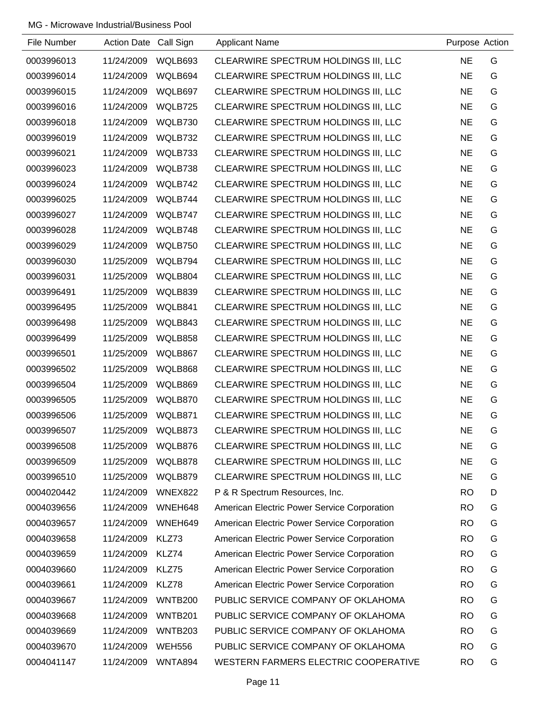| File Number | Action Date Call Sign |                | <b>Applicant Name</b>                       | Purpose Action |   |
|-------------|-----------------------|----------------|---------------------------------------------|----------------|---|
| 0003996013  | 11/24/2009            | WQLB693        | CLEARWIRE SPECTRUM HOLDINGS III, LLC        | <b>NE</b>      | G |
| 0003996014  | 11/24/2009            | WQLB694        | CLEARWIRE SPECTRUM HOLDINGS III, LLC        | <b>NE</b>      | G |
| 0003996015  | 11/24/2009            | WQLB697        | CLEARWIRE SPECTRUM HOLDINGS III, LLC        | <b>NE</b>      | G |
| 0003996016  | 11/24/2009            | WQLB725        | CLEARWIRE SPECTRUM HOLDINGS III, LLC        | <b>NE</b>      | G |
| 0003996018  | 11/24/2009            | WQLB730        | CLEARWIRE SPECTRUM HOLDINGS III, LLC        | <b>NE</b>      | G |
| 0003996019  | 11/24/2009            | WQLB732        | CLEARWIRE SPECTRUM HOLDINGS III, LLC        | <b>NE</b>      | G |
| 0003996021  | 11/24/2009            | WQLB733        | CLEARWIRE SPECTRUM HOLDINGS III, LLC        | <b>NE</b>      | G |
| 0003996023  | 11/24/2009            | WQLB738        | CLEARWIRE SPECTRUM HOLDINGS III, LLC        | <b>NE</b>      | G |
| 0003996024  | 11/24/2009            | WQLB742        | CLEARWIRE SPECTRUM HOLDINGS III, LLC        | <b>NE</b>      | G |
| 0003996025  | 11/24/2009            | WQLB744        | CLEARWIRE SPECTRUM HOLDINGS III, LLC        | <b>NE</b>      | G |
| 0003996027  | 11/24/2009            | WQLB747        | CLEARWIRE SPECTRUM HOLDINGS III, LLC        | <b>NE</b>      | G |
| 0003996028  | 11/24/2009            | WQLB748        | CLEARWIRE SPECTRUM HOLDINGS III, LLC        | <b>NE</b>      | G |
| 0003996029  | 11/24/2009            | WQLB750        | CLEARWIRE SPECTRUM HOLDINGS III, LLC        | <b>NE</b>      | G |
| 0003996030  | 11/25/2009            | WQLB794        | CLEARWIRE SPECTRUM HOLDINGS III, LLC        | <b>NE</b>      | G |
| 0003996031  | 11/25/2009            | WQLB804        | CLEARWIRE SPECTRUM HOLDINGS III, LLC        | <b>NE</b>      | G |
| 0003996491  | 11/25/2009            | WQLB839        | CLEARWIRE SPECTRUM HOLDINGS III, LLC        | <b>NE</b>      | G |
| 0003996495  | 11/25/2009            | WQLB841        | CLEARWIRE SPECTRUM HOLDINGS III, LLC        | <b>NE</b>      | G |
| 0003996498  | 11/25/2009            | WQLB843        | CLEARWIRE SPECTRUM HOLDINGS III, LLC        | <b>NE</b>      | G |
| 0003996499  | 11/25/2009            | WQLB858        | CLEARWIRE SPECTRUM HOLDINGS III, LLC        | <b>NE</b>      | G |
| 0003996501  | 11/25/2009            | WQLB867        | CLEARWIRE SPECTRUM HOLDINGS III, LLC        | <b>NE</b>      | G |
| 0003996502  | 11/25/2009            | WQLB868        | CLEARWIRE SPECTRUM HOLDINGS III, LLC        | <b>NE</b>      | G |
| 0003996504  | 11/25/2009            | WQLB869        | CLEARWIRE SPECTRUM HOLDINGS III, LLC        | <b>NE</b>      | G |
| 0003996505  | 11/25/2009            | WQLB870        | CLEARWIRE SPECTRUM HOLDINGS III, LLC        | <b>NE</b>      | G |
| 0003996506  | 11/25/2009            | WQLB871        | CLEARWIRE SPECTRUM HOLDINGS III, LLC        | <b>NE</b>      | G |
| 0003996507  | 11/25/2009            | WQLB873        | CLEARWIRE SPECTRUM HOLDINGS III, LLC        | <b>NE</b>      | G |
| 0003996508  | 11/25/2009            | WQLB876        | CLEARWIRE SPECTRUM HOLDINGS III, LLC        | <b>NE</b>      | G |
| 0003996509  | 11/25/2009            | WQLB878        | CLEARWIRE SPECTRUM HOLDINGS III, LLC        | <b>NE</b>      | G |
| 0003996510  | 11/25/2009            | WQLB879        | CLEARWIRE SPECTRUM HOLDINGS III, LLC        | <b>NE</b>      | G |
| 0004020442  | 11/24/2009            | WNEX822        | P & R Spectrum Resources, Inc.              | <b>RO</b>      | D |
| 0004039656  | 11/24/2009            | WNEH648        | American Electric Power Service Corporation | <b>RO</b>      | G |
| 0004039657  | 11/24/2009            | WNEH649        | American Electric Power Service Corporation | <b>RO</b>      | G |
| 0004039658  | 11/24/2009            | KLZ73          | American Electric Power Service Corporation | <b>RO</b>      | G |
| 0004039659  | 11/24/2009            | KLZ74          | American Electric Power Service Corporation | <b>RO</b>      | G |
| 0004039660  | 11/24/2009            | KLZ75          | American Electric Power Service Corporation | <b>RO</b>      | G |
| 0004039661  | 11/24/2009            | KLZ78          | American Electric Power Service Corporation | <b>RO</b>      | G |
| 0004039667  | 11/24/2009            | <b>WNTB200</b> | PUBLIC SERVICE COMPANY OF OKLAHOMA          | <b>RO</b>      | G |
| 0004039668  | 11/24/2009            | <b>WNTB201</b> | PUBLIC SERVICE COMPANY OF OKLAHOMA          | <b>RO</b>      | G |
| 0004039669  | 11/24/2009            | <b>WNTB203</b> | PUBLIC SERVICE COMPANY OF OKLAHOMA          | <b>RO</b>      | G |
| 0004039670  | 11/24/2009            | <b>WEH556</b>  | PUBLIC SERVICE COMPANY OF OKLAHOMA          | <b>RO</b>      | G |
| 0004041147  | 11/24/2009            | WNTA894        | WESTERN FARMERS ELECTRIC COOPERATIVE        | <b>RO</b>      | G |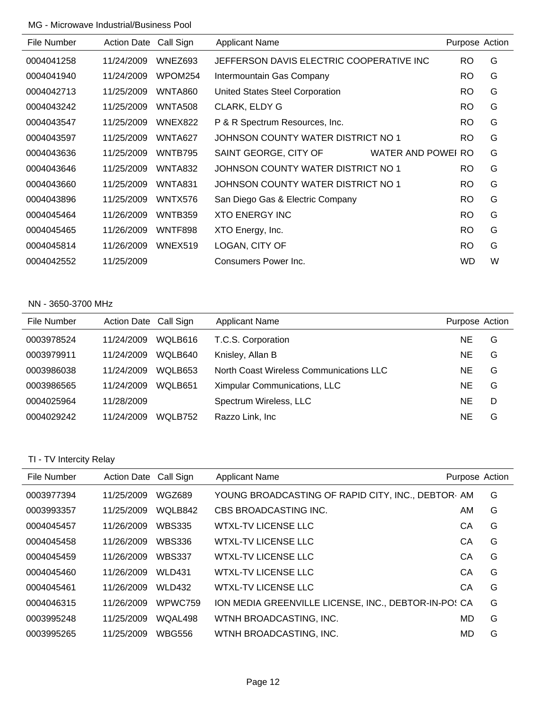| File Number | <b>Action Date</b> | Call Sign      | <b>Applicant Name</b>                    |                 | Purpose Action |   |
|-------------|--------------------|----------------|------------------------------------------|-----------------|----------------|---|
| 0004041258  | 11/24/2009         | WNEZ693        | JEFFERSON DAVIS ELECTRIC COOPERATIVE INC |                 | <b>RO</b>      | G |
| 0004041940  | 11/24/2009         | WPOM254        | Intermountain Gas Company                |                 | RO.            | G |
| 0004042713  | 11/25/2009         | <b>WNTA860</b> | <b>United States Steel Corporation</b>   |                 | RO.            | G |
| 0004043242  | 11/25/2009         | <b>WNTA508</b> | <b>CLARK, ELDY G</b>                     |                 | RO.            | G |
| 0004043547  | 11/25/2009         | WNEX822        | P & R Spectrum Resources, Inc.           |                 | <b>RO</b>      | G |
| 0004043597  | 11/25/2009         | WNTA627        | JOHNSON COUNTY WATER DISTRICT NO 1       |                 | RO             | G |
| 0004043636  | 11/25/2009         | WNTB795        | SAINT GEORGE, CITY OF                    | WATER AND POWEI | RO.            | G |
| 0004043646  | 11/25/2009         | WNTA832        | JOHNSON COUNTY WATER DISTRICT NO 1       |                 | RO             | G |
| 0004043660  | 11/25/2009         | WNTA831        | JOHNSON COUNTY WATER DISTRICT NO 1       |                 | <b>RO</b>      | G |
| 0004043896  | 11/25/2009         | WNTX576        | San Diego Gas & Electric Company         |                 | <b>RO</b>      | G |
| 0004045464  | 11/26/2009         | WNTB359        | <b>XTO ENERGY INC</b>                    |                 | RO.            | G |
| 0004045465  | 11/26/2009         | <b>WNTF898</b> | XTO Energy, Inc.                         |                 | RO             | G |
| 0004045814  | 11/26/2009         | WNEX519        | LOGAN, CITY OF                           |                 | <b>RO</b>      | G |
| 0004042552  | 11/25/2009         |                | Consumers Power Inc.                     |                 | WD             | W |

#### NN - 3650-3700 MHz

| File Number | Action Date Call Sign |         | <b>Applicant Name</b>                   | Purpose Action |   |
|-------------|-----------------------|---------|-----------------------------------------|----------------|---|
| 0003978524  | 11/24/2009            | WOLB616 | T.C.S. Corporation                      | ΝE             | G |
| 0003979911  | 11/24/2009            | WOLB640 | Knisley, Allan B                        | NE             | G |
| 0003986038  | 11/24/2009            | WOLB653 | North Coast Wireless Communications LLC | NE             | G |
| 0003986565  | 11/24/2009            | WQLB651 | Ximpular Communications, LLC            | ΝE             | G |
| 0004025964  | 11/28/2009            |         | Spectrum Wireless, LLC                  | <b>NE</b>      | D |
| 0004029242  | 11/24/2009            | WOLB752 | Razzo Link, Inc                         | ΝE             | G |

## TI - TV Intercity Relay

| File Number | <b>Action Date</b> | Call Sign     | <b>Applicant Name</b>                                | Purpose Action |   |
|-------------|--------------------|---------------|------------------------------------------------------|----------------|---|
| 0003977394  | 11/25/2009         | <b>WGZ689</b> | YOUNG BROADCASTING OF RAPID CITY, INC., DEBTOR AM    |                | G |
| 0003993357  | 11/25/2009         | WQLB842       | CBS BROADCASTING INC.                                | AM.            | G |
| 0004045457  | 11/26/2009         | <b>WBS335</b> | <b>WTXL-TV LICENSE LLC</b>                           | CА             | G |
| 0004045458  | 11/26/2009         | <b>WBS336</b> | WTXL-TV LICENSE LLC                                  | СA             | G |
| 0004045459  | 11/26/2009         | <b>WBS337</b> | WTXL-TV LICENSE LLC                                  | CA             | G |
| 0004045460  | 11/26/2009         | <b>WLD431</b> | <b>WTXL-TV LICENSE LLC</b>                           | CA             | G |
| 0004045461  | 11/26/2009         | <b>WLD432</b> | <b>WTXL-TV LICENSE LLC</b>                           | CА             | G |
| 0004046315  | 11/26/2009         | WPWC759       | ION MEDIA GREENVILLE LICENSE, INC., DEBTOR-IN-PO! CA |                | G |
| 0003995248  | 11/25/2009         | WQAL498       | WTNH BROADCASTING, INC.                              | MD             | G |
| 0003995265  | 11/25/2009         | <b>WBG556</b> | WTNH BROADCASTING, INC.                              | MD             | G |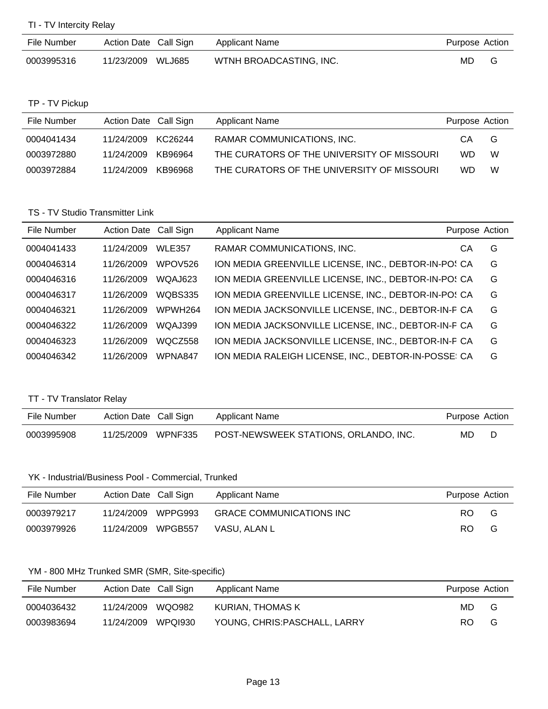TI - TV Intercity Relay

| File Number | Action Date Call Sign | Applicant Name          | Purpose Action |
|-------------|-----------------------|-------------------------|----------------|
| 0003995316  | 11/23/2009 WLJ685     | WTNH BROADCASTING, INC. | MD             |

TP - TV Pickup

| File Number | Action Date Call Sign |         | Applicant Name                             | Purpose Action |   |
|-------------|-----------------------|---------|--------------------------------------------|----------------|---|
| 0004041434  | 11/24/2009 KC26244    |         | RAMAR COMMUNICATIONS, INC.                 | СA             | G |
| 0003972880  | 11/24/2009            | KB96964 | THE CURATORS OF THE UNIVERSITY OF MISSOURI | WD.            | W |
| 0003972884  | 11/24/2009            | KB96968 | THE CURATORS OF THE UNIVERSITY OF MISSOURI | WD.            | W |

## TS - TV Studio Transmitter Link

| File Number | Action Date Call Sign |                     | <b>Applicant Name</b>                                | Purpose Action |   |
|-------------|-----------------------|---------------------|------------------------------------------------------|----------------|---|
| 0004041433  | 11/24/2009            | <b>WLE357</b>       | RAMAR COMMUNICATIONS, INC.                           | CА             | G |
| 0004046314  | 11/26/2009            | WPOV526             | ION MEDIA GREENVILLE LICENSE, INC., DEBTOR-IN-PO! CA |                | G |
| 0004046316  | 11/26/2009            | WQAJ623             | ION MEDIA GREENVILLE LICENSE, INC., DEBTOR-IN-PO! CA |                | G |
| 0004046317  | 11/26/2009            | WQBS335             | ION MEDIA GREENVILLE LICENSE, INC., DEBTOR-IN-PO! CA |                | G |
| 0004046321  | 11/26/2009            | WPWH <sub>264</sub> | ION MEDIA JACKSONVILLE LICENSE, INC., DEBTOR-IN-F CA |                | G |
| 0004046322  | 11/26/2009            | <b>WOAJ399</b>      | ION MEDIA JACKSONVILLE LICENSE, INC., DEBTOR-IN-F CA |                | G |
| 0004046323  | 11/26/2009            | WOCZ558             | ION MEDIA JACKSONVILLE LICENSE, INC., DEBTOR-IN-F CA |                | G |
| 0004046342  | 11/26/2009            | WPNA847             | ION MEDIA RALEIGH LICENSE, INC., DEBTOR-IN-POSSE: CA |                | G |

## TT - TV Translator Relay

| File Number | Action Date Call Sign | Applicant Name                        | Purpose Action |  |
|-------------|-----------------------|---------------------------------------|----------------|--|
| 0003995908  | 11/25/2009 WPNF335    | POST-NEWSWEEK STATIONS, ORLANDO, INC. | MD.            |  |

#### YK - Industrial/Business Pool - Commercial, Trunked

| File Number | Action Date Call Sign | Applicant Name                  | Purpose Action |
|-------------|-----------------------|---------------------------------|----------------|
| 0003979217  | WPPG993<br>11/24/2009 | <b>GRACE COMMUNICATIONS INC</b> | RO.<br>G       |
| 0003979926  | WPGB557<br>11/24/2009 | VASU. ALAN L                    | RO.<br>G       |

#### YM - 800 MHz Trunked SMR (SMR, Site-specific)

| File Number | Action Date Call Sign |        | Applicant Name                | Purpose Action |   |
|-------------|-----------------------|--------|-------------------------------|----------------|---|
| 0004036432  | 11/24/2009            | WQO982 | KURIAN, THOMAS K              | MD.            | G |
| 0003983694  | 11/24/2009 WPQI930    |        | YOUNG, CHRIS: PASCHALL, LARRY | RO.            | G |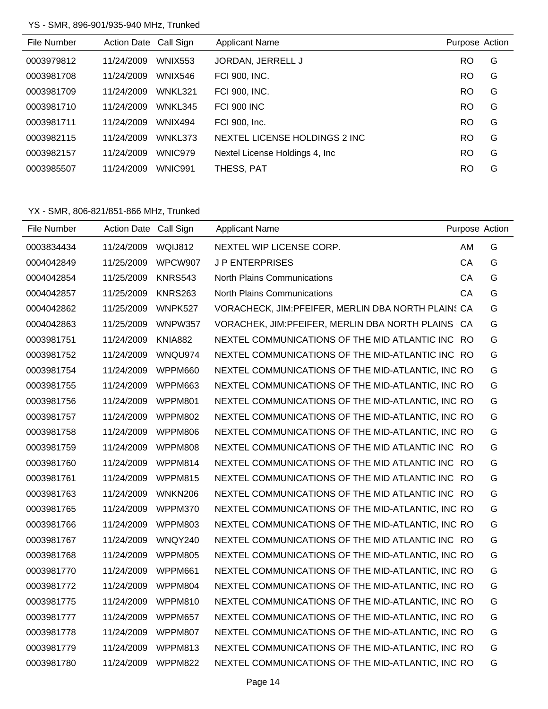## YS - SMR, 896-901/935-940 MHz, Trunked

| File Number | <b>Action Date</b> | Call Sign      | <b>Applicant Name</b>           | Purpose Action |   |
|-------------|--------------------|----------------|---------------------------------|----------------|---|
| 0003979812  | 11/24/2009         | <b>WNIX553</b> | JORDAN, JERRELL J               | RO             | G |
| 0003981708  | 11/24/2009         | <b>WNIX546</b> | FCI 900, INC.                   | <b>RO</b>      | G |
| 0003981709  | 11/24/2009         | WNKL321        | <b>FCI 900, INC.</b>            | <b>RO</b>      | G |
| 0003981710  | 11/24/2009         | WNKL345        | <b>FCI 900 INC</b>              | <b>RO</b>      | G |
| 0003981711  | 11/24/2009         | WNIX494        | FCI 900, Inc.                   | <b>RO</b>      | G |
| 0003982115  | 11/24/2009         | WNKL373        | NEXTEL LICENSE HOLDINGS 2 INC.  | <b>RO</b>      | G |
| 0003982157  | 11/24/2009         | WNIC979        | Nextel License Holdings 4, Inc. | RO             | G |
| 0003985507  | 11/24/2009         | WNIC991        | THESS, PAT                      | RO             | G |

| File Number | Action Date Call Sign |                | <b>Applicant Name</b>                               | Purpose Action |   |
|-------------|-----------------------|----------------|-----------------------------------------------------|----------------|---|
| 0003834434  | 11/24/2009            | WQIJ812        | NEXTEL WIP LICENSE CORP.                            | AM             | G |
| 0004042849  | 11/25/2009            | WPCW907        | <b>JP ENTERPRISES</b>                               | CA             | G |
| 0004042854  | 11/25/2009            | <b>KNRS543</b> | <b>North Plains Communications</b>                  | СA             | G |
| 0004042857  | 11/25/2009            | <b>KNRS263</b> | <b>North Plains Communications</b>                  | CА             | G |
| 0004042862  | 11/25/2009            | WNPK527        | VORACHECK, JIM: PFEIFER, MERLIN DBA NORTH PLAIN: CA |                | G |
| 0004042863  | 11/25/2009            | <b>WNPW357</b> | VORACHEK, JIM: PFEIFER, MERLIN DBA NORTH PLAINS CA  |                | G |
| 0003981751  | 11/24/2009            | <b>KNIA882</b> | NEXTEL COMMUNICATIONS OF THE MID ATLANTIC INC RO    |                | G |
| 0003981752  | 11/24/2009            | WNQU974        | NEXTEL COMMUNICATIONS OF THE MID-ATLANTIC INC RO    |                | G |
| 0003981754  | 11/24/2009            | WPPM660        | NEXTEL COMMUNICATIONS OF THE MID-ATLANTIC, INC RO   |                | G |
| 0003981755  | 11/24/2009            | WPPM663        | NEXTEL COMMUNICATIONS OF THE MID-ATLANTIC, INC RO   |                | G |
| 0003981756  | 11/24/2009            | <b>WPPM801</b> | NEXTEL COMMUNICATIONS OF THE MID-ATLANTIC, INC RO   |                | G |
| 0003981757  | 11/24/2009            | WPPM802        | NEXTEL COMMUNICATIONS OF THE MID-ATLANTIC, INC RO   |                | G |
| 0003981758  | 11/24/2009            | <b>WPPM806</b> | NEXTEL COMMUNICATIONS OF THE MID-ATLANTIC, INC RO   |                | G |
| 0003981759  | 11/24/2009            | WPPM808        | NEXTEL COMMUNICATIONS OF THE MID ATLANTIC INC RO    |                | G |
| 0003981760  | 11/24/2009            | WPPM814        | NEXTEL COMMUNICATIONS OF THE MID ATLANTIC INC RO    |                | G |
| 0003981761  | 11/24/2009            | WPPM815        | NEXTEL COMMUNICATIONS OF THE MID ATLANTIC INC RO    |                | G |
| 0003981763  | 11/24/2009            | <b>WNKN206</b> | NEXTEL COMMUNICATIONS OF THE MID ATLANTIC INC RO    |                | G |
| 0003981765  | 11/24/2009            | WPPM370        | NEXTEL COMMUNICATIONS OF THE MID-ATLANTIC, INC RO   |                | G |
| 0003981766  | 11/24/2009            | WPPM803        | NEXTEL COMMUNICATIONS OF THE MID-ATLANTIC, INC RO   |                | G |
| 0003981767  | 11/24/2009            | WNQY240        | NEXTEL COMMUNICATIONS OF THE MID ATLANTIC INC RO    |                | G |
| 0003981768  | 11/24/2009            | WPPM805        | NEXTEL COMMUNICATIONS OF THE MID-ATLANTIC, INC RO   |                | G |
| 0003981770  | 11/24/2009            | WPPM661        | NEXTEL COMMUNICATIONS OF THE MID-ATLANTIC, INC RO   |                | G |
| 0003981772  | 11/24/2009            | WPPM804        | NEXTEL COMMUNICATIONS OF THE MID-ATLANTIC, INC RO   |                | G |
| 0003981775  | 11/24/2009            | WPPM810        | NEXTEL COMMUNICATIONS OF THE MID-ATLANTIC, INC RO   |                | G |
| 0003981777  | 11/24/2009            | WPPM657        | NEXTEL COMMUNICATIONS OF THE MID-ATLANTIC, INC RO   |                | G |
| 0003981778  | 11/24/2009            | <b>WPPM807</b> | NEXTEL COMMUNICATIONS OF THE MID-ATLANTIC, INC RO   |                | G |
| 0003981779  | 11/24/2009            | WPPM813        | NEXTEL COMMUNICATIONS OF THE MID-ATLANTIC, INC RO   |                | G |
| 0003981780  | 11/24/2009            | WPPM822        | NEXTEL COMMUNICATIONS OF THE MID-ATLANTIC, INC RO   |                | G |
|             |                       |                |                                                     |                |   |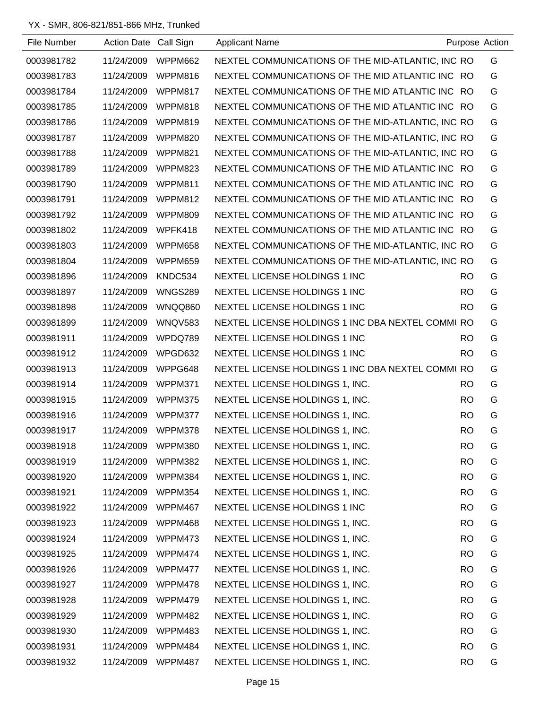| File Number | Action Date Call Sign |                | <b>Applicant Name</b>                             |           | Purpose Action |
|-------------|-----------------------|----------------|---------------------------------------------------|-----------|----------------|
| 0003981782  | 11/24/2009            | WPPM662        | NEXTEL COMMUNICATIONS OF THE MID-ATLANTIC, INC RO |           | G              |
| 0003981783  | 11/24/2009            | WPPM816        | NEXTEL COMMUNICATIONS OF THE MID ATLANTIC INC RO  |           | G              |
| 0003981784  | 11/24/2009            | WPPM817        | NEXTEL COMMUNICATIONS OF THE MID ATLANTIC INC RO  |           | G              |
| 0003981785  | 11/24/2009            | WPPM818        | NEXTEL COMMUNICATIONS OF THE MID ATLANTIC INC RO  |           | G              |
| 0003981786  | 11/24/2009            | WPPM819        | NEXTEL COMMUNICATIONS OF THE MID-ATLANTIC, INC RO |           | G              |
| 0003981787  | 11/24/2009            | WPPM820        | NEXTEL COMMUNICATIONS OF THE MID-ATLANTIC, INC RO |           | G              |
| 0003981788  | 11/24/2009            | WPPM821        | NEXTEL COMMUNICATIONS OF THE MID-ATLANTIC, INC RO |           | G              |
| 0003981789  | 11/24/2009            | WPPM823        | NEXTEL COMMUNICATIONS OF THE MID ATLANTIC INC RO  |           | G              |
| 0003981790  | 11/24/2009            | WPPM811        | NEXTEL COMMUNICATIONS OF THE MID ATLANTIC INC RO  |           | G              |
| 0003981791  | 11/24/2009            | WPPM812        | NEXTEL COMMUNICATIONS OF THE MID ATLANTIC INC RO  |           | G              |
| 0003981792  | 11/24/2009            | WPPM809        | NEXTEL COMMUNICATIONS OF THE MID ATLANTIC INC RO  |           | G              |
| 0003981802  | 11/24/2009            | WPFK418        | NEXTEL COMMUNICATIONS OF THE MID ATLANTIC INC RO  |           | G              |
| 0003981803  | 11/24/2009            | WPPM658        | NEXTEL COMMUNICATIONS OF THE MID-ATLANTIC, INC RO |           | G              |
| 0003981804  | 11/24/2009            | WPPM659        | NEXTEL COMMUNICATIONS OF THE MID-ATLANTIC, INC RO |           | G              |
| 0003981896  | 11/24/2009            | KNDC534        | NEXTEL LICENSE HOLDINGS 1 INC                     | <b>RO</b> | G              |
| 0003981897  | 11/24/2009            | <b>WNGS289</b> | NEXTEL LICENSE HOLDINGS 1 INC                     | <b>RO</b> | G              |
| 0003981898  | 11/24/2009            | WNQQ860        | NEXTEL LICENSE HOLDINGS 1 INC                     | <b>RO</b> | G              |
| 0003981899  | 11/24/2009            | WNQV583        | NEXTEL LICENSE HOLDINGS 1 INC DBA NEXTEL COMMI RO |           | G              |
| 0003981911  | 11/24/2009            | WPDQ789        | NEXTEL LICENSE HOLDINGS 1 INC                     | RO.       | G              |
| 0003981912  | 11/24/2009            | WPGD632        | NEXTEL LICENSE HOLDINGS 1 INC                     | <b>RO</b> | G              |
| 0003981913  | 11/24/2009            | WPPG648        | NEXTEL LICENSE HOLDINGS 1 INC DBA NEXTEL COMMURO  |           | G              |
| 0003981914  | 11/24/2009            | WPPM371        | NEXTEL LICENSE HOLDINGS 1, INC.                   | <b>RO</b> | G              |
| 0003981915  | 11/24/2009            | WPPM375        | NEXTEL LICENSE HOLDINGS 1, INC.                   | <b>RO</b> | G              |
| 0003981916  | 11/24/2009            | WPPM377        | NEXTEL LICENSE HOLDINGS 1, INC.                   | <b>RO</b> | G              |
| 0003981917  | 11/24/2009            | WPPM378        | NEXTEL LICENSE HOLDINGS 1, INC.                   | <b>RO</b> | G              |
| 0003981918  | 11/24/2009            | WPPM380        | NEXTEL LICENSE HOLDINGS 1, INC.                   | <b>RO</b> | G              |
| 0003981919  | 11/24/2009            | WPPM382        | NEXTEL LICENSE HOLDINGS 1, INC.                   | <b>RO</b> | G              |
| 0003981920  | 11/24/2009            | WPPM384        | NEXTEL LICENSE HOLDINGS 1, INC.                   | <b>RO</b> | G              |
| 0003981921  | 11/24/2009            | WPPM354        | NEXTEL LICENSE HOLDINGS 1, INC.                   | <b>RO</b> | G              |
| 0003981922  | 11/24/2009            | WPPM467        | NEXTEL LICENSE HOLDINGS 1 INC                     | <b>RO</b> | G              |
| 0003981923  | 11/24/2009            | WPPM468        | NEXTEL LICENSE HOLDINGS 1, INC.                   | <b>RO</b> | G              |
| 0003981924  | 11/24/2009            | WPPM473        | NEXTEL LICENSE HOLDINGS 1, INC.                   | <b>RO</b> | G              |
| 0003981925  | 11/24/2009            | WPPM474        | NEXTEL LICENSE HOLDINGS 1, INC.                   | <b>RO</b> | G              |
| 0003981926  | 11/24/2009            | WPPM477        | NEXTEL LICENSE HOLDINGS 1, INC.                   | <b>RO</b> | G              |
| 0003981927  | 11/24/2009            | WPPM478        | NEXTEL LICENSE HOLDINGS 1, INC.                   | <b>RO</b> | G              |
| 0003981928  | 11/24/2009            | WPPM479        | NEXTEL LICENSE HOLDINGS 1, INC.                   | RO.       | G              |
| 0003981929  | 11/24/2009            | WPPM482        | NEXTEL LICENSE HOLDINGS 1, INC.                   | <b>RO</b> | G              |
| 0003981930  | 11/24/2009            | WPPM483        | NEXTEL LICENSE HOLDINGS 1, INC.                   | <b>RO</b> | G              |
| 0003981931  | 11/24/2009            | WPPM484        | NEXTEL LICENSE HOLDINGS 1, INC.                   | <b>RO</b> | G              |
| 0003981932  | 11/24/2009            | WPPM487        | NEXTEL LICENSE HOLDINGS 1, INC.                   | <b>RO</b> | G              |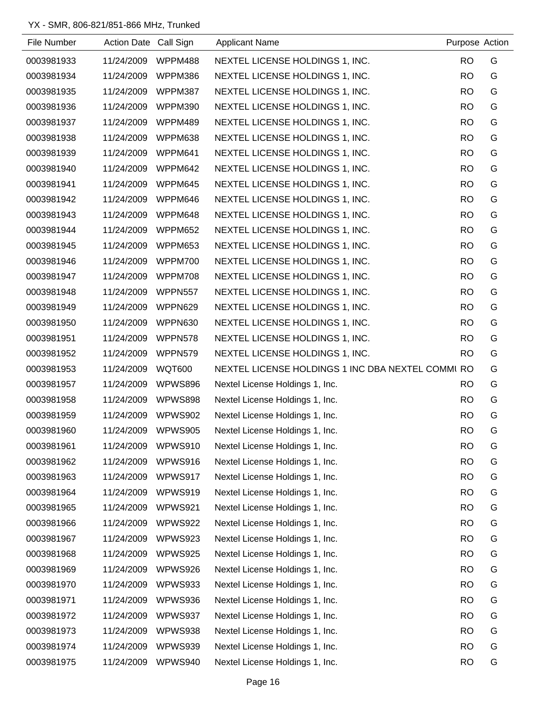| File Number | Action Date Call Sign |                | <b>Applicant Name</b>                             | Purpose Action |   |
|-------------|-----------------------|----------------|---------------------------------------------------|----------------|---|
| 0003981933  | 11/24/2009            | WPPM488        | NEXTEL LICENSE HOLDINGS 1, INC.                   | <b>RO</b>      | G |
| 0003981934  | 11/24/2009            | WPPM386        | NEXTEL LICENSE HOLDINGS 1, INC.                   | <b>RO</b>      | G |
| 0003981935  | 11/24/2009            | WPPM387        | NEXTEL LICENSE HOLDINGS 1, INC.                   | <b>RO</b>      | G |
| 0003981936  | 11/24/2009            | <b>WPPM390</b> | NEXTEL LICENSE HOLDINGS 1, INC.                   | <b>RO</b>      | G |
| 0003981937  | 11/24/2009            | WPPM489        | NEXTEL LICENSE HOLDINGS 1, INC.                   | <b>RO</b>      | G |
| 0003981938  | 11/24/2009            | WPPM638        | NEXTEL LICENSE HOLDINGS 1, INC.                   | <b>RO</b>      | G |
| 0003981939  | 11/24/2009            | WPPM641        | NEXTEL LICENSE HOLDINGS 1, INC.                   | <b>RO</b>      | G |
| 0003981940  | 11/24/2009            | WPPM642        | NEXTEL LICENSE HOLDINGS 1, INC.                   | <b>RO</b>      | G |
| 0003981941  | 11/24/2009            | WPPM645        | NEXTEL LICENSE HOLDINGS 1, INC.                   | <b>RO</b>      | G |
| 0003981942  | 11/24/2009            | WPPM646        | NEXTEL LICENSE HOLDINGS 1, INC.                   | <b>RO</b>      | G |
| 0003981943  | 11/24/2009            | WPPM648        | NEXTEL LICENSE HOLDINGS 1, INC.                   | <b>RO</b>      | G |
| 0003981944  | 11/24/2009            | WPPM652        | NEXTEL LICENSE HOLDINGS 1, INC.                   | <b>RO</b>      | G |
| 0003981945  | 11/24/2009            | WPPM653        | NEXTEL LICENSE HOLDINGS 1, INC.                   | <b>RO</b>      | G |
| 0003981946  | 11/24/2009            | WPPM700        | NEXTEL LICENSE HOLDINGS 1, INC.                   | <b>RO</b>      | G |
| 0003981947  | 11/24/2009            | WPPM708        | NEXTEL LICENSE HOLDINGS 1, INC.                   | <b>RO</b>      | G |
| 0003981948  | 11/24/2009            | WPPN557        | NEXTEL LICENSE HOLDINGS 1, INC.                   | <b>RO</b>      | G |
| 0003981949  | 11/24/2009            | WPPN629        | NEXTEL LICENSE HOLDINGS 1, INC.                   | <b>RO</b>      | G |
| 0003981950  | 11/24/2009            | WPPN630        | NEXTEL LICENSE HOLDINGS 1, INC.                   | <b>RO</b>      | G |
| 0003981951  | 11/24/2009            | WPPN578        | NEXTEL LICENSE HOLDINGS 1, INC.                   | <b>RO</b>      | G |
| 0003981952  | 11/24/2009            | WPPN579        | NEXTEL LICENSE HOLDINGS 1, INC.                   | <b>RO</b>      | G |
| 0003981953  | 11/24/2009            | <b>WQT600</b>  | NEXTEL LICENSE HOLDINGS 1 INC DBA NEXTEL COMMI RO |                | G |
| 0003981957  | 11/24/2009            | <b>WPWS896</b> | Nextel License Holdings 1, Inc.                   | <b>RO</b>      | G |
| 0003981958  | 11/24/2009            | WPWS898        | Nextel License Holdings 1, Inc.                   | <b>RO</b>      | G |
| 0003981959  | 11/24/2009            | WPWS902        | Nextel License Holdings 1, Inc.                   | <b>RO</b>      | G |
| 0003981960  | 11/24/2009            | WPWS905        | Nextel License Holdings 1, Inc.                   | <b>RO</b>      | G |
| 0003981961  | 11/24/2009            | WPWS910        | Nextel License Holdings 1, Inc.                   | <b>RO</b>      | G |
| 0003981962  | 11/24/2009            | WPWS916        | Nextel License Holdings 1, Inc.                   | <b>RO</b>      | G |
| 0003981963  | 11/24/2009            | WPWS917        | Nextel License Holdings 1, Inc.                   | <b>RO</b>      | G |
| 0003981964  | 11/24/2009            | WPWS919        | Nextel License Holdings 1, Inc.                   | <b>RO</b>      | G |
| 0003981965  | 11/24/2009            | WPWS921        | Nextel License Holdings 1, Inc.                   | <b>RO</b>      | G |
| 0003981966  | 11/24/2009            | WPWS922        | Nextel License Holdings 1, Inc.                   | <b>RO</b>      | G |
| 0003981967  | 11/24/2009            | WPWS923        | Nextel License Holdings 1, Inc.                   | <b>RO</b>      | G |
| 0003981968  | 11/24/2009            | WPWS925        | Nextel License Holdings 1, Inc.                   | <b>RO</b>      | G |
| 0003981969  | 11/24/2009            | WPWS926        | Nextel License Holdings 1, Inc.                   | <b>RO</b>      | G |
| 0003981970  | 11/24/2009            | WPWS933        | Nextel License Holdings 1, Inc.                   | <b>RO</b>      | G |
| 0003981971  | 11/24/2009            | WPWS936        | Nextel License Holdings 1, Inc.                   | <b>RO</b>      | G |
| 0003981972  | 11/24/2009            | WPWS937        | Nextel License Holdings 1, Inc.                   | <b>RO</b>      | G |
| 0003981973  | 11/24/2009            | WPWS938        | Nextel License Holdings 1, Inc.                   | <b>RO</b>      | G |
| 0003981974  | 11/24/2009            | WPWS939        | Nextel License Holdings 1, Inc.                   | <b>RO</b>      | G |
| 0003981975  | 11/24/2009            | WPWS940        | Nextel License Holdings 1, Inc.                   | <b>RO</b>      | G |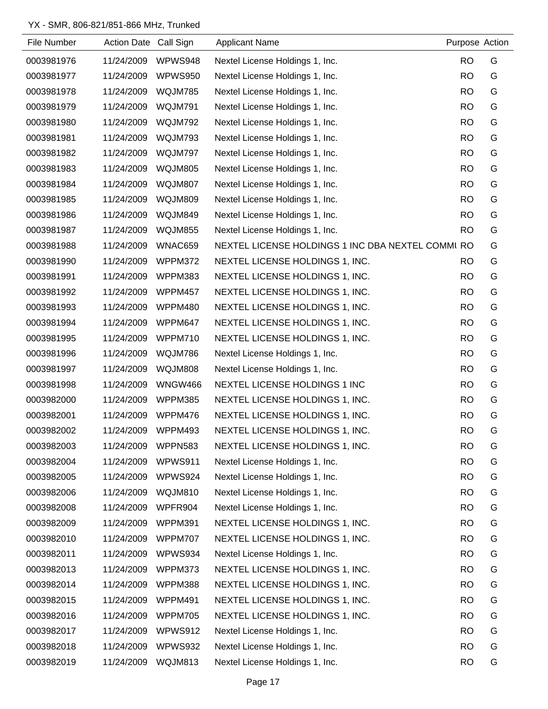| File Number | Action Date Call Sign |                | <b>Applicant Name</b>                             | Purpose Action |   |
|-------------|-----------------------|----------------|---------------------------------------------------|----------------|---|
| 0003981976  | 11/24/2009            | WPWS948        | Nextel License Holdings 1, Inc.                   | <b>RO</b>      | G |
| 0003981977  | 11/24/2009            | WPWS950        | Nextel License Holdings 1, Inc.                   | <b>RO</b>      | G |
| 0003981978  | 11/24/2009            | WQJM785        | Nextel License Holdings 1, Inc.                   | <b>RO</b>      | G |
| 0003981979  | 11/24/2009            | WQJM791        | Nextel License Holdings 1, Inc.                   | <b>RO</b>      | G |
| 0003981980  | 11/24/2009            | WQJM792        | Nextel License Holdings 1, Inc.                   | <b>RO</b>      | G |
| 0003981981  | 11/24/2009            | WQJM793        | Nextel License Holdings 1, Inc.                   | <b>RO</b>      | G |
| 0003981982  | 11/24/2009            | WQJM797        | Nextel License Holdings 1, Inc.                   | <b>RO</b>      | G |
| 0003981983  | 11/24/2009            | WQJM805        | Nextel License Holdings 1, Inc.                   | <b>RO</b>      | G |
| 0003981984  | 11/24/2009            | WQJM807        | Nextel License Holdings 1, Inc.                   | <b>RO</b>      | G |
| 0003981985  | 11/24/2009            | WQJM809        | Nextel License Holdings 1, Inc.                   | <b>RO</b>      | G |
| 0003981986  | 11/24/2009            | WQJM849        | Nextel License Holdings 1, Inc.                   | <b>RO</b>      | G |
| 0003981987  | 11/24/2009            | WQJM855        | Nextel License Holdings 1, Inc.                   | <b>RO</b>      | G |
| 0003981988  | 11/24/2009            | WNAC659        | NEXTEL LICENSE HOLDINGS 1 INC DBA NEXTEL COMMI RO |                | G |
| 0003981990  | 11/24/2009            | WPPM372        | NEXTEL LICENSE HOLDINGS 1, INC.                   | <b>RO</b>      | G |
| 0003981991  | 11/24/2009            | WPPM383        | NEXTEL LICENSE HOLDINGS 1, INC.                   | <b>RO</b>      | G |
| 0003981992  | 11/24/2009            | WPPM457        | NEXTEL LICENSE HOLDINGS 1, INC.                   | <b>RO</b>      | G |
| 0003981993  | 11/24/2009            | WPPM480        | NEXTEL LICENSE HOLDINGS 1, INC.                   | <b>RO</b>      | G |
| 0003981994  | 11/24/2009            | WPPM647        | NEXTEL LICENSE HOLDINGS 1, INC.                   | <b>RO</b>      | G |
| 0003981995  | 11/24/2009            | WPPM710        | NEXTEL LICENSE HOLDINGS 1, INC.                   | <b>RO</b>      | G |
| 0003981996  | 11/24/2009            | WQJM786        | Nextel License Holdings 1, Inc.                   | <b>RO</b>      | G |
| 0003981997  | 11/24/2009            | WQJM808        | Nextel License Holdings 1, Inc.                   | <b>RO</b>      | G |
| 0003981998  | 11/24/2009            | <b>WNGW466</b> | NEXTEL LICENSE HOLDINGS 1 INC                     | <b>RO</b>      | G |
| 0003982000  | 11/24/2009            | WPPM385        | NEXTEL LICENSE HOLDINGS 1, INC.                   | <b>RO</b>      | G |
| 0003982001  | 11/24/2009            | WPPM476        | NEXTEL LICENSE HOLDINGS 1, INC.                   | <b>RO</b>      | G |
| 0003982002  | 11/24/2009            | WPPM493        | NEXTEL LICENSE HOLDINGS 1, INC.                   | <b>RO</b>      | G |
| 0003982003  | 11/24/2009            | WPPN583        | NEXTEL LICENSE HOLDINGS 1, INC.                   | <b>RO</b>      | G |
| 0003982004  | 11/24/2009            | WPWS911        | Nextel License Holdings 1, Inc.                   | <b>RO</b>      | G |
| 0003982005  | 11/24/2009            | WPWS924        | Nextel License Holdings 1, Inc.                   | <b>RO</b>      | G |
| 0003982006  | 11/24/2009            | WQJM810        | Nextel License Holdings 1, Inc.                   | <b>RO</b>      | G |
| 0003982008  | 11/24/2009            | WPFR904        | Nextel License Holdings 1, Inc.                   | <b>RO</b>      | G |
| 0003982009  | 11/24/2009            | WPPM391        | NEXTEL LICENSE HOLDINGS 1, INC.                   | <b>RO</b>      | G |
| 0003982010  | 11/24/2009            | WPPM707        | NEXTEL LICENSE HOLDINGS 1, INC.                   | <b>RO</b>      | G |
| 0003982011  | 11/24/2009            | WPWS934        | Nextel License Holdings 1, Inc.                   | <b>RO</b>      | G |
| 0003982013  | 11/24/2009            | WPPM373        | NEXTEL LICENSE HOLDINGS 1, INC.                   | <b>RO</b>      | G |
| 0003982014  | 11/24/2009            | WPPM388        | NEXTEL LICENSE HOLDINGS 1, INC.                   | <b>RO</b>      | G |
| 0003982015  | 11/24/2009            | WPPM491        | NEXTEL LICENSE HOLDINGS 1, INC.                   | <b>RO</b>      | G |
| 0003982016  | 11/24/2009            | WPPM705        | NEXTEL LICENSE HOLDINGS 1, INC.                   | <b>RO</b>      | G |
| 0003982017  | 11/24/2009            | WPWS912        | Nextel License Holdings 1, Inc.                   | <b>RO</b>      | G |
| 0003982018  | 11/24/2009            | WPWS932        | Nextel License Holdings 1, Inc.                   | <b>RO</b>      | G |
| 0003982019  | 11/24/2009            | WQJM813        | Nextel License Holdings 1, Inc.                   | <b>RO</b>      | G |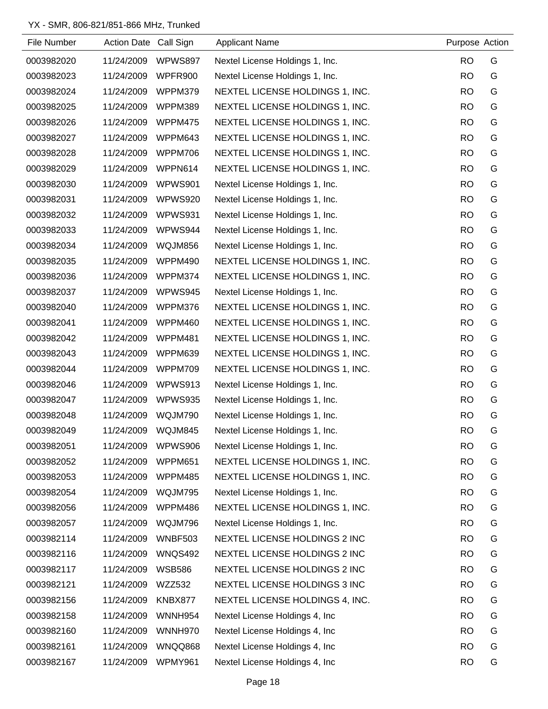| File Number | Action Date Call Sign |                | <b>Applicant Name</b>           | Purpose Action |   |
|-------------|-----------------------|----------------|---------------------------------|----------------|---|
| 0003982020  | 11/24/2009            | WPWS897        | Nextel License Holdings 1, Inc. | <b>RO</b>      | G |
| 0003982023  | 11/24/2009            | WPFR900        | Nextel License Holdings 1, Inc. | <b>RO</b>      | G |
| 0003982024  | 11/24/2009            | WPPM379        | NEXTEL LICENSE HOLDINGS 1, INC. | <b>RO</b>      | G |
| 0003982025  | 11/24/2009            | WPPM389        | NEXTEL LICENSE HOLDINGS 1, INC. | <b>RO</b>      | G |
| 0003982026  | 11/24/2009            | WPPM475        | NEXTEL LICENSE HOLDINGS 1, INC. | <b>RO</b>      | G |
| 0003982027  | 11/24/2009            | WPPM643        | NEXTEL LICENSE HOLDINGS 1, INC. | <b>RO</b>      | G |
| 0003982028  | 11/24/2009            | WPPM706        | NEXTEL LICENSE HOLDINGS 1, INC. | <b>RO</b>      | G |
| 0003982029  | 11/24/2009            | WPPN614        | NEXTEL LICENSE HOLDINGS 1, INC. | <b>RO</b>      | G |
| 0003982030  | 11/24/2009            | WPWS901        | Nextel License Holdings 1, Inc. | <b>RO</b>      | G |
| 0003982031  | 11/24/2009            | WPWS920        | Nextel License Holdings 1, Inc. | <b>RO</b>      | G |
| 0003982032  | 11/24/2009            | WPWS931        | Nextel License Holdings 1, Inc. | <b>RO</b>      | G |
| 0003982033  | 11/24/2009            | WPWS944        | Nextel License Holdings 1, Inc. | <b>RO</b>      | G |
| 0003982034  | 11/24/2009            | WQJM856        | Nextel License Holdings 1, Inc. | <b>RO</b>      | G |
| 0003982035  | 11/24/2009            | WPPM490        | NEXTEL LICENSE HOLDINGS 1, INC. | <b>RO</b>      | G |
| 0003982036  | 11/24/2009            | WPPM374        | NEXTEL LICENSE HOLDINGS 1, INC. | <b>RO</b>      | G |
| 0003982037  | 11/24/2009            | WPWS945        | Nextel License Holdings 1, Inc. | <b>RO</b>      | G |
| 0003982040  | 11/24/2009            | WPPM376        | NEXTEL LICENSE HOLDINGS 1, INC. | <b>RO</b>      | G |
| 0003982041  | 11/24/2009            | WPPM460        | NEXTEL LICENSE HOLDINGS 1, INC. | <b>RO</b>      | G |
| 0003982042  | 11/24/2009            | WPPM481        | NEXTEL LICENSE HOLDINGS 1, INC. | <b>RO</b>      | G |
| 0003982043  | 11/24/2009            | WPPM639        | NEXTEL LICENSE HOLDINGS 1, INC. | <b>RO</b>      | G |
| 0003982044  | 11/24/2009            | WPPM709        | NEXTEL LICENSE HOLDINGS 1, INC. | <b>RO</b>      | G |
| 0003982046  | 11/24/2009            | WPWS913        | Nextel License Holdings 1, Inc. | <b>RO</b>      | G |
| 0003982047  | 11/24/2009            | WPWS935        | Nextel License Holdings 1, Inc. | <b>RO</b>      | G |
| 0003982048  | 11/24/2009            | WQJM790        | Nextel License Holdings 1, Inc. | <b>RO</b>      | G |
| 0003982049  | 11/24/2009            | WQJM845        | Nextel License Holdings 1, Inc. | <b>RO</b>      | G |
| 0003982051  | 11/24/2009            | WPWS906        | Nextel License Holdings 1, Inc. | <b>RO</b>      | G |
| 0003982052  | 11/24/2009            | WPPM651        | NEXTEL LICENSE HOLDINGS 1, INC. | <b>RO</b>      | G |
| 0003982053  | 11/24/2009            | WPPM485        | NEXTEL LICENSE HOLDINGS 1, INC. | <b>RO</b>      | G |
| 0003982054  | 11/24/2009            | WQJM795        | Nextel License Holdings 1, Inc. | <b>RO</b>      | G |
| 0003982056  | 11/24/2009            | WPPM486        | NEXTEL LICENSE HOLDINGS 1, INC. | <b>RO</b>      | G |
| 0003982057  | 11/24/2009            | WQJM796        | Nextel License Holdings 1, Inc. | <b>RO</b>      | G |
| 0003982114  | 11/24/2009            | <b>WNBF503</b> | NEXTEL LICENSE HOLDINGS 2 INC   | <b>RO</b>      | G |
| 0003982116  | 11/24/2009            | WNQS492        | NEXTEL LICENSE HOLDINGS 2 INC   | <b>RO</b>      | G |
| 0003982117  | 11/24/2009            | <b>WSB586</b>  | NEXTEL LICENSE HOLDINGS 2 INC   | <b>RO</b>      | G |
| 0003982121  | 11/24/2009            | <b>WZZ532</b>  | NEXTEL LICENSE HOLDINGS 3 INC   | <b>RO</b>      | G |
| 0003982156  | 11/24/2009            | KNBX877        | NEXTEL LICENSE HOLDINGS 4, INC. | <b>RO</b>      | G |
| 0003982158  | 11/24/2009            | <b>WNNH954</b> | Nextel License Holdings 4, Inc. | <b>RO</b>      | G |
| 0003982160  | 11/24/2009            | WNNH970        | Nextel License Holdings 4, Inc. | <b>RO</b>      | G |
| 0003982161  | 11/24/2009            | WNQQ868        | Nextel License Holdings 4, Inc  | <b>RO</b>      | G |
| 0003982167  | 11/24/2009            | WPMY961        | Nextel License Holdings 4, Inc. | <b>RO</b>      | G |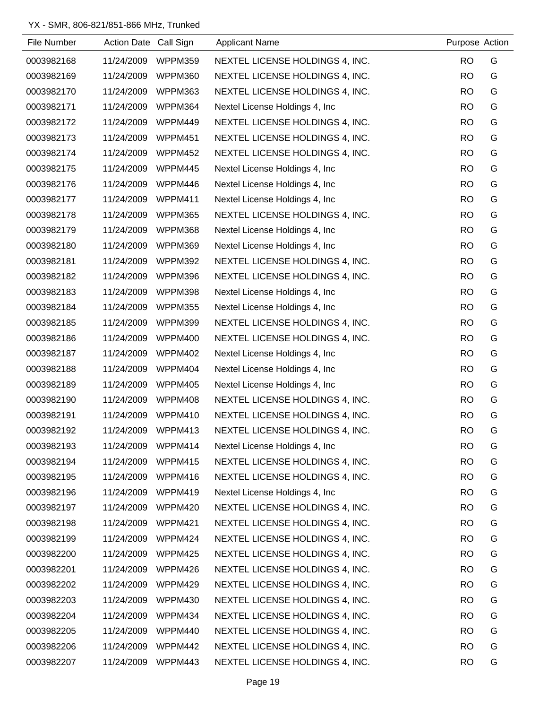| File Number | Action Date Call Sign |                | <b>Applicant Name</b>           | Purpose Action |   |
|-------------|-----------------------|----------------|---------------------------------|----------------|---|
| 0003982168  | 11/24/2009            | WPPM359        | NEXTEL LICENSE HOLDINGS 4, INC. | <b>RO</b>      | G |
| 0003982169  | 11/24/2009            | WPPM360        | NEXTEL LICENSE HOLDINGS 4, INC. | <b>RO</b>      | G |
| 0003982170  | 11/24/2009            | WPPM363        | NEXTEL LICENSE HOLDINGS 4, INC. | <b>RO</b>      | G |
| 0003982171  | 11/24/2009            | WPPM364        | Nextel License Holdings 4, Inc. | <b>RO</b>      | G |
| 0003982172  | 11/24/2009            | WPPM449        | NEXTEL LICENSE HOLDINGS 4, INC. | <b>RO</b>      | G |
| 0003982173  | 11/24/2009            | WPPM451        | NEXTEL LICENSE HOLDINGS 4, INC. | <b>RO</b>      | G |
| 0003982174  | 11/24/2009            | WPPM452        | NEXTEL LICENSE HOLDINGS 4, INC. | <b>RO</b>      | G |
| 0003982175  | 11/24/2009            | WPPM445        | Nextel License Holdings 4, Inc. | <b>RO</b>      | G |
| 0003982176  | 11/24/2009            | WPPM446        | Nextel License Holdings 4, Inc. | <b>RO</b>      | G |
| 0003982177  | 11/24/2009            | WPPM411        | Nextel License Holdings 4, Inc. | <b>RO</b>      | G |
| 0003982178  | 11/24/2009            | WPPM365        | NEXTEL LICENSE HOLDINGS 4, INC. | <b>RO</b>      | G |
| 0003982179  | 11/24/2009            | WPPM368        | Nextel License Holdings 4, Inc. | <b>RO</b>      | G |
| 0003982180  | 11/24/2009            | WPPM369        | Nextel License Holdings 4, Inc. | <b>RO</b>      | G |
| 0003982181  | 11/24/2009            | WPPM392        | NEXTEL LICENSE HOLDINGS 4, INC. | <b>RO</b>      | G |
| 0003982182  | 11/24/2009            | WPPM396        | NEXTEL LICENSE HOLDINGS 4, INC. | <b>RO</b>      | G |
| 0003982183  | 11/24/2009            | WPPM398        | Nextel License Holdings 4, Inc. | <b>RO</b>      | G |
| 0003982184  | 11/24/2009            | WPPM355        | Nextel License Holdings 4, Inc. | <b>RO</b>      | G |
| 0003982185  | 11/24/2009            | WPPM399        | NEXTEL LICENSE HOLDINGS 4, INC. | <b>RO</b>      | G |
| 0003982186  | 11/24/2009            | WPPM400        | NEXTEL LICENSE HOLDINGS 4, INC. | <b>RO</b>      | G |
| 0003982187  | 11/24/2009            | WPPM402        | Nextel License Holdings 4, Inc. | <b>RO</b>      | G |
| 0003982188  | 11/24/2009            | WPPM404        | Nextel License Holdings 4, Inc. | <b>RO</b>      | G |
| 0003982189  | 11/24/2009            | <b>WPPM405</b> | Nextel License Holdings 4, Inc. | <b>RO</b>      | G |
| 0003982190  | 11/24/2009            | WPPM408        | NEXTEL LICENSE HOLDINGS 4, INC. | <b>RO</b>      | G |
| 0003982191  | 11/24/2009            | WPPM410        | NEXTEL LICENSE HOLDINGS 4, INC. | <b>RO</b>      | G |
| 0003982192  | 11/24/2009            | WPPM413        | NEXTEL LICENSE HOLDINGS 4, INC. | <b>RO</b>      | G |
| 0003982193  | 11/24/2009            | WPPM414        | Nextel License Holdings 4, Inc. | <b>RO</b>      | G |
| 0003982194  | 11/24/2009            | WPPM415        | NEXTEL LICENSE HOLDINGS 4, INC. | <b>RO</b>      | G |
| 0003982195  | 11/24/2009            | WPPM416        | NEXTEL LICENSE HOLDINGS 4, INC. | <b>RO</b>      | G |
| 0003982196  | 11/24/2009            | WPPM419        | Nextel License Holdings 4, Inc. | <b>RO</b>      | G |
| 0003982197  | 11/24/2009            | WPPM420        | NEXTEL LICENSE HOLDINGS 4, INC. | <b>RO</b>      | G |
| 0003982198  | 11/24/2009            | WPPM421        | NEXTEL LICENSE HOLDINGS 4, INC. | <b>RO</b>      | G |
| 0003982199  | 11/24/2009            | WPPM424        | NEXTEL LICENSE HOLDINGS 4, INC. | <b>RO</b>      | G |
| 0003982200  | 11/24/2009            | WPPM425        | NEXTEL LICENSE HOLDINGS 4, INC. | <b>RO</b>      | G |
| 0003982201  | 11/24/2009            | WPPM426        | NEXTEL LICENSE HOLDINGS 4, INC. | <b>RO</b>      | G |
| 0003982202  | 11/24/2009            | WPPM429        | NEXTEL LICENSE HOLDINGS 4, INC. | <b>RO</b>      | G |
| 0003982203  | 11/24/2009            | WPPM430        | NEXTEL LICENSE HOLDINGS 4, INC. | <b>RO</b>      | G |
| 0003982204  | 11/24/2009            | WPPM434        | NEXTEL LICENSE HOLDINGS 4, INC. | <b>RO</b>      | G |
| 0003982205  | 11/24/2009            | WPPM440        | NEXTEL LICENSE HOLDINGS 4, INC. | <b>RO</b>      | G |
| 0003982206  | 11/24/2009            | WPPM442        | NEXTEL LICENSE HOLDINGS 4, INC. | <b>RO</b>      | G |
| 0003982207  | 11/24/2009            | WPPM443        | NEXTEL LICENSE HOLDINGS 4, INC. | <b>RO</b>      | G |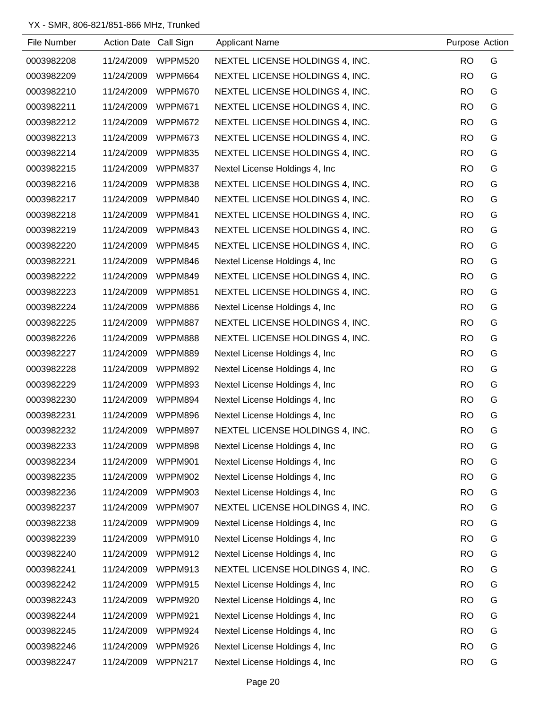| File Number | Action Date Call Sign |                | <b>Applicant Name</b>           | Purpose Action |   |
|-------------|-----------------------|----------------|---------------------------------|----------------|---|
| 0003982208  | 11/24/2009            | WPPM520        | NEXTEL LICENSE HOLDINGS 4, INC. | <b>RO</b>      | G |
| 0003982209  | 11/24/2009            | WPPM664        | NEXTEL LICENSE HOLDINGS 4, INC. | <b>RO</b>      | G |
| 0003982210  | 11/24/2009            | WPPM670        | NEXTEL LICENSE HOLDINGS 4, INC. | <b>RO</b>      | G |
| 0003982211  | 11/24/2009            | WPPM671        | NEXTEL LICENSE HOLDINGS 4, INC. | <b>RO</b>      | G |
| 0003982212  | 11/24/2009            | WPPM672        | NEXTEL LICENSE HOLDINGS 4, INC. | <b>RO</b>      | G |
| 0003982213  | 11/24/2009            | WPPM673        | NEXTEL LICENSE HOLDINGS 4, INC. | <b>RO</b>      | G |
| 0003982214  | 11/24/2009            | WPPM835        | NEXTEL LICENSE HOLDINGS 4, INC. | <b>RO</b>      | G |
| 0003982215  | 11/24/2009            | WPPM837        | Nextel License Holdings 4, Inc. | <b>RO</b>      | G |
| 0003982216  | 11/24/2009            | WPPM838        | NEXTEL LICENSE HOLDINGS 4, INC. | <b>RO</b>      | G |
| 0003982217  | 11/24/2009            | WPPM840        | NEXTEL LICENSE HOLDINGS 4, INC. | <b>RO</b>      | G |
| 0003982218  | 11/24/2009            | WPPM841        | NEXTEL LICENSE HOLDINGS 4, INC. | <b>RO</b>      | G |
| 0003982219  | 11/24/2009            | WPPM843        | NEXTEL LICENSE HOLDINGS 4, INC. | <b>RO</b>      | G |
| 0003982220  | 11/24/2009            | WPPM845        | NEXTEL LICENSE HOLDINGS 4, INC. | <b>RO</b>      | G |
| 0003982221  | 11/24/2009            | WPPM846        | Nextel License Holdings 4, Inc. | <b>RO</b>      | G |
| 0003982222  | 11/24/2009            | WPPM849        | NEXTEL LICENSE HOLDINGS 4, INC. | <b>RO</b>      | G |
| 0003982223  | 11/24/2009            | WPPM851        | NEXTEL LICENSE HOLDINGS 4, INC. | <b>RO</b>      | G |
| 0003982224  | 11/24/2009            | WPPM886        | Nextel License Holdings 4, Inc. | <b>RO</b>      | G |
| 0003982225  | 11/24/2009            | <b>WPPM887</b> | NEXTEL LICENSE HOLDINGS 4, INC. | <b>RO</b>      | G |
| 0003982226  | 11/24/2009            | WPPM888        | NEXTEL LICENSE HOLDINGS 4, INC. | <b>RO</b>      | G |
| 0003982227  | 11/24/2009            | WPPM889        | Nextel License Holdings 4, Inc. | <b>RO</b>      | G |
| 0003982228  | 11/24/2009            | WPPM892        | Nextel License Holdings 4, Inc. | <b>RO</b>      | G |
| 0003982229  | 11/24/2009            | WPPM893        | Nextel License Holdings 4, Inc. | <b>RO</b>      | G |
| 0003982230  | 11/24/2009            | WPPM894        | Nextel License Holdings 4, Inc. | <b>RO</b>      | G |
| 0003982231  | 11/24/2009            | WPPM896        | Nextel License Holdings 4, Inc. | <b>RO</b>      | G |
| 0003982232  | 11/24/2009            | WPPM897        | NEXTEL LICENSE HOLDINGS 4, INC. | <b>RO</b>      | G |
| 0003982233  | 11/24/2009            | WPPM898        | Nextel License Holdings 4, Inc  | <b>RO</b>      | G |
| 0003982234  | 11/24/2009            | WPPM901        | Nextel License Holdings 4, Inc. | <b>RO</b>      | G |
| 0003982235  | 11/24/2009            | <b>WPPM902</b> | Nextel License Holdings 4, Inc. | <b>RO</b>      | G |
| 0003982236  | 11/24/2009            | <b>WPPM903</b> | Nextel License Holdings 4, Inc. | <b>RO</b>      | G |
| 0003982237  | 11/24/2009            | WPPM907        | NEXTEL LICENSE HOLDINGS 4, INC. | <b>RO</b>      | G |
| 0003982238  | 11/24/2009            | WPPM909        | Nextel License Holdings 4, Inc  | <b>RO</b>      | G |
| 0003982239  | 11/24/2009            | WPPM910        | Nextel License Holdings 4, Inc. | <b>RO</b>      | G |
| 0003982240  | 11/24/2009            | WPPM912        | Nextel License Holdings 4, Inc. | <b>RO</b>      | G |
| 0003982241  | 11/24/2009            | WPPM913        | NEXTEL LICENSE HOLDINGS 4, INC. | <b>RO</b>      | G |
| 0003982242  | 11/24/2009            | WPPM915        | Nextel License Holdings 4, Inc. | <b>RO</b>      | G |
| 0003982243  | 11/24/2009            | WPPM920        | Nextel License Holdings 4, Inc. | <b>RO</b>      | G |
| 0003982244  | 11/24/2009            | WPPM921        | Nextel License Holdings 4, Inc. | <b>RO</b>      | G |
| 0003982245  | 11/24/2009            | WPPM924        | Nextel License Holdings 4, Inc. | <b>RO</b>      | G |
| 0003982246  | 11/24/2009            | WPPM926        | Nextel License Holdings 4, Inc. | <b>RO</b>      | G |
| 0003982247  | 11/24/2009            | WPPN217        | Nextel License Holdings 4, Inc. | <b>RO</b>      | G |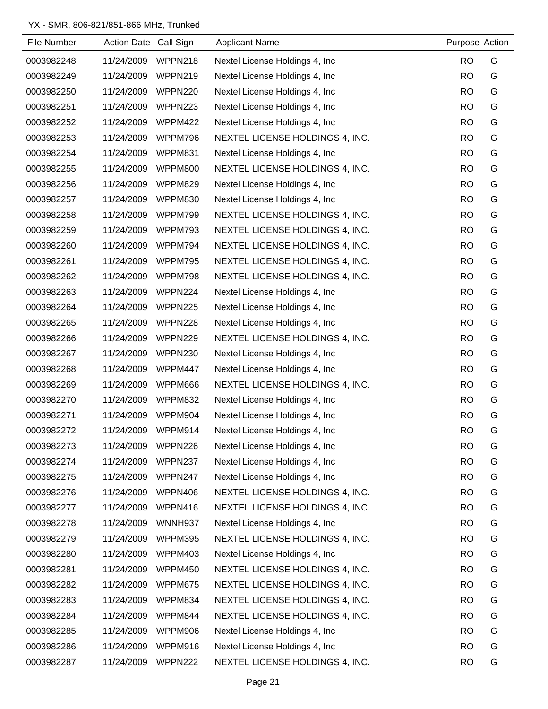| File Number | Action Date Call Sign |         | <b>Applicant Name</b>           | Purpose Action |   |
|-------------|-----------------------|---------|---------------------------------|----------------|---|
| 0003982248  | 11/24/2009            | WPPN218 | Nextel License Holdings 4, Inc. | <b>RO</b>      | G |
| 0003982249  | 11/24/2009            | WPPN219 | Nextel License Holdings 4, Inc. | <b>RO</b>      | G |
| 0003982250  | 11/24/2009            | WPPN220 | Nextel License Holdings 4, Inc. | <b>RO</b>      | G |
| 0003982251  | 11/24/2009            | WPPN223 | Nextel License Holdings 4, Inc. | <b>RO</b>      | G |
| 0003982252  | 11/24/2009            | WPPM422 | Nextel License Holdings 4, Inc. | <b>RO</b>      | G |
| 0003982253  | 11/24/2009            | WPPM796 | NEXTEL LICENSE HOLDINGS 4, INC. | <b>RO</b>      | G |
| 0003982254  | 11/24/2009            | WPPM831 | Nextel License Holdings 4, Inc. | <b>RO</b>      | G |
| 0003982255  | 11/24/2009            | WPPM800 | NEXTEL LICENSE HOLDINGS 4, INC. | <b>RO</b>      | G |
| 0003982256  | 11/24/2009            | WPPM829 | Nextel License Holdings 4, Inc. | <b>RO</b>      | G |
| 0003982257  | 11/24/2009            | WPPM830 | Nextel License Holdings 4, Inc. | <b>RO</b>      | G |
| 0003982258  | 11/24/2009            | WPPM799 | NEXTEL LICENSE HOLDINGS 4, INC. | <b>RO</b>      | G |
| 0003982259  | 11/24/2009            | WPPM793 | NEXTEL LICENSE HOLDINGS 4, INC. | <b>RO</b>      | G |
| 0003982260  | 11/24/2009            | WPPM794 | NEXTEL LICENSE HOLDINGS 4, INC. | <b>RO</b>      | G |
| 0003982261  | 11/24/2009            | WPPM795 | NEXTEL LICENSE HOLDINGS 4, INC. | <b>RO</b>      | G |
| 0003982262  | 11/24/2009            | WPPM798 | NEXTEL LICENSE HOLDINGS 4, INC. | <b>RO</b>      | G |
| 0003982263  | 11/24/2009            | WPPN224 | Nextel License Holdings 4, Inc. | <b>RO</b>      | G |
| 0003982264  | 11/24/2009            | WPPN225 | Nextel License Holdings 4, Inc. | <b>RO</b>      | G |
| 0003982265  | 11/24/2009            | WPPN228 | Nextel License Holdings 4, Inc. | <b>RO</b>      | G |
| 0003982266  | 11/24/2009            | WPPN229 | NEXTEL LICENSE HOLDINGS 4, INC. | <b>RO</b>      | G |
| 0003982267  | 11/24/2009            | WPPN230 | Nextel License Holdings 4, Inc. | <b>RO</b>      | G |
| 0003982268  | 11/24/2009            | WPPM447 | Nextel License Holdings 4, Inc. | <b>RO</b>      | G |
| 0003982269  | 11/24/2009            | WPPM666 | NEXTEL LICENSE HOLDINGS 4, INC. | <b>RO</b>      | G |
| 0003982270  | 11/24/2009            | WPPM832 | Nextel License Holdings 4, Inc. | <b>RO</b>      | G |
| 0003982271  | 11/24/2009            | WPPM904 | Nextel License Holdings 4, Inc. | <b>RO</b>      | G |
| 0003982272  | 11/24/2009            | WPPM914 | Nextel License Holdings 4, Inc. | <b>RO</b>      | G |
| 0003982273  | 11/24/2009            | WPPN226 | Nextel License Holdings 4, Inc. | <b>RO</b>      | G |
| 0003982274  | 11/24/2009            | WPPN237 | Nextel License Holdings 4, Inc. | <b>RO</b>      | G |
| 0003982275  | 11/24/2009            | WPPN247 | Nextel License Holdings 4, Inc. | <b>RO</b>      | G |
| 0003982276  | 11/24/2009            | WPPN406 | NEXTEL LICENSE HOLDINGS 4, INC. | <b>RO</b>      | G |
| 0003982277  | 11/24/2009            | WPPN416 | NEXTEL LICENSE HOLDINGS 4, INC. | <b>RO</b>      | G |
| 0003982278  | 11/24/2009            | WNNH937 | Nextel License Holdings 4, Inc. | <b>RO</b>      | G |
| 0003982279  | 11/24/2009            | WPPM395 | NEXTEL LICENSE HOLDINGS 4, INC. | <b>RO</b>      | G |
| 0003982280  | 11/24/2009            | WPPM403 | Nextel License Holdings 4, Inc. | <b>RO</b>      | G |
| 0003982281  | 11/24/2009            | WPPM450 | NEXTEL LICENSE HOLDINGS 4, INC. | <b>RO</b>      | G |
| 0003982282  | 11/24/2009            | WPPM675 | NEXTEL LICENSE HOLDINGS 4, INC. | <b>RO</b>      | G |
| 0003982283  | 11/24/2009            | WPPM834 | NEXTEL LICENSE HOLDINGS 4, INC. | <b>RO</b>      | G |
| 0003982284  | 11/24/2009            | WPPM844 | NEXTEL LICENSE HOLDINGS 4, INC. | <b>RO</b>      | G |
| 0003982285  | 11/24/2009            | WPPM906 | Nextel License Holdings 4, Inc. | <b>RO</b>      | G |
| 0003982286  | 11/24/2009            | WPPM916 | Nextel License Holdings 4, Inc. | <b>RO</b>      | G |
| 0003982287  | 11/24/2009            | WPPN222 | NEXTEL LICENSE HOLDINGS 4, INC. | <b>RO</b>      | G |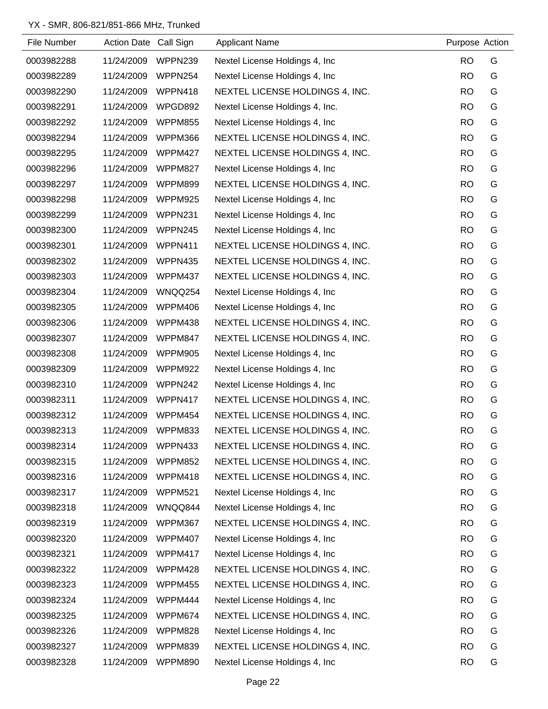| File Number | Action Date Call Sign |                | <b>Applicant Name</b>                  | Purpose Action |   |
|-------------|-----------------------|----------------|----------------------------------------|----------------|---|
| 0003982288  | 11/24/2009            | WPPN239        | Nextel License Holdings 4, Inc.        | <b>RO</b>      | G |
| 0003982289  | 11/24/2009            | WPPN254        | Nextel License Holdings 4, Inc.        | <b>RO</b>      | G |
| 0003982290  | 11/24/2009            | WPPN418        | NEXTEL LICENSE HOLDINGS 4, INC.        | <b>RO</b>      | G |
| 0003982291  | 11/24/2009            | WPGD892        | Nextel License Holdings 4, Inc.        | <b>RO</b>      | G |
| 0003982292  | 11/24/2009            | WPPM855        | Nextel License Holdings 4, Inc.        | <b>RO</b>      | G |
| 0003982294  | 11/24/2009            | WPPM366        | NEXTEL LICENSE HOLDINGS 4, INC.        | <b>RO</b>      | G |
| 0003982295  | 11/24/2009            | WPPM427        | NEXTEL LICENSE HOLDINGS 4, INC.        | <b>RO</b>      | G |
| 0003982296  | 11/24/2009            | WPPM827        | Nextel License Holdings 4, Inc.        | <b>RO</b>      | G |
| 0003982297  | 11/24/2009            | WPPM899        | NEXTEL LICENSE HOLDINGS 4, INC.        | <b>RO</b>      | G |
| 0003982298  | 11/24/2009            | WPPM925        | Nextel License Holdings 4, Inc.        | <b>RO</b>      | G |
| 0003982299  | 11/24/2009            | WPPN231        | Nextel License Holdings 4, Inc.        | <b>RO</b>      | G |
| 0003982300  | 11/24/2009            | WPPN245        | Nextel License Holdings 4, Inc.        | <b>RO</b>      | G |
| 0003982301  | 11/24/2009            | WPPN411        | NEXTEL LICENSE HOLDINGS 4, INC.        | <b>RO</b>      | G |
| 0003982302  | 11/24/2009            | <b>WPPN435</b> | NEXTEL LICENSE HOLDINGS 4, INC.        | <b>RO</b>      | G |
| 0003982303  | 11/24/2009            | WPPM437        | NEXTEL LICENSE HOLDINGS 4, INC.        | <b>RO</b>      | G |
| 0003982304  | 11/24/2009            | WNQQ254        | Nextel License Holdings 4, Inc.        | <b>RO</b>      | G |
| 0003982305  | 11/24/2009            | WPPM406        | Nextel License Holdings 4, Inc.        | <b>RO</b>      | G |
| 0003982306  | 11/24/2009            | WPPM438        | NEXTEL LICENSE HOLDINGS 4, INC.        | <b>RO</b>      | G |
| 0003982307  | 11/24/2009            | WPPM847        | NEXTEL LICENSE HOLDINGS 4, INC.        | <b>RO</b>      | G |
| 0003982308  | 11/24/2009            | WPPM905        | Nextel License Holdings 4, Inc.        | <b>RO</b>      | G |
| 0003982309  | 11/24/2009            | WPPM922        | Nextel License Holdings 4, Inc.        | <b>RO</b>      | G |
| 0003982310  | 11/24/2009            | WPPN242        | Nextel License Holdings 4, Inc.        | <b>RO</b>      | G |
| 0003982311  | 11/24/2009            | WPPN417        | NEXTEL LICENSE HOLDINGS 4, INC.        | <b>RO</b>      | G |
| 0003982312  | 11/24/2009            | WPPM454        | NEXTEL LICENSE HOLDINGS 4, INC.        | <b>RO</b>      | G |
| 0003982313  | 11/24/2009            | WPPM833        | <b>NEXTEL LICENSE HOLDINGS 4, INC.</b> | <b>RO</b>      | G |
| 0003982314  | 11/24/2009            | WPPN433        | NEXTEL LICENSE HOLDINGS 4, INC.        | <b>RO</b>      | G |
| 0003982315  | 11/24/2009            | WPPM852        | NEXTEL LICENSE HOLDINGS 4, INC.        | <b>RO</b>      | G |
| 0003982316  | 11/24/2009            | WPPM418        | NEXTEL LICENSE HOLDINGS 4, INC.        | <b>RO</b>      | G |
| 0003982317  | 11/24/2009            | <b>WPPM521</b> | Nextel License Holdings 4, Inc.        | <b>RO</b>      | G |
| 0003982318  | 11/24/2009            | WNQQ844        | Nextel License Holdings 4, Inc.        | <b>RO</b>      | G |
| 0003982319  | 11/24/2009            | WPPM367        | NEXTEL LICENSE HOLDINGS 4, INC.        | <b>RO</b>      | G |
| 0003982320  | 11/24/2009            | WPPM407        | Nextel License Holdings 4, Inc.        | <b>RO</b>      | G |
| 0003982321  | 11/24/2009            | WPPM417        | Nextel License Holdings 4, Inc.        | <b>RO</b>      | G |
| 0003982322  | 11/24/2009            | WPPM428        | NEXTEL LICENSE HOLDINGS 4, INC.        | <b>RO</b>      | G |
| 0003982323  | 11/24/2009            | <b>WPPM455</b> | NEXTEL LICENSE HOLDINGS 4, INC.        | <b>RO</b>      | G |
| 0003982324  | 11/24/2009            | WPPM444        | Nextel License Holdings 4, Inc.        | <b>RO</b>      | G |
| 0003982325  | 11/24/2009            | WPPM674        | NEXTEL LICENSE HOLDINGS 4, INC.        | <b>RO</b>      | G |
| 0003982326  | 11/24/2009            | WPPM828        | Nextel License Holdings 4, Inc.        | <b>RO</b>      | G |
| 0003982327  | 11/24/2009            | WPPM839        | NEXTEL LICENSE HOLDINGS 4, INC.        | <b>RO</b>      | G |
| 0003982328  | 11/24/2009            | WPPM890        | Nextel License Holdings 4, Inc.        | <b>RO</b>      | G |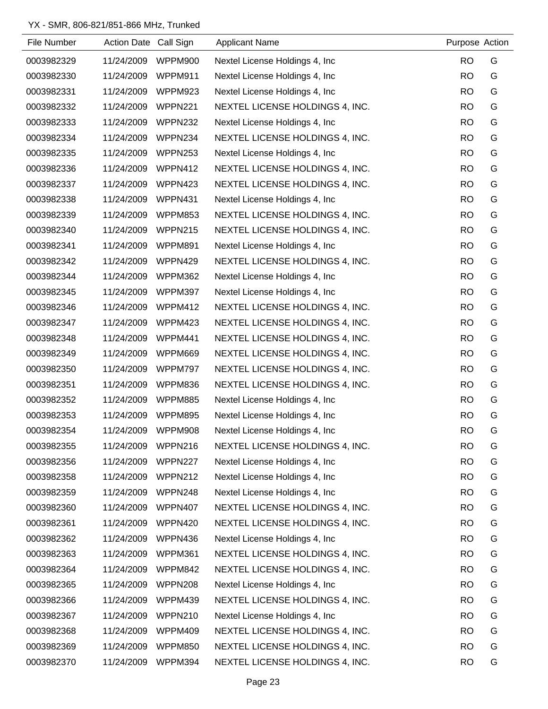| File Number | Action Date Call Sign |                | <b>Applicant Name</b>           | Purpose Action |   |
|-------------|-----------------------|----------------|---------------------------------|----------------|---|
| 0003982329  | 11/24/2009            | WPPM900        | Nextel License Holdings 4, Inc. | <b>RO</b>      | G |
| 0003982330  | 11/24/2009            | WPPM911        | Nextel License Holdings 4, Inc. | <b>RO</b>      | G |
| 0003982331  | 11/24/2009            | WPPM923        | Nextel License Holdings 4, Inc. | <b>RO</b>      | G |
| 0003982332  | 11/24/2009            | WPPN221        | NEXTEL LICENSE HOLDINGS 4, INC. | <b>RO</b>      | G |
| 0003982333  | 11/24/2009            | WPPN232        | Nextel License Holdings 4, Inc. | <b>RO</b>      | G |
| 0003982334  | 11/24/2009            | WPPN234        | NEXTEL LICENSE HOLDINGS 4, INC. | <b>RO</b>      | G |
| 0003982335  | 11/24/2009            | WPPN253        | Nextel License Holdings 4, Inc. | <b>RO</b>      | G |
| 0003982336  | 11/24/2009            | WPPN412        | NEXTEL LICENSE HOLDINGS 4, INC. | <b>RO</b>      | G |
| 0003982337  | 11/24/2009            | WPPN423        | NEXTEL LICENSE HOLDINGS 4, INC. | <b>RO</b>      | G |
| 0003982338  | 11/24/2009            | WPPN431        | Nextel License Holdings 4, Inc. | <b>RO</b>      | G |
| 0003982339  | 11/24/2009            | WPPM853        | NEXTEL LICENSE HOLDINGS 4, INC. | <b>RO</b>      | G |
| 0003982340  | 11/24/2009            | WPPN215        | NEXTEL LICENSE HOLDINGS 4, INC. | <b>RO</b>      | G |
| 0003982341  | 11/24/2009            | WPPM891        | Nextel License Holdings 4, Inc. | <b>RO</b>      | G |
| 0003982342  | 11/24/2009            | WPPN429        | NEXTEL LICENSE HOLDINGS 4, INC. | <b>RO</b>      | G |
| 0003982344  | 11/24/2009            | WPPM362        | Nextel License Holdings 4, Inc. | <b>RO</b>      | G |
| 0003982345  | 11/24/2009            | WPPM397        | Nextel License Holdings 4, Inc. | <b>RO</b>      | G |
| 0003982346  | 11/24/2009            | WPPM412        | NEXTEL LICENSE HOLDINGS 4, INC. | <b>RO</b>      | G |
| 0003982347  | 11/24/2009            | WPPM423        | NEXTEL LICENSE HOLDINGS 4, INC. | <b>RO</b>      | G |
| 0003982348  | 11/24/2009            | WPPM441        | NEXTEL LICENSE HOLDINGS 4, INC. | <b>RO</b>      | G |
| 0003982349  | 11/24/2009            | WPPM669        | NEXTEL LICENSE HOLDINGS 4, INC. | <b>RO</b>      | G |
| 0003982350  | 11/24/2009            | WPPM797        | NEXTEL LICENSE HOLDINGS 4, INC. | <b>RO</b>      | G |
| 0003982351  | 11/24/2009            | WPPM836        | NEXTEL LICENSE HOLDINGS 4, INC. | <b>RO</b>      | G |
| 0003982352  | 11/24/2009            | WPPM885        | Nextel License Holdings 4, Inc. | <b>RO</b>      | G |
| 0003982353  | 11/24/2009            | WPPM895        | Nextel License Holdings 4, Inc. | <b>RO</b>      | G |
| 0003982354  | 11/24/2009            | WPPM908        | Nextel License Holdings 4, Inc. | <b>RO</b>      | G |
| 0003982355  | 11/24/2009            | WPPN216        | NEXTEL LICENSE HOLDINGS 4, INC. | <b>RO</b>      | G |
| 0003982356  | 11/24/2009            | WPPN227        | Nextel License Holdings 4, Inc. | <b>RO</b>      | G |
| 0003982358  | 11/24/2009            | <b>WPPN212</b> | Nextel License Holdings 4, Inc. | <b>RO</b>      | G |
| 0003982359  | 11/24/2009            | WPPN248        | Nextel License Holdings 4, Inc. | <b>RO</b>      | G |
| 0003982360  | 11/24/2009            | WPPN407        | NEXTEL LICENSE HOLDINGS 4, INC. | <b>RO</b>      | G |
| 0003982361  | 11/24/2009            | WPPN420        | NEXTEL LICENSE HOLDINGS 4, INC. | <b>RO</b>      | G |
| 0003982362  | 11/24/2009            | WPPN436        | Nextel License Holdings 4, Inc. | <b>RO</b>      | G |
| 0003982363  | 11/24/2009            | WPPM361        | NEXTEL LICENSE HOLDINGS 4, INC. | <b>RO</b>      | G |
| 0003982364  | 11/24/2009            | WPPM842        | NEXTEL LICENSE HOLDINGS 4, INC. | <b>RO</b>      | G |
| 0003982365  | 11/24/2009            | WPPN208        | Nextel License Holdings 4, Inc. | <b>RO</b>      | G |
| 0003982366  | 11/24/2009            | WPPM439        | NEXTEL LICENSE HOLDINGS 4, INC. | <b>RO</b>      | G |
| 0003982367  | 11/24/2009            | WPPN210        | Nextel License Holdings 4, Inc. | <b>RO</b>      | G |
| 0003982368  | 11/24/2009            | WPPM409        | NEXTEL LICENSE HOLDINGS 4, INC. | <b>RO</b>      | G |
| 0003982369  | 11/24/2009            | WPPM850        | NEXTEL LICENSE HOLDINGS 4, INC. | <b>RO</b>      | G |
| 0003982370  | 11/24/2009            | WPPM394        | NEXTEL LICENSE HOLDINGS 4, INC. | <b>RO</b>      | G |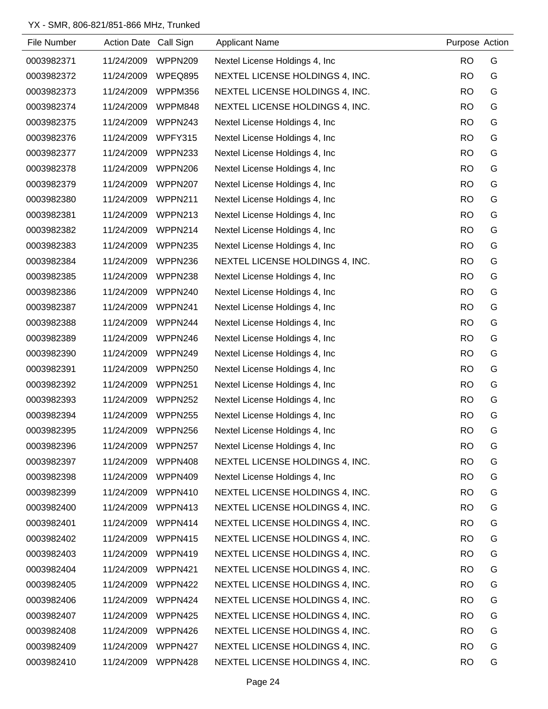| File Number | Action Date Call Sign |                | <b>Applicant Name</b>           | Purpose Action |   |
|-------------|-----------------------|----------------|---------------------------------|----------------|---|
| 0003982371  | 11/24/2009            | WPPN209        | Nextel License Holdings 4, Inc. | <b>RO</b>      | G |
| 0003982372  | 11/24/2009            | WPEQ895        | NEXTEL LICENSE HOLDINGS 4, INC. | <b>RO</b>      | G |
| 0003982373  | 11/24/2009            | WPPM356        | NEXTEL LICENSE HOLDINGS 4, INC. | <b>RO</b>      | G |
| 0003982374  | 11/24/2009            | WPPM848        | NEXTEL LICENSE HOLDINGS 4, INC. | <b>RO</b>      | G |
| 0003982375  | 11/24/2009            | WPPN243        | Nextel License Holdings 4, Inc  | <b>RO</b>      | G |
| 0003982376  | 11/24/2009            | WPFY315        | Nextel License Holdings 4, Inc. | <b>RO</b>      | G |
| 0003982377  | 11/24/2009            | WPPN233        | Nextel License Holdings 4, Inc  | <b>RO</b>      | G |
| 0003982378  | 11/24/2009            | WPPN206        | Nextel License Holdings 4, Inc  | <b>RO</b>      | G |
| 0003982379  | 11/24/2009            | WPPN207        | Nextel License Holdings 4, Inc  | <b>RO</b>      | G |
| 0003982380  | 11/24/2009            | <b>WPPN211</b> | Nextel License Holdings 4, Inc. | <b>RO</b>      | G |
| 0003982381  | 11/24/2009            | WPPN213        | Nextel License Holdings 4, Inc  | <b>RO</b>      | G |
| 0003982382  | 11/24/2009            | WPPN214        | Nextel License Holdings 4, Inc  | <b>RO</b>      | G |
| 0003982383  | 11/24/2009            | WPPN235        | Nextel License Holdings 4, Inc  | <b>RO</b>      | G |
| 0003982384  | 11/24/2009            | WPPN236        | NEXTEL LICENSE HOLDINGS 4, INC. | <b>RO</b>      | G |
| 0003982385  | 11/24/2009            | WPPN238        | Nextel License Holdings 4, Inc  | <b>RO</b>      | G |
| 0003982386  | 11/24/2009            | WPPN240        | Nextel License Holdings 4, Inc  | <b>RO</b>      | G |
| 0003982387  | 11/24/2009            | WPPN241        | Nextel License Holdings 4, Inc  | <b>RO</b>      | G |
| 0003982388  | 11/24/2009            | WPPN244        | Nextel License Holdings 4, Inc. | <b>RO</b>      | G |
| 0003982389  | 11/24/2009            | WPPN246        | Nextel License Holdings 4, Inc  | <b>RO</b>      | G |
| 0003982390  | 11/24/2009            | WPPN249        | Nextel License Holdings 4, Inc  | <b>RO</b>      | G |
| 0003982391  | 11/24/2009            | WPPN250        | Nextel License Holdings 4, Inc. | <b>RO</b>      | G |
| 0003982392  | 11/24/2009            | WPPN251        | Nextel License Holdings 4, Inc. | <b>RO</b>      | G |
| 0003982393  | 11/24/2009            | WPPN252        | Nextel License Holdings 4, Inc  | <b>RO</b>      | G |
| 0003982394  | 11/24/2009            | WPPN255        | Nextel License Holdings 4, Inc. | <b>RO</b>      | G |
| 0003982395  | 11/24/2009            | WPPN256        | Nextel License Holdings 4, Inc  | <b>RO</b>      | G |
| 0003982396  | 11/24/2009            | WPPN257        | Nextel License Holdings 4, Inc. | <b>RO</b>      | G |
| 0003982397  | 11/24/2009            | WPPN408        | NEXTEL LICENSE HOLDINGS 4, INC. | <b>RO</b>      | G |
| 0003982398  | 11/24/2009            | WPPN409        | Nextel License Holdings 4, Inc. | <b>RO</b>      | G |
| 0003982399  | 11/24/2009            | WPPN410        | NEXTEL LICENSE HOLDINGS 4, INC. | <b>RO</b>      | G |
| 0003982400  | 11/24/2009            | WPPN413        | NEXTEL LICENSE HOLDINGS 4, INC. | <b>RO</b>      | G |
| 0003982401  | 11/24/2009            | WPPN414        | NEXTEL LICENSE HOLDINGS 4, INC. | <b>RO</b>      | G |
| 0003982402  | 11/24/2009            | WPPN415        | NEXTEL LICENSE HOLDINGS 4, INC. | <b>RO</b>      | G |
| 0003982403  | 11/24/2009            | WPPN419        | NEXTEL LICENSE HOLDINGS 4, INC. | <b>RO</b>      | G |
| 0003982404  | 11/24/2009            | WPPN421        | NEXTEL LICENSE HOLDINGS 4, INC. | <b>RO</b>      | G |
| 0003982405  | 11/24/2009            | WPPN422        | NEXTEL LICENSE HOLDINGS 4, INC. | <b>RO</b>      | G |
| 0003982406  | 11/24/2009            | WPPN424        | NEXTEL LICENSE HOLDINGS 4, INC. | <b>RO</b>      | G |
| 0003982407  | 11/24/2009            | WPPN425        | NEXTEL LICENSE HOLDINGS 4, INC. | <b>RO</b>      | G |
| 0003982408  | 11/24/2009            | WPPN426        | NEXTEL LICENSE HOLDINGS 4, INC. | <b>RO</b>      | G |
| 0003982409  | 11/24/2009            | WPPN427        | NEXTEL LICENSE HOLDINGS 4, INC. | <b>RO</b>      | G |
| 0003982410  | 11/24/2009            | WPPN428        | NEXTEL LICENSE HOLDINGS 4, INC. | <b>RO</b>      | G |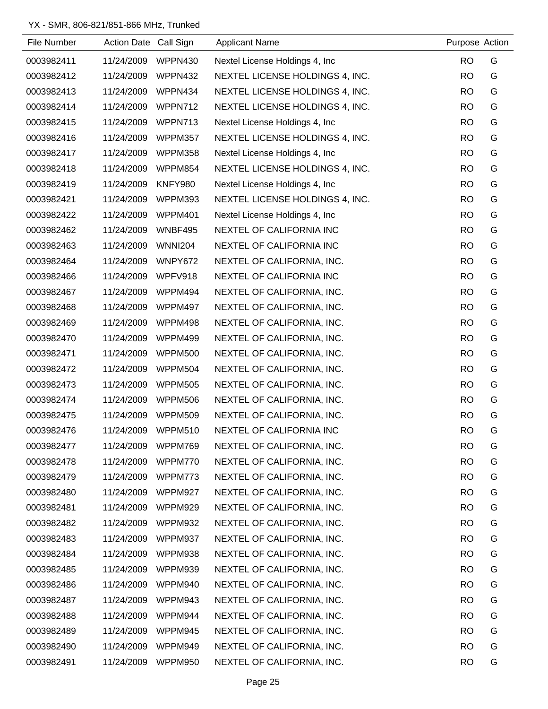| File Number | Action Date Call Sign |                | <b>Applicant Name</b>           | Purpose Action |   |
|-------------|-----------------------|----------------|---------------------------------|----------------|---|
| 0003982411  | 11/24/2009            | WPPN430        | Nextel License Holdings 4, Inc. | <b>RO</b>      | G |
| 0003982412  | 11/24/2009            | WPPN432        | NEXTEL LICENSE HOLDINGS 4, INC. | <b>RO</b>      | G |
| 0003982413  | 11/24/2009            | WPPN434        | NEXTEL LICENSE HOLDINGS 4, INC. | <b>RO</b>      | G |
| 0003982414  | 11/24/2009            | WPPN712        | NEXTEL LICENSE HOLDINGS 4, INC. | <b>RO</b>      | G |
| 0003982415  | 11/24/2009            | WPPN713        | Nextel License Holdings 4, Inc. | <b>RO</b>      | G |
| 0003982416  | 11/24/2009            | WPPM357        | NEXTEL LICENSE HOLDINGS 4, INC. | <b>RO</b>      | G |
| 0003982417  | 11/24/2009            | <b>WPPM358</b> | Nextel License Holdings 4, Inc. | <b>RO</b>      | G |
| 0003982418  | 11/24/2009            | WPPM854        | NEXTEL LICENSE HOLDINGS 4, INC. | <b>RO</b>      | G |
| 0003982419  | 11/24/2009            | KNFY980        | Nextel License Holdings 4, Inc. | <b>RO</b>      | G |
| 0003982421  | 11/24/2009            | WPPM393        | NEXTEL LICENSE HOLDINGS 4, INC. | <b>RO</b>      | G |
| 0003982422  | 11/24/2009            | WPPM401        | Nextel License Holdings 4, Inc  | <b>RO</b>      | G |
| 0003982462  | 11/24/2009            | WNBF495        | NEXTEL OF CALIFORNIA INC        | <b>RO</b>      | G |
| 0003982463  | 11/24/2009            | <b>WNNI204</b> | NEXTEL OF CALIFORNIA INC        | <b>RO</b>      | G |
| 0003982464  | 11/24/2009            | WNPY672        | NEXTEL OF CALIFORNIA, INC.      | <b>RO</b>      | G |
| 0003982466  | 11/24/2009            | WPFV918        | NEXTEL OF CALIFORNIA INC        | <b>RO</b>      | G |
| 0003982467  | 11/24/2009            | WPPM494        | NEXTEL OF CALIFORNIA, INC.      | <b>RO</b>      | G |
| 0003982468  | 11/24/2009            | WPPM497        | NEXTEL OF CALIFORNIA, INC.      | <b>RO</b>      | G |
| 0003982469  | 11/24/2009            | WPPM498        | NEXTEL OF CALIFORNIA, INC.      | <b>RO</b>      | G |
| 0003982470  | 11/24/2009            | WPPM499        | NEXTEL OF CALIFORNIA, INC.      | <b>RO</b>      | G |
| 0003982471  | 11/24/2009            | <b>WPPM500</b> | NEXTEL OF CALIFORNIA, INC.      | <b>RO</b>      | G |
| 0003982472  | 11/24/2009            | WPPM504        | NEXTEL OF CALIFORNIA, INC.      | <b>RO</b>      | G |
| 0003982473  | 11/24/2009            | <b>WPPM505</b> | NEXTEL OF CALIFORNIA, INC.      | <b>RO</b>      | G |
| 0003982474  | 11/24/2009            | <b>WPPM506</b> | NEXTEL OF CALIFORNIA, INC.      | <b>RO</b>      | G |
| 0003982475  | 11/24/2009            | <b>WPPM509</b> | NEXTEL OF CALIFORNIA, INC.      | <b>RO</b>      | G |
| 0003982476  | 11/24/2009            | WPPM510        | NEXTEL OF CALIFORNIA INC        | <b>RO</b>      | G |
| 0003982477  | 11/24/2009            | WPPM769        | NEXTEL OF CALIFORNIA, INC.      | <b>RO</b>      | G |
| 0003982478  | 11/24/2009            | WPPM770        | NEXTEL OF CALIFORNIA, INC.      | <b>RO</b>      | G |
| 0003982479  | 11/24/2009            | WPPM773        | NEXTEL OF CALIFORNIA, INC.      | <b>RO</b>      | G |
| 0003982480  | 11/24/2009            | WPPM927        | NEXTEL OF CALIFORNIA, INC.      | <b>RO</b>      | G |
| 0003982481  | 11/24/2009            | WPPM929        | NEXTEL OF CALIFORNIA, INC.      | <b>RO</b>      | G |
| 0003982482  | 11/24/2009            | WPPM932        | NEXTEL OF CALIFORNIA, INC.      | <b>RO</b>      | G |
| 0003982483  | 11/24/2009            | WPPM937        | NEXTEL OF CALIFORNIA, INC.      | <b>RO</b>      | G |
| 0003982484  | 11/24/2009            | WPPM938        | NEXTEL OF CALIFORNIA, INC.      | <b>RO</b>      | G |
| 0003982485  | 11/24/2009            | WPPM939        | NEXTEL OF CALIFORNIA, INC.      | <b>RO</b>      | G |
| 0003982486  | 11/24/2009            | WPPM940        | NEXTEL OF CALIFORNIA, INC.      | <b>RO</b>      | G |
| 0003982487  | 11/24/2009            | WPPM943        | NEXTEL OF CALIFORNIA, INC.      | <b>RO</b>      | G |
| 0003982488  | 11/24/2009            | WPPM944        | NEXTEL OF CALIFORNIA, INC.      | <b>RO</b>      | G |
| 0003982489  | 11/24/2009            | WPPM945        | NEXTEL OF CALIFORNIA, INC.      | <b>RO</b>      | G |
| 0003982490  | 11/24/2009            | WPPM949        | NEXTEL OF CALIFORNIA, INC.      | <b>RO</b>      | G |
| 0003982491  | 11/24/2009            | <b>WPPM950</b> | NEXTEL OF CALIFORNIA, INC.      | <b>RO</b>      | G |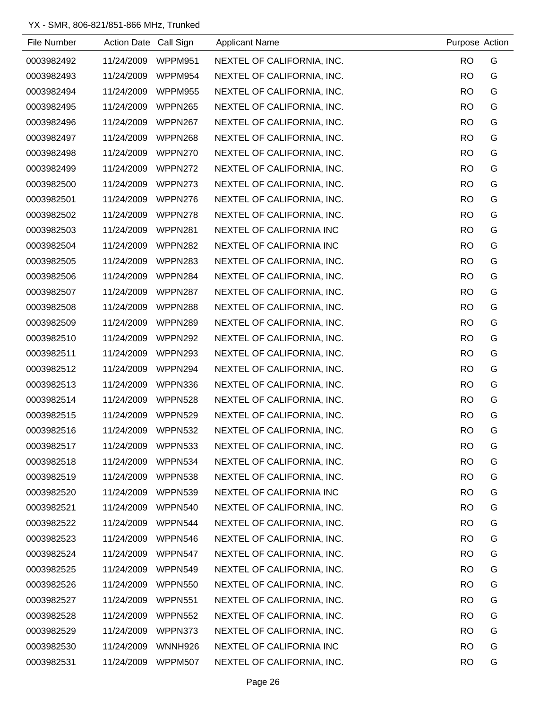| File Number | Action Date Call Sign |                | <b>Applicant Name</b>      | Purpose Action |   |
|-------------|-----------------------|----------------|----------------------------|----------------|---|
| 0003982492  | 11/24/2009            | WPPM951        | NEXTEL OF CALIFORNIA, INC. | <b>RO</b>      | G |
| 0003982493  | 11/24/2009            | WPPM954        | NEXTEL OF CALIFORNIA, INC. | <b>RO</b>      | G |
| 0003982494  | 11/24/2009            | WPPM955        | NEXTEL OF CALIFORNIA, INC. | <b>RO</b>      | G |
| 0003982495  | 11/24/2009            | WPPN265        | NEXTEL OF CALIFORNIA, INC. | <b>RO</b>      | G |
| 0003982496  | 11/24/2009            | WPPN267        | NEXTEL OF CALIFORNIA, INC. | <b>RO</b>      | G |
| 0003982497  | 11/24/2009            | WPPN268        | NEXTEL OF CALIFORNIA, INC. | <b>RO</b>      | G |
| 0003982498  | 11/24/2009            | WPPN270        | NEXTEL OF CALIFORNIA, INC. | <b>RO</b>      | G |
| 0003982499  | 11/24/2009            | WPPN272        | NEXTEL OF CALIFORNIA, INC. | <b>RO</b>      | G |
| 0003982500  | 11/24/2009            | WPPN273        | NEXTEL OF CALIFORNIA, INC. | <b>RO</b>      | G |
| 0003982501  | 11/24/2009            | WPPN276        | NEXTEL OF CALIFORNIA, INC. | <b>RO</b>      | G |
| 0003982502  | 11/24/2009            | WPPN278        | NEXTEL OF CALIFORNIA, INC. | <b>RO</b>      | G |
| 0003982503  | 11/24/2009            | WPPN281        | NEXTEL OF CALIFORNIA INC   | <b>RO</b>      | G |
| 0003982504  | 11/24/2009            | WPPN282        | NEXTEL OF CALIFORNIA INC   | <b>RO</b>      | G |
| 0003982505  | 11/24/2009            | WPPN283        | NEXTEL OF CALIFORNIA, INC. | <b>RO</b>      | G |
| 0003982506  | 11/24/2009            | WPPN284        | NEXTEL OF CALIFORNIA, INC. | <b>RO</b>      | G |
| 0003982507  | 11/24/2009            | WPPN287        | NEXTEL OF CALIFORNIA, INC. | <b>RO</b>      | G |
| 0003982508  | 11/24/2009            | WPPN288        | NEXTEL OF CALIFORNIA, INC. | <b>RO</b>      | G |
| 0003982509  | 11/24/2009            | WPPN289        | NEXTEL OF CALIFORNIA, INC. | <b>RO</b>      | G |
| 0003982510  | 11/24/2009            | WPPN292        | NEXTEL OF CALIFORNIA, INC. | <b>RO</b>      | G |
| 0003982511  | 11/24/2009            | WPPN293        | NEXTEL OF CALIFORNIA, INC. | <b>RO</b>      | G |
| 0003982512  | 11/24/2009            | WPPN294        | NEXTEL OF CALIFORNIA, INC. | <b>RO</b>      | G |
| 0003982513  | 11/24/2009            | WPPN336        | NEXTEL OF CALIFORNIA, INC. | <b>RO</b>      | G |
| 0003982514  | 11/24/2009            | WPPN528        | NEXTEL OF CALIFORNIA, INC. | <b>RO</b>      | G |
| 0003982515  | 11/24/2009            | WPPN529        | NEXTEL OF CALIFORNIA, INC. | <b>RO</b>      | G |
| 0003982516  | 11/24/2009            | WPPN532        | NEXTEL OF CALIFORNIA, INC. | <b>RO</b>      | G |
| 0003982517  | 11/24/2009            | WPPN533        | NEXTEL OF CALIFORNIA, INC. | <b>RO</b>      | G |
| 0003982518  | 11/24/2009            | WPPN534        | NEXTEL OF CALIFORNIA, INC. | <b>RO</b>      | G |
| 0003982519  | 11/24/2009            | WPPN538        | NEXTEL OF CALIFORNIA, INC. | <b>RO</b>      | G |
| 0003982520  | 11/24/2009            | WPPN539        | NEXTEL OF CALIFORNIA INC   | <b>RO</b>      | G |
| 0003982521  | 11/24/2009            | WPPN540        | NEXTEL OF CALIFORNIA, INC. | <b>RO</b>      | G |
| 0003982522  | 11/24/2009            | WPPN544        | NEXTEL OF CALIFORNIA, INC. | <b>RO</b>      | G |
| 0003982523  | 11/24/2009            | WPPN546        | NEXTEL OF CALIFORNIA, INC. | <b>RO</b>      | G |
| 0003982524  | 11/24/2009            | WPPN547        | NEXTEL OF CALIFORNIA, INC. | <b>RO</b>      | G |
| 0003982525  | 11/24/2009            | WPPN549        | NEXTEL OF CALIFORNIA, INC. | <b>RO</b>      | G |
| 0003982526  | 11/24/2009            | WPPN550        | NEXTEL OF CALIFORNIA, INC. | <b>RO</b>      | G |
| 0003982527  | 11/24/2009            | WPPN551        | NEXTEL OF CALIFORNIA, INC. | <b>RO</b>      | G |
| 0003982528  | 11/24/2009            | WPPN552        | NEXTEL OF CALIFORNIA, INC. | <b>RO</b>      | G |
| 0003982529  | 11/24/2009            | WPPN373        | NEXTEL OF CALIFORNIA, INC. | <b>RO</b>      | G |
| 0003982530  | 11/24/2009            | WNNH926        | NEXTEL OF CALIFORNIA INC   | <b>RO</b>      | G |
| 0003982531  | 11/24/2009            | <b>WPPM507</b> | NEXTEL OF CALIFORNIA, INC. | <b>RO</b>      | G |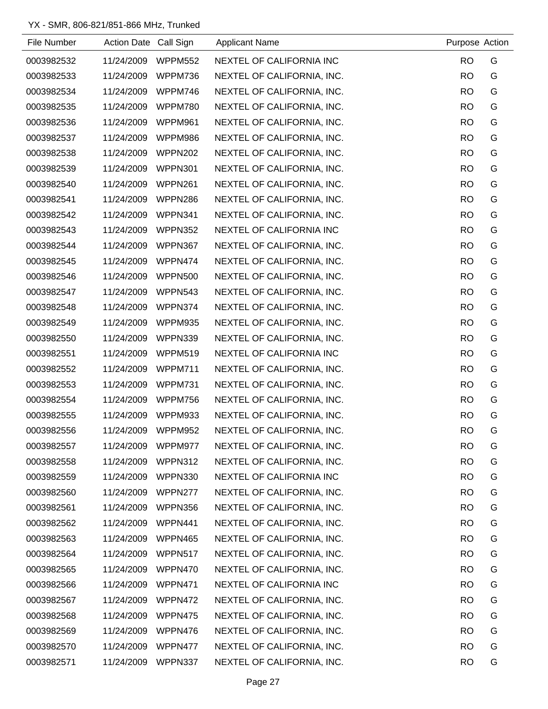| File Number | Action Date Call Sign |                | <b>Applicant Name</b>      | Purpose Action |   |
|-------------|-----------------------|----------------|----------------------------|----------------|---|
| 0003982532  | 11/24/2009            | <b>WPPM552</b> | NEXTEL OF CALIFORNIA INC   | <b>RO</b>      | G |
| 0003982533  | 11/24/2009            | WPPM736        | NEXTEL OF CALIFORNIA, INC. | <b>RO</b>      | G |
| 0003982534  | 11/24/2009            | WPPM746        | NEXTEL OF CALIFORNIA, INC. | <b>RO</b>      | G |
| 0003982535  | 11/24/2009            | <b>WPPM780</b> | NEXTEL OF CALIFORNIA, INC. | <b>RO</b>      | G |
| 0003982536  | 11/24/2009            | WPPM961        | NEXTEL OF CALIFORNIA, INC. | <b>RO</b>      | G |
| 0003982537  | 11/24/2009            | WPPM986        | NEXTEL OF CALIFORNIA, INC. | <b>RO</b>      | G |
| 0003982538  | 11/24/2009            | <b>WPPN202</b> | NEXTEL OF CALIFORNIA, INC. | <b>RO</b>      | G |
| 0003982539  | 11/24/2009            | WPPN301        | NEXTEL OF CALIFORNIA, INC. | <b>RO</b>      | G |
| 0003982540  | 11/24/2009            | WPPN261        | NEXTEL OF CALIFORNIA, INC. | <b>RO</b>      | G |
| 0003982541  | 11/24/2009            | WPPN286        | NEXTEL OF CALIFORNIA, INC. | <b>RO</b>      | G |
| 0003982542  | 11/24/2009            | WPPN341        | NEXTEL OF CALIFORNIA, INC. | <b>RO</b>      | G |
| 0003982543  | 11/24/2009            | WPPN352        | NEXTEL OF CALIFORNIA INC   | <b>RO</b>      | G |
| 0003982544  | 11/24/2009            | WPPN367        | NEXTEL OF CALIFORNIA, INC. | <b>RO</b>      | G |
| 0003982545  | 11/24/2009            | WPPN474        | NEXTEL OF CALIFORNIA, INC. | <b>RO</b>      | G |
| 0003982546  | 11/24/2009            | <b>WPPN500</b> | NEXTEL OF CALIFORNIA, INC. | <b>RO</b>      | G |
| 0003982547  | 11/24/2009            | WPPN543        | NEXTEL OF CALIFORNIA, INC. | <b>RO</b>      | G |
| 0003982548  | 11/24/2009            | WPPN374        | NEXTEL OF CALIFORNIA, INC. | <b>RO</b>      | G |
| 0003982549  | 11/24/2009            | WPPM935        | NEXTEL OF CALIFORNIA, INC. | <b>RO</b>      | G |
| 0003982550  | 11/24/2009            | WPPN339        | NEXTEL OF CALIFORNIA, INC. | <b>RO</b>      | G |
| 0003982551  | 11/24/2009            | WPPM519        | NEXTEL OF CALIFORNIA INC   | <b>RO</b>      | G |
| 0003982552  | 11/24/2009            | WPPM711        | NEXTEL OF CALIFORNIA, INC. | <b>RO</b>      | G |
| 0003982553  | 11/24/2009            | WPPM731        | NEXTEL OF CALIFORNIA, INC. | <b>RO</b>      | G |
| 0003982554  | 11/24/2009            | WPPM756        | NEXTEL OF CALIFORNIA, INC. | <b>RO</b>      | G |
| 0003982555  | 11/24/2009            | <b>WPPM933</b> | NEXTEL OF CALIFORNIA, INC. | <b>RO</b>      | G |
| 0003982556  | 11/24/2009            | WPPM952        | NEXTEL OF CALIFORNIA, INC. | <b>RO</b>      | G |
| 0003982557  | 11/24/2009            | WPPM977        | NEXTEL OF CALIFORNIA, INC. | <b>RO</b>      | G |
| 0003982558  | 11/24/2009            | WPPN312        | NEXTEL OF CALIFORNIA, INC. | <b>RO</b>      | G |
| 0003982559  | 11/24/2009            | WPPN330        | NEXTEL OF CALIFORNIA INC   | <b>RO</b>      | G |
| 0003982560  | 11/24/2009            | WPPN277        | NEXTEL OF CALIFORNIA, INC. | <b>RO</b>      | G |
| 0003982561  | 11/24/2009            | WPPN356        | NEXTEL OF CALIFORNIA, INC. | <b>RO</b>      | G |
| 0003982562  | 11/24/2009            | WPPN441        | NEXTEL OF CALIFORNIA, INC. | <b>RO</b>      | G |
| 0003982563  | 11/24/2009            | WPPN465        | NEXTEL OF CALIFORNIA, INC. | <b>RO</b>      | G |
| 0003982564  | 11/24/2009            | WPPN517        | NEXTEL OF CALIFORNIA, INC. | <b>RO</b>      | G |
| 0003982565  | 11/24/2009            | WPPN470        | NEXTEL OF CALIFORNIA, INC. | <b>RO</b>      | G |
| 0003982566  | 11/24/2009            | WPPN471        | NEXTEL OF CALIFORNIA INC   | <b>RO</b>      | G |
| 0003982567  | 11/24/2009            | WPPN472        | NEXTEL OF CALIFORNIA, INC. | <b>RO</b>      | G |
| 0003982568  | 11/24/2009            | WPPN475        | NEXTEL OF CALIFORNIA, INC. | <b>RO</b>      | G |
| 0003982569  | 11/24/2009            | WPPN476        | NEXTEL OF CALIFORNIA, INC. | <b>RO</b>      | G |
| 0003982570  | 11/24/2009            | WPPN477        | NEXTEL OF CALIFORNIA, INC. | <b>RO</b>      | G |
| 0003982571  | 11/24/2009            | WPPN337        | NEXTEL OF CALIFORNIA, INC. | <b>RO</b>      | G |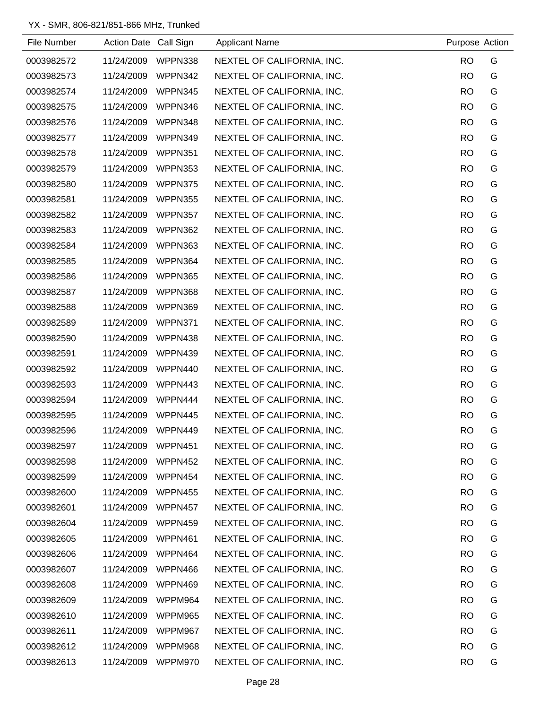| File Number | Action Date Call Sign |         | <b>Applicant Name</b>      | Purpose Action |   |
|-------------|-----------------------|---------|----------------------------|----------------|---|
| 0003982572  | 11/24/2009            | WPPN338 | NEXTEL OF CALIFORNIA, INC. | <b>RO</b>      | G |
| 0003982573  | 11/24/2009            | WPPN342 | NEXTEL OF CALIFORNIA, INC. | <b>RO</b>      | G |
| 0003982574  | 11/24/2009            | WPPN345 | NEXTEL OF CALIFORNIA, INC. | <b>RO</b>      | G |
| 0003982575  | 11/24/2009            | WPPN346 | NEXTEL OF CALIFORNIA, INC. | <b>RO</b>      | G |
| 0003982576  | 11/24/2009            | WPPN348 | NEXTEL OF CALIFORNIA, INC. | <b>RO</b>      | G |
| 0003982577  | 11/24/2009            | WPPN349 | NEXTEL OF CALIFORNIA, INC. | <b>RO</b>      | G |
| 0003982578  | 11/24/2009            | WPPN351 | NEXTEL OF CALIFORNIA, INC. | <b>RO</b>      | G |
| 0003982579  | 11/24/2009            | WPPN353 | NEXTEL OF CALIFORNIA, INC. | <b>RO</b>      | G |
| 0003982580  | 11/24/2009            | WPPN375 | NEXTEL OF CALIFORNIA, INC. | <b>RO</b>      | G |
| 0003982581  | 11/24/2009            | WPPN355 | NEXTEL OF CALIFORNIA, INC. | <b>RO</b>      | G |
| 0003982582  | 11/24/2009            | WPPN357 | NEXTEL OF CALIFORNIA, INC. | <b>RO</b>      | G |
| 0003982583  | 11/24/2009            | WPPN362 | NEXTEL OF CALIFORNIA, INC. | <b>RO</b>      | G |
| 0003982584  | 11/24/2009            | WPPN363 | NEXTEL OF CALIFORNIA, INC. | <b>RO</b>      | G |
| 0003982585  | 11/24/2009            | WPPN364 | NEXTEL OF CALIFORNIA, INC. | <b>RO</b>      | G |
| 0003982586  | 11/24/2009            | WPPN365 | NEXTEL OF CALIFORNIA, INC. | <b>RO</b>      | G |
| 0003982587  | 11/24/2009            | WPPN368 | NEXTEL OF CALIFORNIA, INC. | <b>RO</b>      | G |
| 0003982588  | 11/24/2009            | WPPN369 | NEXTEL OF CALIFORNIA, INC. | <b>RO</b>      | G |
| 0003982589  | 11/24/2009            | WPPN371 | NEXTEL OF CALIFORNIA, INC. | <b>RO</b>      | G |
| 0003982590  | 11/24/2009            | WPPN438 | NEXTEL OF CALIFORNIA, INC. | <b>RO</b>      | G |
| 0003982591  | 11/24/2009            | WPPN439 | NEXTEL OF CALIFORNIA, INC. | <b>RO</b>      | G |
| 0003982592  | 11/24/2009            | WPPN440 | NEXTEL OF CALIFORNIA, INC. | <b>RO</b>      | G |
| 0003982593  | 11/24/2009            | WPPN443 | NEXTEL OF CALIFORNIA, INC. | <b>RO</b>      | G |
| 0003982594  | 11/24/2009            | WPPN444 | NEXTEL OF CALIFORNIA, INC. | <b>RO</b>      | G |
| 0003982595  | 11/24/2009            | WPPN445 | NEXTEL OF CALIFORNIA, INC. | <b>RO</b>      | G |
| 0003982596  | 11/24/2009            | WPPN449 | NEXTEL OF CALIFORNIA, INC. | <b>RO</b>      | G |
| 0003982597  | 11/24/2009            | WPPN451 | NEXTEL OF CALIFORNIA, INC. | <b>RO</b>      | G |
| 0003982598  | 11/24/2009            | WPPN452 | NEXTEL OF CALIFORNIA, INC. | <b>RO</b>      | G |
| 0003982599  | 11/24/2009            | WPPN454 | NEXTEL OF CALIFORNIA, INC. | <b>RO</b>      | G |
| 0003982600  | 11/24/2009            | WPPN455 | NEXTEL OF CALIFORNIA, INC. | <b>RO</b>      | G |
| 0003982601  | 11/24/2009            | WPPN457 | NEXTEL OF CALIFORNIA, INC. | <b>RO</b>      | G |
| 0003982604  | 11/24/2009            | WPPN459 | NEXTEL OF CALIFORNIA, INC. | <b>RO</b>      | G |
| 0003982605  | 11/24/2009            | WPPN461 | NEXTEL OF CALIFORNIA, INC. | <b>RO</b>      | G |
| 0003982606  | 11/24/2009            | WPPN464 | NEXTEL OF CALIFORNIA, INC. | <b>RO</b>      | G |
| 0003982607  | 11/24/2009            | WPPN466 | NEXTEL OF CALIFORNIA, INC. | <b>RO</b>      | G |
| 0003982608  | 11/24/2009            | WPPN469 | NEXTEL OF CALIFORNIA, INC. | <b>RO</b>      | G |
| 0003982609  | 11/24/2009            | WPPM964 | NEXTEL OF CALIFORNIA, INC. | <b>RO</b>      | G |
| 0003982610  | 11/24/2009            | WPPM965 | NEXTEL OF CALIFORNIA, INC. | <b>RO</b>      | G |
| 0003982611  | 11/24/2009            | WPPM967 | NEXTEL OF CALIFORNIA, INC. | <b>RO</b>      | G |
| 0003982612  | 11/24/2009            | WPPM968 | NEXTEL OF CALIFORNIA, INC. | <b>RO</b>      | G |
| 0003982613  | 11/24/2009            | WPPM970 | NEXTEL OF CALIFORNIA, INC. | <b>RO</b>      | G |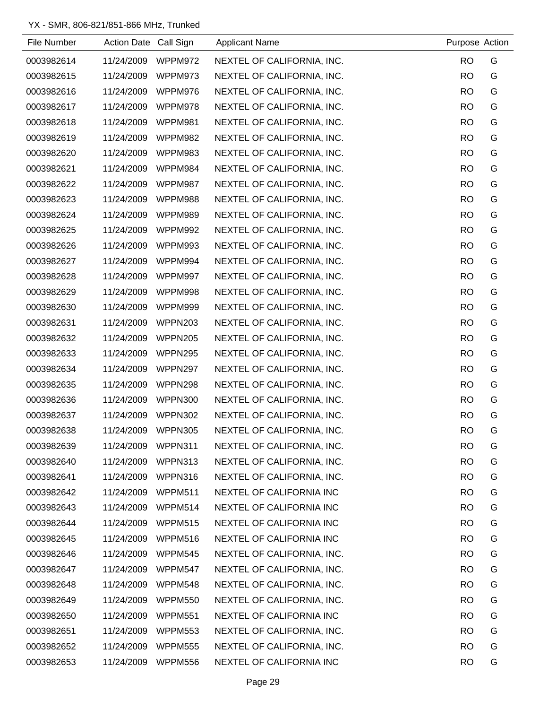| File Number | Action Date Call Sign |                | <b>Applicant Name</b>      | Purpose Action |   |
|-------------|-----------------------|----------------|----------------------------|----------------|---|
| 0003982614  | 11/24/2009            | WPPM972        | NEXTEL OF CALIFORNIA, INC. | <b>RO</b>      | G |
| 0003982615  | 11/24/2009            | WPPM973        | NEXTEL OF CALIFORNIA, INC. | <b>RO</b>      | G |
| 0003982616  | 11/24/2009            | WPPM976        | NEXTEL OF CALIFORNIA, INC. | <b>RO</b>      | G |
| 0003982617  | 11/24/2009            | WPPM978        | NEXTEL OF CALIFORNIA, INC. | <b>RO</b>      | G |
| 0003982618  | 11/24/2009            | WPPM981        | NEXTEL OF CALIFORNIA, INC. | <b>RO</b>      | G |
| 0003982619  | 11/24/2009            | WPPM982        | NEXTEL OF CALIFORNIA, INC. | <b>RO</b>      | G |
| 0003982620  | 11/24/2009            | WPPM983        | NEXTEL OF CALIFORNIA, INC. | <b>RO</b>      | G |
| 0003982621  | 11/24/2009            | WPPM984        | NEXTEL OF CALIFORNIA, INC. | <b>RO</b>      | G |
| 0003982622  | 11/24/2009            | WPPM987        | NEXTEL OF CALIFORNIA, INC. | <b>RO</b>      | G |
| 0003982623  | 11/24/2009            | WPPM988        | NEXTEL OF CALIFORNIA, INC. | <b>RO</b>      | G |
| 0003982624  | 11/24/2009            | WPPM989        | NEXTEL OF CALIFORNIA, INC. | <b>RO</b>      | G |
| 0003982625  | 11/24/2009            | WPPM992        | NEXTEL OF CALIFORNIA, INC. | <b>RO</b>      | G |
| 0003982626  | 11/24/2009            | WPPM993        | NEXTEL OF CALIFORNIA, INC. | <b>RO</b>      | G |
| 0003982627  | 11/24/2009            | WPPM994        | NEXTEL OF CALIFORNIA, INC. | <b>RO</b>      | G |
| 0003982628  | 11/24/2009            | WPPM997        | NEXTEL OF CALIFORNIA, INC. | <b>RO</b>      | G |
| 0003982629  | 11/24/2009            | WPPM998        | NEXTEL OF CALIFORNIA, INC. | <b>RO</b>      | G |
| 0003982630  | 11/24/2009            | WPPM999        | NEXTEL OF CALIFORNIA, INC. | <b>RO</b>      | G |
| 0003982631  | 11/24/2009            | WPPN203        | NEXTEL OF CALIFORNIA, INC. | <b>RO</b>      | G |
| 0003982632  | 11/24/2009            | WPPN205        | NEXTEL OF CALIFORNIA, INC. | <b>RO</b>      | G |
| 0003982633  | 11/24/2009            | WPPN295        | NEXTEL OF CALIFORNIA, INC. | <b>RO</b>      | G |
| 0003982634  | 11/24/2009            | WPPN297        | NEXTEL OF CALIFORNIA, INC. | <b>RO</b>      | G |
| 0003982635  | 11/24/2009            | WPPN298        | NEXTEL OF CALIFORNIA, INC. | <b>RO</b>      | G |
| 0003982636  | 11/24/2009            | <b>WPPN300</b> | NEXTEL OF CALIFORNIA, INC. | <b>RO</b>      | G |
| 0003982637  | 11/24/2009            | WPPN302        | NEXTEL OF CALIFORNIA, INC. | <b>RO</b>      | G |
| 0003982638  | 11/24/2009            | <b>WPPN305</b> | NEXTEL OF CALIFORNIA, INC. | <b>RO</b>      | G |
| 0003982639  | 11/24/2009            | WPPN311        | NEXTEL OF CALIFORNIA, INC. | <b>RO</b>      | G |
| 0003982640  | 11/24/2009            | WPPN313        | NEXTEL OF CALIFORNIA, INC. | <b>RO</b>      | G |
| 0003982641  | 11/24/2009            | WPPN316        | NEXTEL OF CALIFORNIA, INC. | <b>RO</b>      | G |
| 0003982642  | 11/24/2009            | <b>WPPM511</b> | NEXTEL OF CALIFORNIA INC   | <b>RO</b>      | G |
| 0003982643  | 11/24/2009            | WPPM514        | NEXTEL OF CALIFORNIA INC   | <b>RO</b>      | G |
| 0003982644  | 11/24/2009            | <b>WPPM515</b> | NEXTEL OF CALIFORNIA INC   | <b>RO</b>      | G |
| 0003982645  | 11/24/2009            | WPPM516        | NEXTEL OF CALIFORNIA INC   | <b>RO</b>      | G |
| 0003982646  | 11/24/2009            | WPPM545        | NEXTEL OF CALIFORNIA, INC. | <b>RO</b>      | G |
| 0003982647  | 11/24/2009            | WPPM547        | NEXTEL OF CALIFORNIA, INC. | <b>RO</b>      | G |
| 0003982648  | 11/24/2009            | WPPM548        | NEXTEL OF CALIFORNIA, INC. | <b>RO</b>      | G |
| 0003982649  | 11/24/2009            | WPPM550        | NEXTEL OF CALIFORNIA, INC. | <b>RO</b>      | G |
| 0003982650  | 11/24/2009            | WPPM551        | NEXTEL OF CALIFORNIA INC   | <b>RO</b>      | G |
| 0003982651  | 11/24/2009            | WPPM553        | NEXTEL OF CALIFORNIA, INC. | <b>RO</b>      | G |
| 0003982652  | 11/24/2009            | <b>WPPM555</b> | NEXTEL OF CALIFORNIA, INC. | <b>RO</b>      | G |
| 0003982653  | 11/24/2009            | <b>WPPM556</b> | NEXTEL OF CALIFORNIA INC   | <b>RO</b>      | G |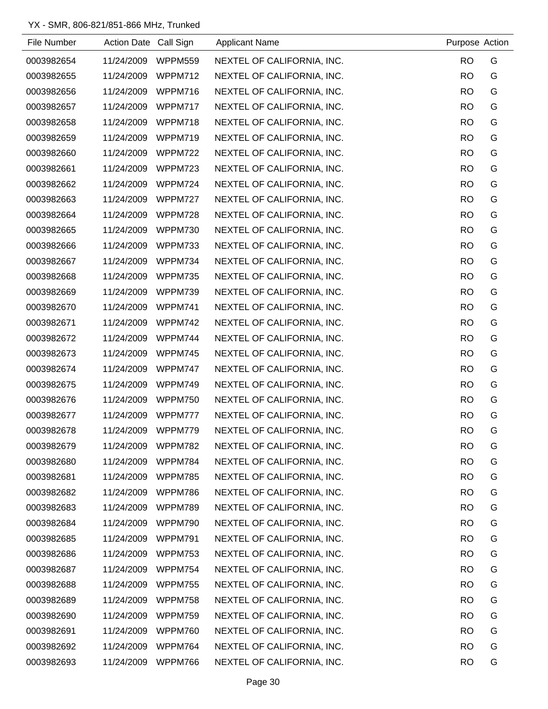| File Number | Action Date Call Sign |                | <b>Applicant Name</b>      | Purpose Action |   |
|-------------|-----------------------|----------------|----------------------------|----------------|---|
| 0003982654  | 11/24/2009            | WPPM559        | NEXTEL OF CALIFORNIA, INC. | <b>RO</b>      | G |
| 0003982655  | 11/24/2009            | WPPM712        | NEXTEL OF CALIFORNIA, INC. | <b>RO</b>      | G |
| 0003982656  | 11/24/2009            | WPPM716        | NEXTEL OF CALIFORNIA, INC. | <b>RO</b>      | G |
| 0003982657  | 11/24/2009            | WPPM717        | NEXTEL OF CALIFORNIA, INC. | <b>RO</b>      | G |
| 0003982658  | 11/24/2009            | WPPM718        | NEXTEL OF CALIFORNIA, INC. | <b>RO</b>      | G |
| 0003982659  | 11/24/2009            | WPPM719        | NEXTEL OF CALIFORNIA, INC. | <b>RO</b>      | G |
| 0003982660  | 11/24/2009            | WPPM722        | NEXTEL OF CALIFORNIA, INC. | <b>RO</b>      | G |
| 0003982661  | 11/24/2009            | WPPM723        | NEXTEL OF CALIFORNIA, INC. | <b>RO</b>      | G |
| 0003982662  | 11/24/2009            | WPPM724        | NEXTEL OF CALIFORNIA, INC. | <b>RO</b>      | G |
| 0003982663  | 11/24/2009            | WPPM727        | NEXTEL OF CALIFORNIA, INC. | <b>RO</b>      | G |
| 0003982664  | 11/24/2009            | WPPM728        | NEXTEL OF CALIFORNIA, INC. | <b>RO</b>      | G |
| 0003982665  | 11/24/2009            | WPPM730        | NEXTEL OF CALIFORNIA, INC. | <b>RO</b>      | G |
| 0003982666  | 11/24/2009            | WPPM733        | NEXTEL OF CALIFORNIA, INC. | <b>RO</b>      | G |
| 0003982667  | 11/24/2009            | WPPM734        | NEXTEL OF CALIFORNIA, INC. | <b>RO</b>      | G |
| 0003982668  | 11/24/2009            | WPPM735        | NEXTEL OF CALIFORNIA, INC. | <b>RO</b>      | G |
| 0003982669  | 11/24/2009            | WPPM739        | NEXTEL OF CALIFORNIA, INC. | <b>RO</b>      | G |
| 0003982670  | 11/24/2009            | WPPM741        | NEXTEL OF CALIFORNIA, INC. | <b>RO</b>      | G |
| 0003982671  | 11/24/2009            | WPPM742        | NEXTEL OF CALIFORNIA, INC. | <b>RO</b>      | G |
| 0003982672  | 11/24/2009            | WPPM744        | NEXTEL OF CALIFORNIA, INC. | <b>RO</b>      | G |
| 0003982673  | 11/24/2009            | WPPM745        | NEXTEL OF CALIFORNIA, INC. | <b>RO</b>      | G |
| 0003982674  | 11/24/2009            | WPPM747        | NEXTEL OF CALIFORNIA, INC. | <b>RO</b>      | G |
| 0003982675  | 11/24/2009            | WPPM749        | NEXTEL OF CALIFORNIA, INC. | <b>RO</b>      | G |
| 0003982676  | 11/24/2009            | <b>WPPM750</b> | NEXTEL OF CALIFORNIA, INC. | <b>RO</b>      | G |
| 0003982677  | 11/24/2009            | WPPM777        | NEXTEL OF CALIFORNIA, INC. | <b>RO</b>      | G |
| 0003982678  | 11/24/2009            | WPPM779        | NEXTEL OF CALIFORNIA, INC. | <b>RO</b>      | G |
| 0003982679  | 11/24/2009            | WPPM782        | NEXTEL OF CALIFORNIA, INC. | <b>RO</b>      | G |
| 0003982680  | 11/24/2009            | WPPM784        | NEXTEL OF CALIFORNIA, INC. | <b>RO</b>      | G |
| 0003982681  | 11/24/2009            | WPPM785        | NEXTEL OF CALIFORNIA, INC. | <b>RO</b>      | G |
| 0003982682  | 11/24/2009            | WPPM786        | NEXTEL OF CALIFORNIA, INC. | <b>RO</b>      | G |
| 0003982683  | 11/24/2009            | WPPM789        | NEXTEL OF CALIFORNIA, INC. | <b>RO</b>      | G |
| 0003982684  | 11/24/2009            | WPPM790        | NEXTEL OF CALIFORNIA, INC. | <b>RO</b>      | G |
| 0003982685  | 11/24/2009            | WPPM791        | NEXTEL OF CALIFORNIA, INC. | <b>RO</b>      | G |
| 0003982686  | 11/24/2009            | WPPM753        | NEXTEL OF CALIFORNIA, INC. | <b>RO</b>      | G |
| 0003982687  | 11/24/2009            | WPPM754        | NEXTEL OF CALIFORNIA, INC. | <b>RO</b>      | G |
| 0003982688  | 11/24/2009            | WPPM755        | NEXTEL OF CALIFORNIA, INC. | <b>RO</b>      | G |
| 0003982689  | 11/24/2009            | WPPM758        | NEXTEL OF CALIFORNIA, INC. | <b>RO</b>      | G |
| 0003982690  | 11/24/2009            | WPPM759        | NEXTEL OF CALIFORNIA, INC. | <b>RO</b>      | G |
| 0003982691  | 11/24/2009            | WPPM760        | NEXTEL OF CALIFORNIA, INC. | <b>RO</b>      | G |
| 0003982692  | 11/24/2009            | WPPM764        | NEXTEL OF CALIFORNIA, INC. | <b>RO</b>      | G |
| 0003982693  | 11/24/2009            | WPPM766        | NEXTEL OF CALIFORNIA, INC. | <b>RO</b>      | G |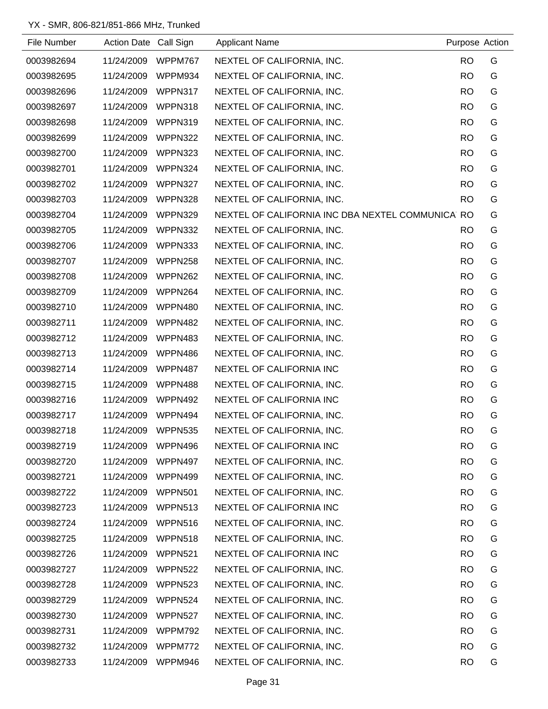| File Number | Action Date Call Sign |                | <b>Applicant Name</b>                            | Purpose Action |   |
|-------------|-----------------------|----------------|--------------------------------------------------|----------------|---|
| 0003982694  | 11/24/2009            | WPPM767        | NEXTEL OF CALIFORNIA, INC.                       | <b>RO</b>      | G |
| 0003982695  | 11/24/2009            | WPPM934        | NEXTEL OF CALIFORNIA, INC.                       | <b>RO</b>      | G |
| 0003982696  | 11/24/2009            | WPPN317        | NEXTEL OF CALIFORNIA, INC.                       | <b>RO</b>      | G |
| 0003982697  | 11/24/2009            | WPPN318        | NEXTEL OF CALIFORNIA, INC.                       | <b>RO</b>      | G |
| 0003982698  | 11/24/2009            | WPPN319        | NEXTEL OF CALIFORNIA, INC.                       | <b>RO</b>      | G |
| 0003982699  | 11/24/2009            | WPPN322        | NEXTEL OF CALIFORNIA, INC.                       | <b>RO</b>      | G |
| 0003982700  | 11/24/2009            | WPPN323        | NEXTEL OF CALIFORNIA, INC.                       | <b>RO</b>      | G |
| 0003982701  | 11/24/2009            | WPPN324        | NEXTEL OF CALIFORNIA, INC.                       | <b>RO</b>      | G |
| 0003982702  | 11/24/2009            | WPPN327        | NEXTEL OF CALIFORNIA, INC.                       | <b>RO</b>      | G |
| 0003982703  | 11/24/2009            | WPPN328        | NEXTEL OF CALIFORNIA, INC.                       | <b>RO</b>      | G |
| 0003982704  | 11/24/2009            | <b>WPPN329</b> | NEXTEL OF CALIFORNIA INC DBA NEXTEL COMMUNICA RO |                | G |
| 0003982705  | 11/24/2009            | WPPN332        | NEXTEL OF CALIFORNIA, INC.                       | <b>RO</b>      | G |
| 0003982706  | 11/24/2009            | WPPN333        | NEXTEL OF CALIFORNIA, INC.                       | <b>RO</b>      | G |
| 0003982707  | 11/24/2009            | WPPN258        | NEXTEL OF CALIFORNIA, INC.                       | <b>RO</b>      | G |
| 0003982708  | 11/24/2009            | WPPN262        | NEXTEL OF CALIFORNIA, INC.                       | <b>RO</b>      | G |
| 0003982709  | 11/24/2009            | WPPN264        | NEXTEL OF CALIFORNIA, INC.                       | <b>RO</b>      | G |
| 0003982710  | 11/24/2009            | WPPN480        | NEXTEL OF CALIFORNIA, INC.                       | <b>RO</b>      | G |
| 0003982711  | 11/24/2009            | WPPN482        | NEXTEL OF CALIFORNIA, INC.                       | <b>RO</b>      | G |
| 0003982712  | 11/24/2009            | WPPN483        | NEXTEL OF CALIFORNIA, INC.                       | <b>RO</b>      | G |
| 0003982713  | 11/24/2009            | WPPN486        | NEXTEL OF CALIFORNIA, INC.                       | <b>RO</b>      | G |
| 0003982714  | 11/24/2009            | WPPN487        | NEXTEL OF CALIFORNIA INC                         | <b>RO</b>      | G |
| 0003982715  | 11/24/2009            | WPPN488        | NEXTEL OF CALIFORNIA, INC.                       | <b>RO</b>      | G |
| 0003982716  | 11/24/2009            | WPPN492        | NEXTEL OF CALIFORNIA INC                         | <b>RO</b>      | G |
| 0003982717  | 11/24/2009            | WPPN494        | NEXTEL OF CALIFORNIA, INC.                       | <b>RO</b>      | G |
| 0003982718  | 11/24/2009            | <b>WPPN535</b> | NEXTEL OF CALIFORNIA, INC.                       | <b>RO</b>      | G |
| 0003982719  | 11/24/2009            | WPPN496        | NEXTEL OF CALIFORNIA INC                         | <b>RO</b>      | G |
| 0003982720  | 11/24/2009            | WPPN497        | NEXTEL OF CALIFORNIA, INC.                       | <b>RO</b>      | G |
| 0003982721  | 11/24/2009            | WPPN499        | NEXTEL OF CALIFORNIA, INC.                       | <b>RO</b>      | G |
| 0003982722  | 11/24/2009            | WPPN501        | NEXTEL OF CALIFORNIA, INC.                       | <b>RO</b>      | G |
| 0003982723  | 11/24/2009            | WPPN513        | NEXTEL OF CALIFORNIA INC                         | <b>RO</b>      | G |
| 0003982724  | 11/24/2009            | <b>WPPN516</b> | NEXTEL OF CALIFORNIA, INC.                       | <b>RO</b>      | G |
| 0003982725  | 11/24/2009            | <b>WPPN518</b> | NEXTEL OF CALIFORNIA, INC.                       | <b>RO</b>      | G |
| 0003982726  | 11/24/2009            | WPPN521        | NEXTEL OF CALIFORNIA INC                         | <b>RO</b>      | G |
| 0003982727  | 11/24/2009            | WPPN522        | NEXTEL OF CALIFORNIA, INC.                       | <b>RO</b>      | G |
| 0003982728  | 11/24/2009            | WPPN523        | NEXTEL OF CALIFORNIA, INC.                       | <b>RO</b>      | G |
| 0003982729  | 11/24/2009            | WPPN524        | NEXTEL OF CALIFORNIA, INC.                       | <b>RO</b>      | G |
| 0003982730  | 11/24/2009            | WPPN527        | NEXTEL OF CALIFORNIA, INC.                       | <b>RO</b>      | G |
| 0003982731  | 11/24/2009            | WPPM792        | NEXTEL OF CALIFORNIA, INC.                       | <b>RO</b>      | G |
| 0003982732  | 11/24/2009            | WPPM772        | NEXTEL OF CALIFORNIA, INC.                       | <b>RO</b>      | G |
| 0003982733  | 11/24/2009            | WPPM946        | NEXTEL OF CALIFORNIA, INC.                       | <b>RO</b>      | G |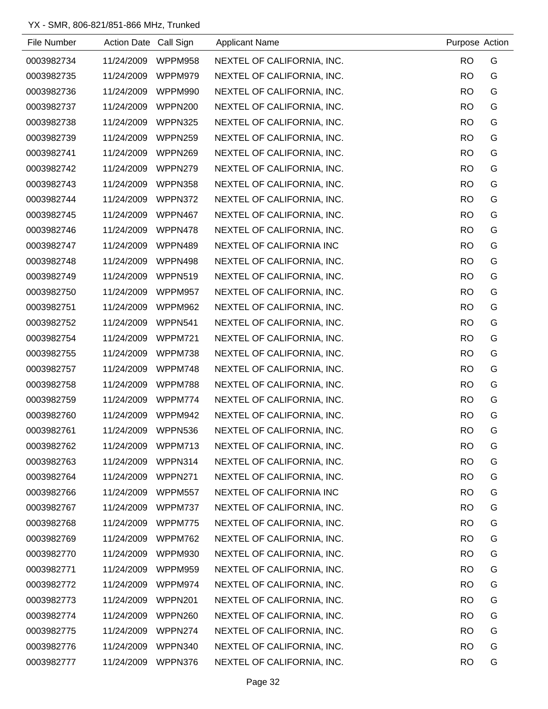| File Number | Action Date Call Sign |                | <b>Applicant Name</b>      | Purpose Action |   |
|-------------|-----------------------|----------------|----------------------------|----------------|---|
| 0003982734  | 11/24/2009            | WPPM958        | NEXTEL OF CALIFORNIA, INC. | <b>RO</b>      | G |
| 0003982735  | 11/24/2009            | WPPM979        | NEXTEL OF CALIFORNIA, INC. | <b>RO</b>      | G |
| 0003982736  | 11/24/2009            | WPPM990        | NEXTEL OF CALIFORNIA, INC. | <b>RO</b>      | G |
| 0003982737  | 11/24/2009            | WPPN200        | NEXTEL OF CALIFORNIA, INC. | <b>RO</b>      | G |
| 0003982738  | 11/24/2009            | WPPN325        | NEXTEL OF CALIFORNIA, INC. | <b>RO</b>      | G |
| 0003982739  | 11/24/2009            | WPPN259        | NEXTEL OF CALIFORNIA, INC. | <b>RO</b>      | G |
| 0003982741  | 11/24/2009            | WPPN269        | NEXTEL OF CALIFORNIA, INC. | <b>RO</b>      | G |
| 0003982742  | 11/24/2009            | WPPN279        | NEXTEL OF CALIFORNIA, INC. | <b>RO</b>      | G |
| 0003982743  | 11/24/2009            | WPPN358        | NEXTEL OF CALIFORNIA, INC. | <b>RO</b>      | G |
| 0003982744  | 11/24/2009            | WPPN372        | NEXTEL OF CALIFORNIA, INC. | <b>RO</b>      | G |
| 0003982745  | 11/24/2009            | WPPN467        | NEXTEL OF CALIFORNIA, INC. | <b>RO</b>      | G |
| 0003982746  | 11/24/2009            | WPPN478        | NEXTEL OF CALIFORNIA, INC. | <b>RO</b>      | G |
| 0003982747  | 11/24/2009            | WPPN489        | NEXTEL OF CALIFORNIA INC   | <b>RO</b>      | G |
| 0003982748  | 11/24/2009            | WPPN498        | NEXTEL OF CALIFORNIA, INC. | <b>RO</b>      | G |
| 0003982749  | 11/24/2009            | WPPN519        | NEXTEL OF CALIFORNIA, INC. | <b>RO</b>      | G |
| 0003982750  | 11/24/2009            | WPPM957        | NEXTEL OF CALIFORNIA, INC. | <b>RO</b>      | G |
| 0003982751  | 11/24/2009            | WPPM962        | NEXTEL OF CALIFORNIA, INC. | <b>RO</b>      | G |
| 0003982752  | 11/24/2009            | <b>WPPN541</b> | NEXTEL OF CALIFORNIA, INC. | <b>RO</b>      | G |
| 0003982754  | 11/24/2009            | WPPM721        | NEXTEL OF CALIFORNIA, INC. | <b>RO</b>      | G |
| 0003982755  | 11/24/2009            | WPPM738        | NEXTEL OF CALIFORNIA, INC. | <b>RO</b>      | G |
| 0003982757  | 11/24/2009            | WPPM748        | NEXTEL OF CALIFORNIA, INC. | <b>RO</b>      | G |
| 0003982758  | 11/24/2009            | WPPM788        | NEXTEL OF CALIFORNIA, INC. | <b>RO</b>      | G |
| 0003982759  | 11/24/2009            | WPPM774        | NEXTEL OF CALIFORNIA, INC. | <b>RO</b>      | G |
| 0003982760  | 11/24/2009            | WPPM942        | NEXTEL OF CALIFORNIA, INC. | <b>RO</b>      | G |
| 0003982761  | 11/24/2009            | WPPN536        | NEXTEL OF CALIFORNIA, INC. | <b>RO</b>      | G |
| 0003982762  | 11/24/2009            | WPPM713        | NEXTEL OF CALIFORNIA, INC. | <b>RO</b>      | G |
| 0003982763  | 11/24/2009            | WPPN314        | NEXTEL OF CALIFORNIA, INC. | <b>RO</b>      | G |
| 0003982764  | 11/24/2009            | WPPN271        | NEXTEL OF CALIFORNIA, INC. | <b>RO</b>      | G |
| 0003982766  | 11/24/2009            | <b>WPPM557</b> | NEXTEL OF CALIFORNIA INC   | <b>RO</b>      | G |
| 0003982767  | 11/24/2009            | WPPM737        | NEXTEL OF CALIFORNIA, INC. | <b>RO</b>      | G |
| 0003982768  | 11/24/2009            | WPPM775        | NEXTEL OF CALIFORNIA, INC. | <b>RO</b>      | G |
| 0003982769  | 11/24/2009            | WPPM762        | NEXTEL OF CALIFORNIA, INC. | <b>RO</b>      | G |
| 0003982770  | 11/24/2009            | WPPM930        | NEXTEL OF CALIFORNIA, INC. | <b>RO</b>      | G |
| 0003982771  | 11/24/2009            | WPPM959        | NEXTEL OF CALIFORNIA, INC. | <b>RO</b>      | G |
| 0003982772  | 11/24/2009            | WPPM974        | NEXTEL OF CALIFORNIA, INC. | <b>RO</b>      | G |
| 0003982773  | 11/24/2009            | WPPN201        | NEXTEL OF CALIFORNIA, INC. | <b>RO</b>      | G |
| 0003982774  | 11/24/2009            | WPPN260        | NEXTEL OF CALIFORNIA, INC. | <b>RO</b>      | G |
| 0003982775  | 11/24/2009            | WPPN274        | NEXTEL OF CALIFORNIA, INC. | <b>RO</b>      | G |
| 0003982776  | 11/24/2009            | WPPN340        | NEXTEL OF CALIFORNIA, INC. | <b>RO</b>      | G |
| 0003982777  | 11/24/2009            | WPPN376        | NEXTEL OF CALIFORNIA, INC. | <b>RO</b>      | G |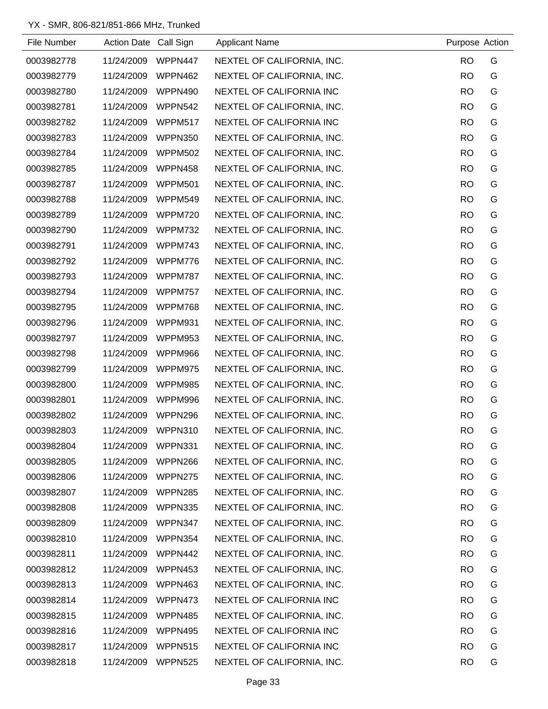| File Number | Action Date Call Sign |                | <b>Applicant Name</b>      | Purpose Action |   |
|-------------|-----------------------|----------------|----------------------------|----------------|---|
| 0003982778  | 11/24/2009            | WPPN447        | NEXTEL OF CALIFORNIA, INC. | <b>RO</b>      | G |
| 0003982779  | 11/24/2009            | WPPN462        | NEXTEL OF CALIFORNIA, INC. | <b>RO</b>      | G |
| 0003982780  | 11/24/2009            | WPPN490        | NEXTEL OF CALIFORNIA INC   | <b>RO</b>      | G |
| 0003982781  | 11/24/2009            | WPPN542        | NEXTEL OF CALIFORNIA, INC. | <b>RO</b>      | G |
| 0003982782  | 11/24/2009            | WPPM517        | NEXTEL OF CALIFORNIA INC   | <b>RO</b>      | G |
| 0003982783  | 11/24/2009            | <b>WPPN350</b> | NEXTEL OF CALIFORNIA, INC. | <b>RO</b>      | G |
| 0003982784  | 11/24/2009            | <b>WPPM502</b> | NEXTEL OF CALIFORNIA, INC. | <b>RO</b>      | G |
| 0003982785  | 11/24/2009            | WPPN458        | NEXTEL OF CALIFORNIA, INC. | <b>RO</b>      | G |
| 0003982787  | 11/24/2009            | <b>WPPM501</b> | NEXTEL OF CALIFORNIA, INC. | <b>RO</b>      | G |
| 0003982788  | 11/24/2009            | WPPM549        | NEXTEL OF CALIFORNIA, INC. | <b>RO</b>      | G |
| 0003982789  | 11/24/2009            | WPPM720        | NEXTEL OF CALIFORNIA, INC. | <b>RO</b>      | G |
| 0003982790  | 11/24/2009            | WPPM732        | NEXTEL OF CALIFORNIA, INC. | <b>RO</b>      | G |
| 0003982791  | 11/24/2009            | WPPM743        | NEXTEL OF CALIFORNIA, INC. | <b>RO</b>      | G |
| 0003982792  | 11/24/2009            | WPPM776        | NEXTEL OF CALIFORNIA, INC. | <b>RO</b>      | G |
| 0003982793  | 11/24/2009            | WPPM787        | NEXTEL OF CALIFORNIA, INC. | <b>RO</b>      | G |
| 0003982794  | 11/24/2009            | <b>WPPM757</b> | NEXTEL OF CALIFORNIA, INC. | <b>RO</b>      | G |
| 0003982795  | 11/24/2009            | WPPM768        | NEXTEL OF CALIFORNIA, INC. | <b>RO</b>      | G |
| 0003982796  | 11/24/2009            | <b>WPPM931</b> | NEXTEL OF CALIFORNIA, INC. | <b>RO</b>      | G |
| 0003982797  | 11/24/2009            | WPPM953        | NEXTEL OF CALIFORNIA, INC. | <b>RO</b>      | G |
| 0003982798  | 11/24/2009            | WPPM966        | NEXTEL OF CALIFORNIA, INC. | <b>RO</b>      | G |
| 0003982799  | 11/24/2009            | WPPM975        | NEXTEL OF CALIFORNIA, INC. | <b>RO</b>      | G |
| 0003982800  | 11/24/2009            | WPPM985        | NEXTEL OF CALIFORNIA, INC. | <b>RO</b>      | G |
| 0003982801  | 11/24/2009            | WPPM996        | NEXTEL OF CALIFORNIA, INC. | <b>RO</b>      | G |
| 0003982802  | 11/24/2009            | WPPN296        | NEXTEL OF CALIFORNIA, INC. | <b>RO</b>      | G |
| 0003982803  | 11/24/2009            | WPPN310        | NEXTEL OF CALIFORNIA, INC. | <b>RO</b>      | G |
| 0003982804  | 11/24/2009            | WPPN331        | NEXTEL OF CALIFORNIA, INC. | <b>RO</b>      | G |
| 0003982805  | 11/24/2009            | WPPN266        | NEXTEL OF CALIFORNIA, INC. | <b>RO</b>      | G |
| 0003982806  | 11/24/2009            | WPPN275        | NEXTEL OF CALIFORNIA, INC. | <b>RO</b>      | G |
| 0003982807  | 11/24/2009            | WPPN285        | NEXTEL OF CALIFORNIA, INC. | <b>RO</b>      | G |
| 0003982808  | 11/24/2009            | WPPN335        | NEXTEL OF CALIFORNIA, INC. | <b>RO</b>      | G |
| 0003982809  | 11/24/2009            | WPPN347        | NEXTEL OF CALIFORNIA, INC. | <b>RO</b>      | G |
| 0003982810  | 11/24/2009            | WPPN354        | NEXTEL OF CALIFORNIA, INC. | <b>RO</b>      | G |
| 0003982811  | 11/24/2009            | WPPN442        | NEXTEL OF CALIFORNIA, INC. | <b>RO</b>      | G |
| 0003982812  | 11/24/2009            | WPPN453        | NEXTEL OF CALIFORNIA, INC. | <b>RO</b>      | G |
| 0003982813  | 11/24/2009            | WPPN463        | NEXTEL OF CALIFORNIA, INC. | <b>RO</b>      | G |
| 0003982814  | 11/24/2009            | WPPN473        | NEXTEL OF CALIFORNIA INC   | <b>RO</b>      | G |
| 0003982815  | 11/24/2009            | WPPN485        | NEXTEL OF CALIFORNIA, INC. | <b>RO</b>      | G |
| 0003982816  | 11/24/2009            | WPPN495        | NEXTEL OF CALIFORNIA INC   | <b>RO</b>      | G |
| 0003982817  | 11/24/2009            | WPPN515        | NEXTEL OF CALIFORNIA INC   | <b>RO</b>      | G |
| 0003982818  | 11/24/2009            | <b>WPPN525</b> | NEXTEL OF CALIFORNIA, INC. | <b>RO</b>      | G |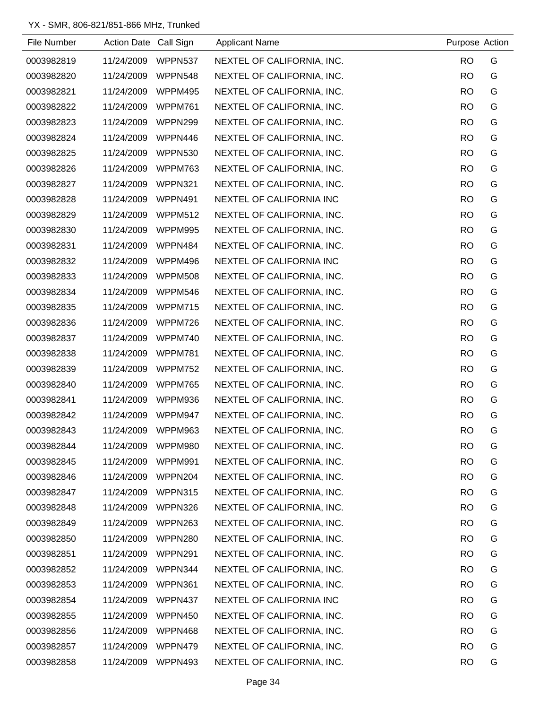| File Number | Action Date Call Sign |                | <b>Applicant Name</b>      | Purpose Action |   |
|-------------|-----------------------|----------------|----------------------------|----------------|---|
| 0003982819  | 11/24/2009            | WPPN537        | NEXTEL OF CALIFORNIA, INC. | <b>RO</b>      | G |
| 0003982820  | 11/24/2009            | WPPN548        | NEXTEL OF CALIFORNIA, INC. | <b>RO</b>      | G |
| 0003982821  | 11/24/2009            | WPPM495        | NEXTEL OF CALIFORNIA, INC. | <b>RO</b>      | G |
| 0003982822  | 11/24/2009            | WPPM761        | NEXTEL OF CALIFORNIA, INC. | <b>RO</b>      | G |
| 0003982823  | 11/24/2009            | WPPN299        | NEXTEL OF CALIFORNIA, INC. | <b>RO</b>      | G |
| 0003982824  | 11/24/2009            | WPPN446        | NEXTEL OF CALIFORNIA, INC. | <b>RO</b>      | G |
| 0003982825  | 11/24/2009            | <b>WPPN530</b> | NEXTEL OF CALIFORNIA, INC. | <b>RO</b>      | G |
| 0003982826  | 11/24/2009            | WPPM763        | NEXTEL OF CALIFORNIA, INC. | <b>RO</b>      | G |
| 0003982827  | 11/24/2009            | WPPN321        | NEXTEL OF CALIFORNIA, INC. | <b>RO</b>      | G |
| 0003982828  | 11/24/2009            | WPPN491        | NEXTEL OF CALIFORNIA INC   | <b>RO</b>      | G |
| 0003982829  | 11/24/2009            | WPPM512        | NEXTEL OF CALIFORNIA, INC. | <b>RO</b>      | G |
| 0003982830  | 11/24/2009            | WPPM995        | NEXTEL OF CALIFORNIA, INC. | <b>RO</b>      | G |
| 0003982831  | 11/24/2009            | WPPN484        | NEXTEL OF CALIFORNIA, INC. | <b>RO</b>      | G |
| 0003982832  | 11/24/2009            | WPPM496        | NEXTEL OF CALIFORNIA INC   | <b>RO</b>      | G |
| 0003982833  | 11/24/2009            | <b>WPPM508</b> | NEXTEL OF CALIFORNIA, INC. | <b>RO</b>      | G |
| 0003982834  | 11/24/2009            | WPPM546        | NEXTEL OF CALIFORNIA, INC. | <b>RO</b>      | G |
| 0003982835  | 11/24/2009            | WPPM715        | NEXTEL OF CALIFORNIA, INC. | <b>RO</b>      | G |
| 0003982836  | 11/24/2009            | WPPM726        | NEXTEL OF CALIFORNIA, INC. | <b>RO</b>      | G |
| 0003982837  | 11/24/2009            | WPPM740        | NEXTEL OF CALIFORNIA, INC. | <b>RO</b>      | G |
| 0003982838  | 11/24/2009            | WPPM781        | NEXTEL OF CALIFORNIA, INC. | <b>RO</b>      | G |
| 0003982839  | 11/24/2009            | WPPM752        | NEXTEL OF CALIFORNIA, INC. | <b>RO</b>      | G |
| 0003982840  | 11/24/2009            | WPPM765        | NEXTEL OF CALIFORNIA, INC. | <b>RO</b>      | G |
| 0003982841  | 11/24/2009            | WPPM936        | NEXTEL OF CALIFORNIA, INC. | <b>RO</b>      | G |
| 0003982842  | 11/24/2009            | WPPM947        | NEXTEL OF CALIFORNIA, INC. | <b>RO</b>      | G |
| 0003982843  | 11/24/2009            | WPPM963        | NEXTEL OF CALIFORNIA, INC. | <b>RO</b>      | G |
| 0003982844  | 11/24/2009            | WPPM980        | NEXTEL OF CALIFORNIA, INC. | <b>RO</b>      | G |
| 0003982845  | 11/24/2009            | WPPM991        | NEXTEL OF CALIFORNIA, INC. | <b>RO</b>      | G |
| 0003982846  | 11/24/2009            | WPPN204        | NEXTEL OF CALIFORNIA, INC. | <b>RO</b>      | G |
| 0003982847  | 11/24/2009            | WPPN315        | NEXTEL OF CALIFORNIA, INC. | <b>RO</b>      | G |
| 0003982848  | 11/24/2009            | WPPN326        | NEXTEL OF CALIFORNIA, INC. | <b>RO</b>      | G |
| 0003982849  | 11/24/2009            | WPPN263        | NEXTEL OF CALIFORNIA, INC. | <b>RO</b>      | G |
| 0003982850  | 11/24/2009            | WPPN280        | NEXTEL OF CALIFORNIA, INC. | <b>RO</b>      | G |
| 0003982851  | 11/24/2009            | WPPN291        | NEXTEL OF CALIFORNIA, INC. | <b>RO</b>      | G |
| 0003982852  | 11/24/2009            | WPPN344        | NEXTEL OF CALIFORNIA, INC. | <b>RO</b>      | G |
| 0003982853  | 11/24/2009            | WPPN361        | NEXTEL OF CALIFORNIA, INC. | <b>RO</b>      | G |
| 0003982854  | 11/24/2009            | WPPN437        | NEXTEL OF CALIFORNIA INC   | <b>RO</b>      | G |
| 0003982855  | 11/24/2009            | WPPN450        | NEXTEL OF CALIFORNIA, INC. | <b>RO</b>      | G |
| 0003982856  | 11/24/2009            | WPPN468        | NEXTEL OF CALIFORNIA, INC. | <b>RO</b>      | G |
| 0003982857  | 11/24/2009            | WPPN479        | NEXTEL OF CALIFORNIA, INC. | <b>RO</b>      | G |
| 0003982858  | 11/24/2009            | WPPN493        | NEXTEL OF CALIFORNIA, INC. | <b>RO</b>      | G |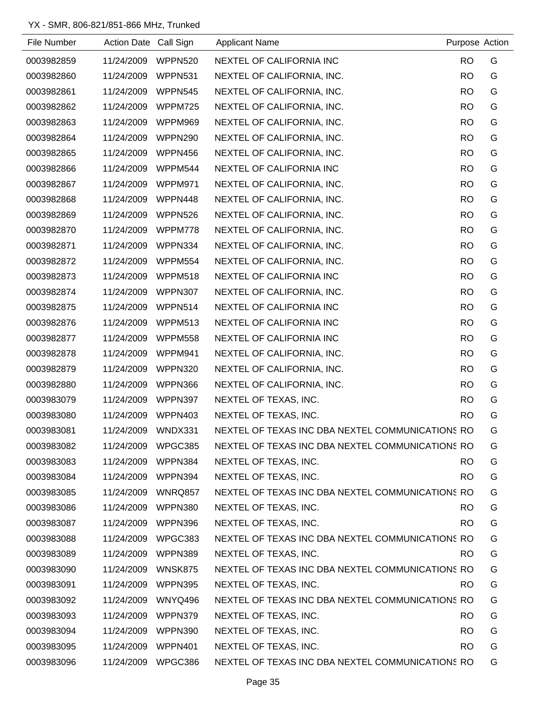| File Number | <b>Action Date</b> | Call Sign      | <b>Applicant Name</b>                            | Purpose Action |   |
|-------------|--------------------|----------------|--------------------------------------------------|----------------|---|
| 0003982859  | 11/24/2009         | WPPN520        | NEXTEL OF CALIFORNIA INC                         | <b>RO</b>      | G |
| 0003982860  | 11/24/2009         | WPPN531        | NEXTEL OF CALIFORNIA, INC.                       | <b>RO</b>      | G |
| 0003982861  | 11/24/2009         | WPPN545        | NEXTEL OF CALIFORNIA, INC.                       | <b>RO</b>      | G |
| 0003982862  | 11/24/2009         | WPPM725        | NEXTEL OF CALIFORNIA, INC.                       | <b>RO</b>      | G |
| 0003982863  | 11/24/2009         | WPPM969        | NEXTEL OF CALIFORNIA, INC.                       | <b>RO</b>      | G |
| 0003982864  | 11/24/2009         | WPPN290        | NEXTEL OF CALIFORNIA, INC.                       | <b>RO</b>      | G |
| 0003982865  | 11/24/2009         | WPPN456        | NEXTEL OF CALIFORNIA, INC.                       | <b>RO</b>      | G |
| 0003982866  | 11/24/2009         | WPPM544        | NEXTEL OF CALIFORNIA INC                         | <b>RO</b>      | G |
| 0003982867  | 11/24/2009         | WPPM971        | NEXTEL OF CALIFORNIA, INC.                       | <b>RO</b>      | G |
| 0003982868  | 11/24/2009         | WPPN448        | NEXTEL OF CALIFORNIA, INC.                       | <b>RO</b>      | G |
| 0003982869  | 11/24/2009         | WPPN526        | NEXTEL OF CALIFORNIA, INC.                       | <b>RO</b>      | G |
| 0003982870  | 11/24/2009         | WPPM778        | NEXTEL OF CALIFORNIA, INC.                       | <b>RO</b>      | G |
| 0003982871  | 11/24/2009         | WPPN334        | NEXTEL OF CALIFORNIA, INC.                       | <b>RO</b>      | G |
| 0003982872  | 11/24/2009         | <b>WPPM554</b> | NEXTEL OF CALIFORNIA, INC.                       | <b>RO</b>      | G |
| 0003982873  | 11/24/2009         | WPPM518        | NEXTEL OF CALIFORNIA INC                         | <b>RO</b>      | G |
| 0003982874  | 11/24/2009         | <b>WPPN307</b> | NEXTEL OF CALIFORNIA, INC.                       | <b>RO</b>      | G |
| 0003982875  | 11/24/2009         | WPPN514        | NEXTEL OF CALIFORNIA INC                         | <b>RO</b>      | G |
| 0003982876  | 11/24/2009         | WPPM513        | NEXTEL OF CALIFORNIA INC                         | <b>RO</b>      | G |
| 0003982877  | 11/24/2009         | <b>WPPM558</b> | NEXTEL OF CALIFORNIA INC                         | <b>RO</b>      | G |
| 0003982878  | 11/24/2009         | WPPM941        | NEXTEL OF CALIFORNIA, INC.                       | <b>RO</b>      | G |
| 0003982879  | 11/24/2009         | <b>WPPN320</b> | NEXTEL OF CALIFORNIA, INC.                       | <b>RO</b>      | G |
| 0003982880  | 11/24/2009         | WPPN366        | NEXTEL OF CALIFORNIA, INC.                       | <b>RO</b>      | G |
| 0003983079  | 11/24/2009         | WPPN397        | NEXTEL OF TEXAS, INC.                            | <b>RO</b>      | G |
| 0003983080  | 11/24/2009         | WPPN403        | NEXTEL OF TEXAS, INC.                            | <b>RO</b>      | G |
| 0003983081  | 11/24/2009         | WNDX331        | NEXTEL OF TEXAS INC DBA NEXTEL COMMUNICATIONS RO |                | G |
| 0003983082  | 11/24/2009         | WPGC385        | NEXTEL OF TEXAS INC DBA NEXTEL COMMUNICATIONS RO |                | G |
| 0003983083  | 11/24/2009         | WPPN384        | NEXTEL OF TEXAS, INC.                            | RO.            | G |
| 0003983084  | 11/24/2009 WPPN394 |                | NEXTEL OF TEXAS, INC.                            | RO.            | G |
| 0003983085  | 11/24/2009         | WNRQ857        | NEXTEL OF TEXAS INC DBA NEXTEL COMMUNICATIONS RO |                | G |
| 0003983086  | 11/24/2009 WPPN380 |                | NEXTEL OF TEXAS, INC.                            | RO.            | G |
| 0003983087  | 11/24/2009         | WPPN396        | NEXTEL OF TEXAS, INC.                            | RO.            | G |
| 0003983088  | 11/24/2009         | WPGC383        | NEXTEL OF TEXAS INC DBA NEXTEL COMMUNICATIONS RO |                | G |
| 0003983089  | 11/24/2009         | WPPN389        | NEXTEL OF TEXAS, INC.                            | RO.            | G |
| 0003983090  | 11/24/2009         | WNSK875        | NEXTEL OF TEXAS INC DBA NEXTEL COMMUNICATIONS RO |                | G |
| 0003983091  | 11/24/2009         | WPPN395        | NEXTEL OF TEXAS, INC.                            | RO.            | G |
| 0003983092  | 11/24/2009         | WNYQ496        | NEXTEL OF TEXAS INC DBA NEXTEL COMMUNICATIONS RO |                | G |
| 0003983093  | 11/24/2009 WPPN379 |                | NEXTEL OF TEXAS, INC.                            | <b>RO</b>      | G |
| 0003983094  | 11/24/2009         | WPPN390        | NEXTEL OF TEXAS, INC.                            | <b>RO</b>      | G |
| 0003983095  | 11/24/2009         | WPPN401        | NEXTEL OF TEXAS, INC.                            | <b>RO</b>      | G |
| 0003983096  | 11/24/2009 WPGC386 |                | NEXTEL OF TEXAS INC DBA NEXTEL COMMUNICATIONS RO |                | G |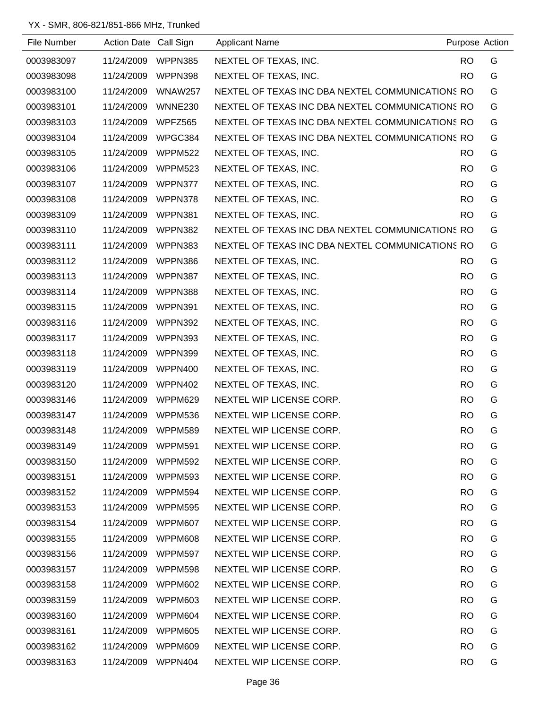| File Number | Action Date Call Sign |                | <b>Applicant Name</b>                            | Purpose Action |   |
|-------------|-----------------------|----------------|--------------------------------------------------|----------------|---|
| 0003983097  | 11/24/2009            | WPPN385        | NEXTEL OF TEXAS, INC.                            | <b>RO</b>      | G |
| 0003983098  | 11/24/2009            | WPPN398        | NEXTEL OF TEXAS, INC.                            | <b>RO</b>      | G |
| 0003983100  | 11/24/2009            | <b>WNAW257</b> | NEXTEL OF TEXAS INC DBA NEXTEL COMMUNICATIONS RO |                | G |
| 0003983101  | 11/24/2009            | <b>WNNE230</b> | NEXTEL OF TEXAS INC DBA NEXTEL COMMUNICATIONS RO |                | G |
| 0003983103  | 11/24/2009            | WPFZ565        | NEXTEL OF TEXAS INC DBA NEXTEL COMMUNICATIONS RO |                | G |
| 0003983104  | 11/24/2009            | WPGC384        | NEXTEL OF TEXAS INC DBA NEXTEL COMMUNICATIONS RO |                | G |
| 0003983105  | 11/24/2009            | <b>WPPM522</b> | NEXTEL OF TEXAS, INC.                            | RO.            | G |
| 0003983106  | 11/24/2009            | WPPM523        | NEXTEL OF TEXAS, INC.                            | <b>RO</b>      | G |
| 0003983107  | 11/24/2009            | WPPN377        | NEXTEL OF TEXAS, INC.                            | <b>RO</b>      | G |
| 0003983108  | 11/24/2009            | WPPN378        | NEXTEL OF TEXAS, INC.                            | <b>RO</b>      | G |
| 0003983109  | 11/24/2009            | WPPN381        | NEXTEL OF TEXAS, INC.                            | <b>RO</b>      | G |
| 0003983110  | 11/24/2009            | WPPN382        | NEXTEL OF TEXAS INC DBA NEXTEL COMMUNICATIONS RO |                | G |
| 0003983111  | 11/24/2009            | WPPN383        | NEXTEL OF TEXAS INC DBA NEXTEL COMMUNICATIONS RO |                | G |
| 0003983112  | 11/24/2009            | WPPN386        | NEXTEL OF TEXAS, INC.                            | RO.            | G |
| 0003983113  | 11/24/2009            | WPPN387        | NEXTEL OF TEXAS, INC.                            | <b>RO</b>      | G |
| 0003983114  | 11/24/2009            | WPPN388        | NEXTEL OF TEXAS, INC.                            | <b>RO</b>      | G |
| 0003983115  | 11/24/2009            | WPPN391        | NEXTEL OF TEXAS, INC.                            | <b>RO</b>      | G |
| 0003983116  | 11/24/2009            | WPPN392        | NEXTEL OF TEXAS, INC.                            | <b>RO</b>      | G |
| 0003983117  | 11/24/2009            | WPPN393        | NEXTEL OF TEXAS, INC.                            | <b>RO</b>      | G |
| 0003983118  | 11/24/2009            | WPPN399        | NEXTEL OF TEXAS, INC.                            | <b>RO</b>      | G |
| 0003983119  | 11/24/2009            | WPPN400        | NEXTEL OF TEXAS, INC.                            | <b>RO</b>      | G |
| 0003983120  | 11/24/2009            | WPPN402        | NEXTEL OF TEXAS, INC.                            | <b>RO</b>      | G |
| 0003983146  | 11/24/2009            | WPPM629        | NEXTEL WIP LICENSE CORP.                         | <b>RO</b>      | G |
| 0003983147  | 11/24/2009            | WPPM536        | NEXTEL WIP LICENSE CORP.                         | <b>RO</b>      | G |
| 0003983148  | 11/24/2009 WPPM589    |                | NEXTEL WIP LICENSE CORP                          | <b>RO</b>      | G |
| 0003983149  | 11/24/2009            | WPPM591        | NEXTEL WIP LICENSE CORP.                         | <b>RO</b>      | G |
| 0003983150  | 11/24/2009            | <b>WPPM592</b> | NEXTEL WIP LICENSE CORP.                         | <b>RO</b>      | G |
| 0003983151  | 11/24/2009            | WPPM593        | NEXTEL WIP LICENSE CORP.                         | <b>RO</b>      | G |
| 0003983152  | 11/24/2009            | WPPM594        | NEXTEL WIP LICENSE CORP.                         | <b>RO</b>      | G |
| 0003983153  | 11/24/2009            | WPPM595        | NEXTEL WIP LICENSE CORP.                         | <b>RO</b>      | G |
| 0003983154  | 11/24/2009            | WPPM607        | NEXTEL WIP LICENSE CORP.                         | <b>RO</b>      | G |
| 0003983155  | 11/24/2009            | WPPM608        | NEXTEL WIP LICENSE CORP.                         | <b>RO</b>      | G |
| 0003983156  | 11/24/2009            | <b>WPPM597</b> | NEXTEL WIP LICENSE CORP.                         | <b>RO</b>      | G |
| 0003983157  | 11/24/2009            | WPPM598        | NEXTEL WIP LICENSE CORP.                         | <b>RO</b>      | G |
| 0003983158  | 11/24/2009            | WPPM602        | NEXTEL WIP LICENSE CORP.                         | <b>RO</b>      | G |
| 0003983159  | 11/24/2009            | WPPM603        | NEXTEL WIP LICENSE CORP.                         | <b>RO</b>      | G |
| 0003983160  | 11/24/2009            | WPPM604        | NEXTEL WIP LICENSE CORP.                         | <b>RO</b>      | G |
| 0003983161  | 11/24/2009            | WPPM605        | NEXTEL WIP LICENSE CORP.                         | <b>RO</b>      | G |
| 0003983162  | 11/24/2009            | WPPM609        | NEXTEL WIP LICENSE CORP.                         | <b>RO</b>      | G |
| 0003983163  | 11/24/2009            | WPPN404        | NEXTEL WIP LICENSE CORP.                         | <b>RO</b>      | G |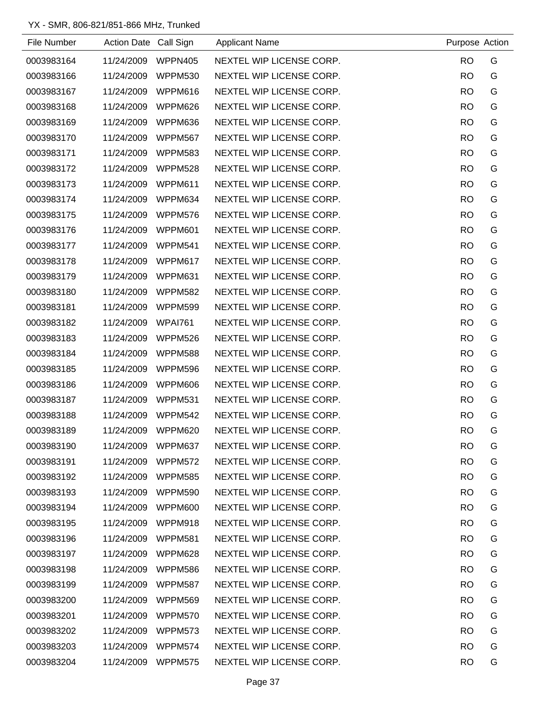| File Number | Action Date Call Sign |                | <b>Applicant Name</b>    | Purpose Action |   |
|-------------|-----------------------|----------------|--------------------------|----------------|---|
| 0003983164  | 11/24/2009            | WPPN405        | NEXTEL WIP LICENSE CORP. | <b>RO</b>      | G |
| 0003983166  | 11/24/2009            | WPPM530        | NEXTEL WIP LICENSE CORP. | <b>RO</b>      | G |
| 0003983167  | 11/24/2009            | WPPM616        | NEXTEL WIP LICENSE CORP. | <b>RO</b>      | G |
| 0003983168  | 11/24/2009            | WPPM626        | NEXTEL WIP LICENSE CORP. | <b>RO</b>      | G |
| 0003983169  | 11/24/2009            | WPPM636        | NEXTEL WIP LICENSE CORP. | <b>RO</b>      | G |
| 0003983170  | 11/24/2009            | WPPM567        | NEXTEL WIP LICENSE CORP. | <b>RO</b>      | G |
| 0003983171  | 11/24/2009            | <b>WPPM583</b> | NEXTEL WIP LICENSE CORP. | <b>RO</b>      | G |
| 0003983172  | 11/24/2009            | WPPM528        | NEXTEL WIP LICENSE CORP. | <b>RO</b>      | G |
| 0003983173  | 11/24/2009            | WPPM611        | NEXTEL WIP LICENSE CORP. | <b>RO</b>      | G |
| 0003983174  | 11/24/2009            | WPPM634        | NEXTEL WIP LICENSE CORP. | <b>RO</b>      | G |
| 0003983175  | 11/24/2009            | WPPM576        | NEXTEL WIP LICENSE CORP. | <b>RO</b>      | G |
| 0003983176  | 11/24/2009            | WPPM601        | NEXTEL WIP LICENSE CORP. | <b>RO</b>      | G |
| 0003983177  | 11/24/2009            | WPPM541        | NEXTEL WIP LICENSE CORP. | <b>RO</b>      | G |
| 0003983178  | 11/24/2009            | WPPM617        | NEXTEL WIP LICENSE CORP. | <b>RO</b>      | G |
| 0003983179  | 11/24/2009            | WPPM631        | NEXTEL WIP LICENSE CORP. | <b>RO</b>      | G |
| 0003983180  | 11/24/2009            | <b>WPPM582</b> | NEXTEL WIP LICENSE CORP. | <b>RO</b>      | G |
| 0003983181  | 11/24/2009            | WPPM599        | NEXTEL WIP LICENSE CORP. | <b>RO</b>      | G |
| 0003983182  | 11/24/2009            | WPAI761        | NEXTEL WIP LICENSE CORP. | <b>RO</b>      | G |
| 0003983183  | 11/24/2009            | WPPM526        | NEXTEL WIP LICENSE CORP. | <b>RO</b>      | G |
| 0003983184  | 11/24/2009            | WPPM588        | NEXTEL WIP LICENSE CORP. | <b>RO</b>      | G |
| 0003983185  | 11/24/2009            | WPPM596        | NEXTEL WIP LICENSE CORP. | <b>RO</b>      | G |
| 0003983186  | 11/24/2009            | WPPM606        | NEXTEL WIP LICENSE CORP. | <b>RO</b>      | G |
| 0003983187  | 11/24/2009            | <b>WPPM531</b> | NEXTEL WIP LICENSE CORP. | <b>RO</b>      | G |
| 0003983188  | 11/24/2009            | WPPM542        | NEXTEL WIP LICENSE CORP. | <b>RO</b>      | G |
| 0003983189  | 11/24/2009            | <b>WPPM620</b> | NEXTEL WIP LICENSE CORP. | <b>RO</b>      | G |
| 0003983190  | 11/24/2009            | WPPM637        | NEXTEL WIP LICENSE CORP. | <b>RO</b>      | G |
| 0003983191  | 11/24/2009            | WPPM572        | NEXTEL WIP LICENSE CORP. | <b>RO</b>      | G |
| 0003983192  | 11/24/2009            | WPPM585        | NEXTEL WIP LICENSE CORP. | <b>RO</b>      | G |
| 0003983193  | 11/24/2009            | WPPM590        | NEXTEL WIP LICENSE CORP. | <b>RO</b>      | G |
| 0003983194  | 11/24/2009            | WPPM600        | NEXTEL WIP LICENSE CORP. | <b>RO</b>      | G |
| 0003983195  | 11/24/2009            | WPPM918        | NEXTEL WIP LICENSE CORP. | <b>RO</b>      | G |
| 0003983196  | 11/24/2009            | WPPM581        | NEXTEL WIP LICENSE CORP. | <b>RO</b>      | G |
| 0003983197  | 11/24/2009            | WPPM628        | NEXTEL WIP LICENSE CORP. | <b>RO</b>      | G |
| 0003983198  | 11/24/2009            | WPPM586        | NEXTEL WIP LICENSE CORP. | <b>RO</b>      | G |
| 0003983199  | 11/24/2009            | <b>WPPM587</b> | NEXTEL WIP LICENSE CORP. | <b>RO</b>      | G |
| 0003983200  | 11/24/2009            | WPPM569        | NEXTEL WIP LICENSE CORP. | <b>RO</b>      | G |
| 0003983201  | 11/24/2009            | WPPM570        | NEXTEL WIP LICENSE CORP. | <b>RO</b>      | G |
| 0003983202  | 11/24/2009            | WPPM573        | NEXTEL WIP LICENSE CORP. | <b>RO</b>      | G |
| 0003983203  | 11/24/2009            | WPPM574        | NEXTEL WIP LICENSE CORP. | <b>RO</b>      | G |
| 0003983204  | 11/24/2009            | WPPM575        | NEXTEL WIP LICENSE CORP. | <b>RO</b>      | G |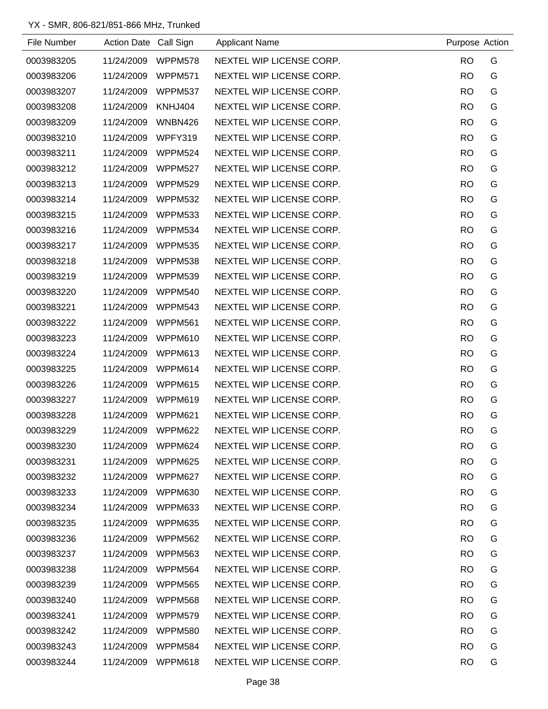| File Number | Action Date Call Sign |                | <b>Applicant Name</b>    | Purpose Action |   |
|-------------|-----------------------|----------------|--------------------------|----------------|---|
| 0003983205  | 11/24/2009            | WPPM578        | NEXTEL WIP LICENSE CORP. | <b>RO</b>      | G |
| 0003983206  | 11/24/2009            | WPPM571        | NEXTEL WIP LICENSE CORP. | <b>RO</b>      | G |
| 0003983207  | 11/24/2009            | WPPM537        | NEXTEL WIP LICENSE CORP. | <b>RO</b>      | G |
| 0003983208  | 11/24/2009            | KNHJ404        | NEXTEL WIP LICENSE CORP. | <b>RO</b>      | G |
| 0003983209  | 11/24/2009            | WNBN426        | NEXTEL WIP LICENSE CORP. | <b>RO</b>      | G |
| 0003983210  | 11/24/2009            | WPFY319        | NEXTEL WIP LICENSE CORP. | <b>RO</b>      | G |
| 0003983211  | 11/24/2009            | WPPM524        | NEXTEL WIP LICENSE CORP. | <b>RO</b>      | G |
| 0003983212  | 11/24/2009            | WPPM527        | NEXTEL WIP LICENSE CORP. | <b>RO</b>      | G |
| 0003983213  | 11/24/2009            | WPPM529        | NEXTEL WIP LICENSE CORP. | <b>RO</b>      | G |
| 0003983214  | 11/24/2009            | WPPM532        | NEXTEL WIP LICENSE CORP. | <b>RO</b>      | G |
| 0003983215  | 11/24/2009            | WPPM533        | NEXTEL WIP LICENSE CORP. | <b>RO</b>      | G |
| 0003983216  | 11/24/2009            | WPPM534        | NEXTEL WIP LICENSE CORP. | <b>RO</b>      | G |
| 0003983217  | 11/24/2009            | <b>WPPM535</b> | NEXTEL WIP LICENSE CORP. | <b>RO</b>      | G |
| 0003983218  | 11/24/2009            | WPPM538        | NEXTEL WIP LICENSE CORP. | <b>RO</b>      | G |
| 0003983219  | 11/24/2009            | WPPM539        | NEXTEL WIP LICENSE CORP. | <b>RO</b>      | G |
| 0003983220  | 11/24/2009            | WPPM540        | NEXTEL WIP LICENSE CORP. | <b>RO</b>      | G |
| 0003983221  | 11/24/2009            | WPPM543        | NEXTEL WIP LICENSE CORP. | <b>RO</b>      | G |
| 0003983222  | 11/24/2009            | WPPM561        | NEXTEL WIP LICENSE CORP. | <b>RO</b>      | G |
| 0003983223  | 11/24/2009            | WPPM610        | NEXTEL WIP LICENSE CORP. | <b>RO</b>      | G |
| 0003983224  | 11/24/2009            | WPPM613        | NEXTEL WIP LICENSE CORP. | <b>RO</b>      | G |
| 0003983225  | 11/24/2009            | WPPM614        | NEXTEL WIP LICENSE CORP. | <b>RO</b>      | G |
| 0003983226  | 11/24/2009            | WPPM615        | NEXTEL WIP LICENSE CORP. | <b>RO</b>      | G |
| 0003983227  | 11/24/2009            | <b>WPPM619</b> | NEXTEL WIP LICENSE CORP. | <b>RO</b>      | G |
| 0003983228  | 11/24/2009            | WPPM621        | NEXTEL WIP LICENSE CORP. | <b>RO</b>      | G |
| 0003983229  | 11/24/2009            | WPPM622        | NEXTEL WIP LICENSE CORP. | <b>RO</b>      | G |
| 0003983230  | 11/24/2009            | WPPM624        | NEXTEL WIP LICENSE CORP. | <b>RO</b>      | G |
| 0003983231  | 11/24/2009            | WPPM625        | NEXTEL WIP LICENSE CORP. | <b>RO</b>      | G |
| 0003983232  | 11/24/2009            | WPPM627        | NEXTEL WIP LICENSE CORP. | <b>RO</b>      | G |
| 0003983233  | 11/24/2009            | WPPM630        | NEXTEL WIP LICENSE CORP. | <b>RO</b>      | G |
| 0003983234  | 11/24/2009            | WPPM633        | NEXTEL WIP LICENSE CORP. | <b>RO</b>      | G |
| 0003983235  | 11/24/2009            | WPPM635        | NEXTEL WIP LICENSE CORP. | <b>RO</b>      | G |
| 0003983236  | 11/24/2009            | <b>WPPM562</b> | NEXTEL WIP LICENSE CORP. | <b>RO</b>      | G |
| 0003983237  | 11/24/2009            | WPPM563        | NEXTEL WIP LICENSE CORP. | <b>RO</b>      | G |
| 0003983238  | 11/24/2009            | WPPM564        | NEXTEL WIP LICENSE CORP. | <b>RO</b>      | G |
| 0003983239  | 11/24/2009            | <b>WPPM565</b> | NEXTEL WIP LICENSE CORP. | <b>RO</b>      | G |
| 0003983240  | 11/24/2009            | WPPM568        | NEXTEL WIP LICENSE CORP. | <b>RO</b>      | G |
| 0003983241  | 11/24/2009            | WPPM579        | NEXTEL WIP LICENSE CORP. | <b>RO</b>      | G |
| 0003983242  | 11/24/2009            | <b>WPPM580</b> | NEXTEL WIP LICENSE CORP. | <b>RO</b>      | G |
| 0003983243  | 11/24/2009            | <b>WPPM584</b> | NEXTEL WIP LICENSE CORP. | <b>RO</b>      | G |
| 0003983244  | 11/24/2009            | WPPM618        | NEXTEL WIP LICENSE CORP. | <b>RO</b>      | G |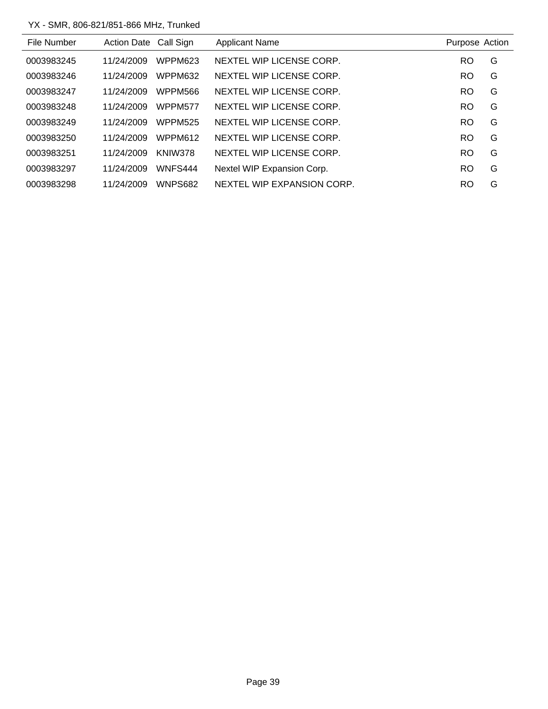| File Number | Action Date Call Sign |                | <b>Applicant Name</b>      | Purpose Action |   |
|-------------|-----------------------|----------------|----------------------------|----------------|---|
| 0003983245  | 11/24/2009            | WPPM623        | NEXTEL WIP LICENSE CORP.   | <b>RO</b>      | G |
| 0003983246  | 11/24/2009            | WPPM632        | NEXTEL WIP LICENSE CORP.   | <b>RO</b>      | G |
| 0003983247  | 11/24/2009            | WPPM566        | NEXTEL WIP LICENSE CORP.   | <b>RO</b>      | G |
| 0003983248  | 11/24/2009            | WPPM577        | NEXTEL WIP LICENSE CORP.   | <b>RO</b>      | G |
| 0003983249  | 11/24/2009            | <b>WPPM525</b> | NEXTEL WIP LICENSE CORP.   | <b>RO</b>      | G |
| 0003983250  | 11/24/2009            | WPPM612        | NEXTEL WIP LICENSE CORP.   | RO             | G |
| 0003983251  | 11/24/2009            | KNIW378        | NEXTEL WIP LICENSE CORP.   | <b>RO</b>      | G |
| 0003983297  | 11/24/2009            | WNFS444        | Nextel WIP Expansion Corp. | <b>RO</b>      | G |
| 0003983298  | 11/24/2009            | WNPS682        | NEXTEL WIP EXPANSION CORP. | RO             | G |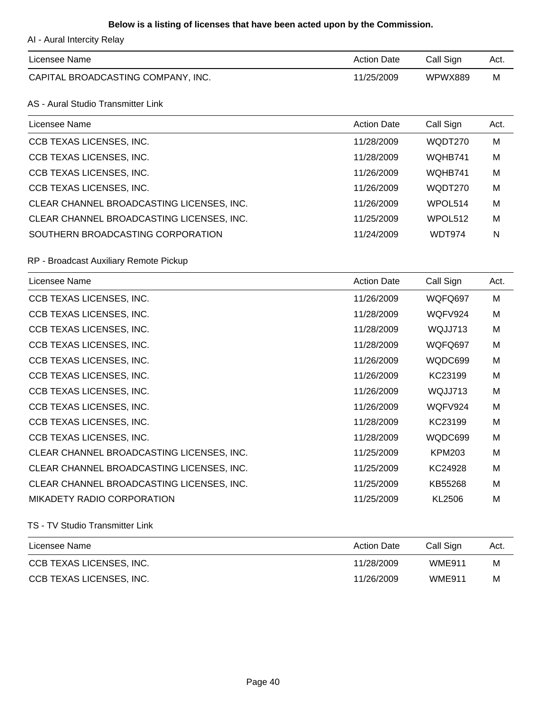## **Below is a listing of licenses that have been acted upon by the Commission.**

AI - Aural Intercity Relay

| Licensee Name                      | <b>Action Date</b> | Call Sign | Act. |
|------------------------------------|--------------------|-----------|------|
| CAPITAL BROADCASTING COMPANY, INC. | 11/25/2009         | WPWX889   | M    |

## AS - Aural Studio Transmitter Link

| Licensee Name                             | <b>Action Date</b> | Call Sign | Act. |
|-------------------------------------------|--------------------|-----------|------|
| CCB TEXAS LICENSES, INC.                  | 11/28/2009         | WQDT270   | M    |
| CCB TEXAS LICENSES, INC.                  | 11/28/2009         | WQHB741   | M    |
| CCB TEXAS LICENSES, INC.                  | 11/26/2009         | WQHB741   | M    |
| CCB TEXAS LICENSES, INC.                  | 11/26/2009         | WQDT270   | M    |
| CLEAR CHANNEL BROADCASTING LICENSES, INC. | 11/26/2009         | WPOL514   | M    |
| CLEAR CHANNEL BROADCASTING LICENSES, INC. | 11/25/2009         | WPOL512   | M    |
| SOUTHERN BROADCASTING CORPORATION         | 11/24/2009         | WDT974    | N    |

#### RP - Broadcast Auxiliary Remote Pickup

| Licensee Name                             | <b>Action Date</b> | Call Sign     | Act. |
|-------------------------------------------|--------------------|---------------|------|
| CCB TEXAS LICENSES, INC.                  | 11/26/2009         | WQFQ697       | M    |
| CCB TEXAS LICENSES, INC.                  | 11/28/2009         | WQFV924       | M    |
| CCB TEXAS LICENSES, INC.                  | 11/28/2009         | WQJJ713       | M    |
| CCB TEXAS LICENSES, INC.                  | 11/28/2009         | WQFQ697       | М    |
| CCB TEXAS LICENSES, INC.                  | 11/26/2009         | WQDC699       | M    |
| CCB TEXAS LICENSES, INC.                  | 11/26/2009         | KC23199       | M    |
| CCB TEXAS LICENSES, INC.                  | 11/26/2009         | WQJJ713       | M    |
| CCB TEXAS LICENSES, INC.                  | 11/26/2009         | WQFV924       | M    |
| CCB TEXAS LICENSES, INC.                  | 11/28/2009         | KC23199       | M    |
| CCB TEXAS LICENSES, INC.                  | 11/28/2009         | WQDC699       | M    |
| CLEAR CHANNEL BROADCASTING LICENSES, INC. | 11/25/2009         | <b>KPM203</b> | M    |
| CLEAR CHANNEL BROADCASTING LICENSES, INC. | 11/25/2009         | KC24928       | M    |
| CLEAR CHANNEL BROADCASTING LICENSES, INC. | 11/25/2009         | KB55268       | М    |
| MIKADETY RADIO CORPORATION                | 11/25/2009         | KL2506        | M    |

#### TS - TV Studio Transmitter Link

| Licensee Name            | <b>Action Date</b> | Call Sign     | Act. |
|--------------------------|--------------------|---------------|------|
| CCB TEXAS LICENSES, INC. | 11/28/2009         | <b>WME911</b> | M    |
| CCB TEXAS LICENSES, INC. | 11/26/2009         | <b>WME911</b> | M    |